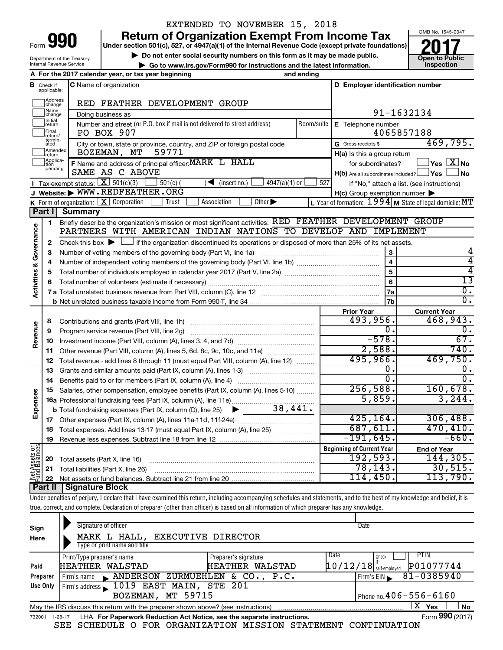|      |  | 1 |
|------|--|---|
| Form |  |   |

## EXTENDED TO NOVEMBER 15, 2018

**Return of Organization Exempt From Income Tax** 



|                                |                               | Form <b>YYU</b>                             | an or organization Exemple rom moonic<br>Under section 501(c), 527, or 4947(a)(1) of the Internal Revenue Code (except private foundations) |            |                                                         |                                                                       |
|--------------------------------|-------------------------------|---------------------------------------------|---------------------------------------------------------------------------------------------------------------------------------------------|------------|---------------------------------------------------------|-----------------------------------------------------------------------|
|                                |                               | Department of the Treasury                  | Do not enter social security numbers on this form as it may be made public.                                                                 |            |                                                         | <b>Open to Public</b>                                                 |
|                                |                               | Internal Revenue Service                    | Go to www.irs.gov/Form990 for instructions and the latest information.                                                                      |            |                                                         | Inspection                                                            |
|                                |                               |                                             | A For the 2017 calendar year, or tax year beginning<br>and ending                                                                           |            |                                                         |                                                                       |
|                                | <b>B</b> Check if applicable: |                                             | C Name of organization                                                                                                                      |            | D Employer identification number                        |                                                                       |
|                                | Address<br> change<br>Name    |                                             | RED FEATHER DEVELOPMENT GROUP                                                                                                               |            |                                                         |                                                                       |
|                                | change<br>Initial             |                                             | Doing business as                                                                                                                           |            |                                                         | 91-1632134                                                            |
|                                | return<br>İFinal<br>return/   |                                             | Number and street (or P.O. box if mail is not delivered to street address)<br>PO BOX 907                                                    | Room/suite | <b>E</b> Telephone number                               | 4065857188                                                            |
|                                | termin-<br>ated<br>Amended    |                                             | City or town, state or province, country, and ZIP or foreign postal code<br>BOZEMAN, MT                                                     |            | G Gross receipts \$                                     | 469,795.                                                              |
|                                | return<br> Applica-           |                                             | 59771                                                                                                                                       |            | H(a) Is this a group return                             |                                                                       |
|                                | tion<br>pending               |                                             | F Name and address of principal officer: MARK L HALL<br>SAME AS C ABOVE                                                                     |            | $H(b)$ Are all subordinates included? $\Box$ Yes $\Box$ | for subordinates? $\frac{\Box}{\Box}$ Yes $\boxed{X}$ No<br>$\Box$ No |
|                                |                               | <b>I</b> Tax-exempt status: $X \ 501(c)(3)$ | $501(c)$ (<br>$\sqrt{\frac{1}{1}}$ (insert no.)<br>$4947(a)(1)$ or                                                                          | 527        |                                                         | If "No," attach a list. (see instructions)                            |
|                                |                               |                                             | J Website: WWW.REDFEATHER.ORG                                                                                                               |            | $H(c)$ Group exemption number $\blacktriangleright$     |                                                                       |
|                                |                               | K Form of organization: $X$ Corporation     | Association<br>Other $\blacktriangleright$<br>Trust                                                                                         |            |                                                         | L Year of formation: $1994$ M State of legal domicile: MT             |
|                                | Part I                        | Summary                                     |                                                                                                                                             |            |                                                         |                                                                       |
|                                | 1                             |                                             | Briefly describe the organization's mission or most significant activities: RED FEATHER DEVELOPMENT GROUP                                   |            |                                                         |                                                                       |
| & Governance                   |                               |                                             | PARTNERS WITH AMERICAN INDIAN NATIONS TO DEVELOP AND IMPLEMENT                                                                              |            |                                                         |                                                                       |
|                                | 2                             |                                             | Check this box $\blacktriangleright$ $\Box$ if the organization discontinued its operations or disposed of more than 25% of its net assets. |            |                                                         |                                                                       |
|                                | з                             |                                             | Number of voting members of the governing body (Part VI, line 1a)                                                                           |            | 3                                                       |                                                                       |
|                                | 4                             |                                             |                                                                                                                                             |            | $\overline{4}$                                          | 4                                                                     |
| Activities                     | 5                             |                                             |                                                                                                                                             |            | $\overline{5}$                                          | 4                                                                     |
|                                | 6                             |                                             |                                                                                                                                             |            | 6                                                       | $\overline{13}$                                                       |
|                                |                               |                                             |                                                                                                                                             |            | 7a                                                      | $\overline{0}$ .                                                      |
|                                |                               |                                             |                                                                                                                                             |            | 7b                                                      | $\overline{0}$ .                                                      |
|                                |                               |                                             |                                                                                                                                             |            | <b>Prior Year</b>                                       | <b>Current Year</b>                                                   |
|                                | 8                             |                                             | Contributions and grants (Part VIII, line 1h)                                                                                               |            | 493,956.                                                | 468,943.<br>$\overline{0}$ .                                          |
| Revenue                        | 9                             |                                             | Program service revenue (Part VIII, line 2g)                                                                                                |            | о.<br>$-578.$                                           | 67.                                                                   |
|                                | 10                            |                                             |                                                                                                                                             |            | 2,588.                                                  | 740.                                                                  |
|                                | 11                            |                                             | Other revenue (Part VIII, column (A), lines 5, 6d, 8c, 9c, 10c, and 11e)                                                                    |            | 495,966.                                                | 469,750.                                                              |
|                                | 12                            |                                             | Total revenue - add lines 8 through 11 (must equal Part VIII, column (A), line 12)                                                          |            | о.                                                      | 0.                                                                    |
|                                | 13                            |                                             | Grants and similar amounts paid (Part IX, column (A), lines 1-3)                                                                            |            | $\overline{0}$ .                                        | $\overline{0}$ .                                                      |
|                                | 14                            |                                             | Benefits paid to or for members (Part IX, column (A), line 4)                                                                               |            | 256,588.                                                | 160,678.                                                              |
| enses                          | 15                            |                                             | Salaries, other compensation, employee benefits (Part IX, column (A), lines 5-10)                                                           |            | 5,859.                                                  | 3, 244.                                                               |
|                                |                               |                                             |                                                                                                                                             |            |                                                         |                                                                       |
| Exp                            |                               |                                             |                                                                                                                                             |            | 425, 164.                                               | 306,488.                                                              |
|                                | 17<br>18                      |                                             | Total expenses. Add lines 13-17 (must equal Part IX, column (A), line 25)                                                                   |            | 687,611.                                                | 470, 410.                                                             |
|                                | 19                            |                                             |                                                                                                                                             |            | $-191,645.$                                             | $-660.$                                                               |
|                                |                               |                                             |                                                                                                                                             |            | <b>Beginning of Current Year</b>                        | <b>End of Year</b>                                                    |
|                                | 20                            | Total assets (Part X, line 16)              |                                                                                                                                             |            | 192,593.                                                | 144, 305.                                                             |
|                                | 21                            |                                             | Total liabilities (Part X, line 26)                                                                                                         |            | 78,143.                                                 | 30,515.                                                               |
| Net Assets or<br>Fund Balances | 22                            |                                             |                                                                                                                                             |            | 114,450.                                                | 113,790.                                                              |
|                                | Part II                       | <b>Signature Block</b>                      |                                                                                                                                             |            |                                                         |                                                                       |
|                                |                               |                                             |                                                                                                                                             |            |                                                         |                                                                       |

Under penalties of perjury, I declare that I have examined this return, including accompanying schedules and statements, and to the best of my knowledge and belief, it is true, correct, and complete. Declaration of preparer (other than officer) is based on all information of which preparer has any knowledge.

| Sign<br>Here    | Signature of officer<br><b>EXECUTIVE DIRECTOR</b><br>MARK L HALL,<br>Type or print name and title | Date                                                                      |
|-----------------|---------------------------------------------------------------------------------------------------|---------------------------------------------------------------------------|
| Paid            | Print/Type preparer's name<br>Preparer's signature<br>HEATHER WALSTAD<br><b>HEATHER</b>           | PTIN<br>Date<br>Check<br>P01077744<br>$10/12/18$ self-employed<br>WALSTAD |
| Preparer        | ANDERSON ZURMUEHLEN & CO., P.C.<br>Firm's name                                                    | 81-0385940<br>Firm's $EIN$                                                |
| Use Only        | Firm's address 1019 EAST MAIN, STE 201                                                            |                                                                           |
|                 | BOZEMAN, MT 59715                                                                                 | Phone no. $406 - 556 - 6160$                                              |
|                 | May the IRS discuss this return with the preparer shown above? (see instructions)                 | $\mathbf{X}$ Yes<br><b>No</b>                                             |
| 732001 11-28-17 | LHA For Paperwork Reduction Act Notice, see the separate instructions.                            | Form 990 (2017)                                                           |

SEE SCHEDULE O FOR ORGANIZATION MISSION STATEMENT CONTINUATION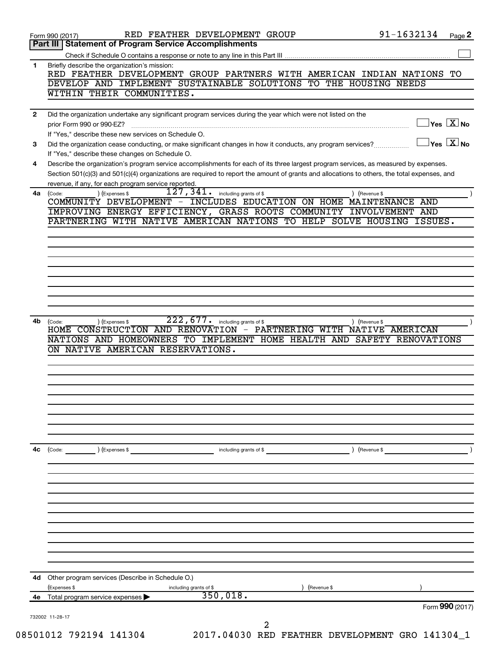|              | RED FEATHER DEVELOPMENT GROUP<br>Form 990 (2017)                                                                                                                                                                                                                                     | 91-1632134                                                  |                                                                     | Page 2 |
|--------------|--------------------------------------------------------------------------------------------------------------------------------------------------------------------------------------------------------------------------------------------------------------------------------------|-------------------------------------------------------------|---------------------------------------------------------------------|--------|
|              | Part III   Statement of Program Service Accomplishments                                                                                                                                                                                                                              |                                                             |                                                                     |        |
|              |                                                                                                                                                                                                                                                                                      |                                                             |                                                                     |        |
| 1.           | Briefly describe the organization's mission:<br>RED FEATHER DEVELOPMENT GROUP PARTNERS WITH AMERICAN INDIAN NATIONS TO<br>DEVELOP AND IMPLEMENT SUSTAINABLE SOLUTIONS TO THE HOUSING NEEDS                                                                                           |                                                             |                                                                     |        |
|              | WITHIN THEIR COMMUNITIES.                                                                                                                                                                                                                                                            |                                                             |                                                                     |        |
| $\mathbf{2}$ | Did the organization undertake any significant program services during the year which were not listed on the                                                                                                                                                                         |                                                             |                                                                     |        |
|              | prior Form 990 or 990-EZ?<br>If "Yes," describe these new services on Schedule O.                                                                                                                                                                                                    |                                                             | $\sqrt{\mathsf{Yes}\mathord{\;\mathbb{X}}\mathord{\;\mathsf{No}}}$  |        |
| 3            | Did the organization cease conducting, or make significant changes in how it conducts, any program services?<br>If "Yes," describe these changes on Schedule O.                                                                                                                      |                                                             | $ {\mathsf Y}{\mathsf e}{\mathsf s}^\top\overline{{\mathsf X}} $ No |        |
| 4            | Describe the organization's program service accomplishments for each of its three largest program services, as measured by expenses.<br>Section 501(c)(3) and 501(c)(4) organizations are required to report the amount of grants and allocations to others, the total expenses, and |                                                             |                                                                     |        |
|              | revenue, if any, for each program service reported.                                                                                                                                                                                                                                  |                                                             |                                                                     |        |
| 4a           | 127,341.<br>) (Expenses \$<br>including grants of \$<br>(Code:<br>COMMUNITY DEVELOPMENT -<br>IMPROVING ENERGY EFFICIENCY, GRASS ROOTS COMMUNITY INVOLVEMENT AND                                                                                                                      | ) (Revenue \$<br>INCLUDES EDUCATION ON HOME MAINTENANCE AND |                                                                     |        |
|              | PARTNERING WITH NATIVE AMERICAN NATIONS TO HELP SOLVE HOUSING                                                                                                                                                                                                                        |                                                             | ISSUES.                                                             |        |
|              |                                                                                                                                                                                                                                                                                      |                                                             |                                                                     |        |
|              |                                                                                                                                                                                                                                                                                      |                                                             |                                                                     |        |
|              |                                                                                                                                                                                                                                                                                      |                                                             |                                                                     |        |
|              |                                                                                                                                                                                                                                                                                      |                                                             |                                                                     |        |
|              |                                                                                                                                                                                                                                                                                      |                                                             |                                                                     |        |
|              |                                                                                                                                                                                                                                                                                      |                                                             |                                                                     |        |
|              |                                                                                                                                                                                                                                                                                      |                                                             |                                                                     |        |
|              |                                                                                                                                                                                                                                                                                      |                                                             |                                                                     |        |
|              | 222,677.<br>including grants of \$<br>(Code:<br>) (Expenses \$<br>HOME CONSTRUCTION AND RENOVATION - PARTNERING WITH NATIVE AMERICAN<br>NATIONS AND HOMEOWNERS TO IMPLEMENT HOME HEALTH AND SAFETY RENOVATIONS                                                                       | ) (Revenue \$                                               |                                                                     |        |
|              | ON NATIVE AMERICAN RESERVATIONS.                                                                                                                                                                                                                                                     |                                                             |                                                                     |        |
| 4b           |                                                                                                                                                                                                                                                                                      |                                                             |                                                                     |        |
|              |                                                                                                                                                                                                                                                                                      |                                                             |                                                                     |        |
|              |                                                                                                                                                                                                                                                                                      |                                                             |                                                                     |        |
|              |                                                                                                                                                                                                                                                                                      |                                                             |                                                                     |        |
|              |                                                                                                                                                                                                                                                                                      |                                                             |                                                                     |        |
|              |                                                                                                                                                                                                                                                                                      |                                                             |                                                                     |        |
|              |                                                                                                                                                                                                                                                                                      |                                                             |                                                                     |        |
|              | ) (Expenses \$<br>including grants of \$<br>(Code:                                                                                                                                                                                                                                   | ) (Revenue \$                                               |                                                                     |        |
|              |                                                                                                                                                                                                                                                                                      |                                                             |                                                                     |        |
|              |                                                                                                                                                                                                                                                                                      |                                                             |                                                                     |        |
|              |                                                                                                                                                                                                                                                                                      |                                                             |                                                                     |        |
| 4с           |                                                                                                                                                                                                                                                                                      |                                                             |                                                                     |        |
|              |                                                                                                                                                                                                                                                                                      |                                                             |                                                                     |        |
|              |                                                                                                                                                                                                                                                                                      |                                                             |                                                                     |        |
|              |                                                                                                                                                                                                                                                                                      |                                                             |                                                                     |        |
|              |                                                                                                                                                                                                                                                                                      |                                                             |                                                                     |        |
|              |                                                                                                                                                                                                                                                                                      |                                                             |                                                                     |        |
|              |                                                                                                                                                                                                                                                                                      |                                                             |                                                                     |        |
| 4d.          | Other program services (Describe in Schedule O.)<br>(Expenses \$<br>including grants of \$                                                                                                                                                                                           | (Revenue \$                                                 |                                                                     |        |
| 4е           | 350,018.<br>Total program service expenses                                                                                                                                                                                                                                           |                                                             |                                                                     |        |
|              |                                                                                                                                                                                                                                                                                      |                                                             | Form 990 (2017)                                                     |        |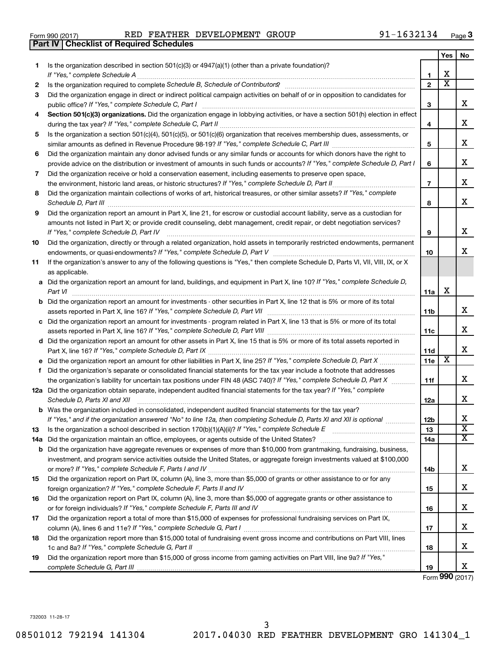| Form 990 (2017) |  |  |
|-----------------|--|--|

|     | <b>Part IV   Checklist of Required Schedules</b>                                                                                                                                                                                    |                 |                         |                         |
|-----|-------------------------------------------------------------------------------------------------------------------------------------------------------------------------------------------------------------------------------------|-----------------|-------------------------|-------------------------|
|     |                                                                                                                                                                                                                                     |                 | <b>Yes</b>              | No                      |
| 1.  | Is the organization described in section 501(c)(3) or 4947(a)(1) (other than a private foundation)?                                                                                                                                 |                 |                         |                         |
|     |                                                                                                                                                                                                                                     | 1               | X                       |                         |
| 2   | Is the organization required to complete Schedule B, Schedule of Contributors? [11] the organization required to complete Schedule B, Schedule of Contributors?                                                                     | $\mathbf{2}$    | $\overline{\mathbf{X}}$ |                         |
| З   | Did the organization engage in direct or indirect political campaign activities on behalf of or in opposition to candidates for                                                                                                     |                 |                         |                         |
|     |                                                                                                                                                                                                                                     | 3               |                         | x                       |
| 4   | Section 501(c)(3) organizations. Did the organization engage in lobbying activities, or have a section 501(h) election in effect                                                                                                    |                 |                         |                         |
|     |                                                                                                                                                                                                                                     | 4               |                         | X                       |
| 5   | Is the organization a section 501(c)(4), 501(c)(5), or 501(c)(6) organization that receives membership dues, assessments, or                                                                                                        |                 |                         |                         |
|     |                                                                                                                                                                                                                                     | 5               |                         | х                       |
| 6   | Did the organization maintain any donor advised funds or any similar funds or accounts for which donors have the right to                                                                                                           |                 |                         |                         |
|     | provide advice on the distribution or investment of amounts in such funds or accounts? If "Yes," complete Schedule D, Part I                                                                                                        | 6               |                         | х                       |
| 7   | Did the organization receive or hold a conservation easement, including easements to preserve open space,                                                                                                                           |                 |                         |                         |
|     |                                                                                                                                                                                                                                     | $\overline{7}$  |                         | х                       |
| 8   | Did the organization maintain collections of works of art, historical treasures, or other similar assets? If "Yes," complete                                                                                                        |                 |                         |                         |
|     | Schedule D, Part III <b>Marting Community</b> Construction of the Construction of the Construction of the Construction of the Construction of the Construction of the Construction of the Construction of the Construction of the C | 8               |                         | X                       |
| 9   | Did the organization report an amount in Part X, line 21, for escrow or custodial account liability, serve as a custodian for                                                                                                       |                 |                         |                         |
|     | amounts not listed in Part X; or provide credit counseling, debt management, credit repair, or debt negotiation services?                                                                                                           |                 |                         |                         |
|     | If "Yes," complete Schedule D, Part IV                                                                                                                                                                                              | 9               |                         | х                       |
| 10  | Did the organization, directly or through a related organization, hold assets in temporarily restricted endowments, permanent                                                                                                       |                 |                         |                         |
|     |                                                                                                                                                                                                                                     | 10              |                         | х                       |
| 11  | If the organization's answer to any of the following questions is "Yes," then complete Schedule D, Parts VI, VII, VIII, IX, or X                                                                                                    |                 |                         |                         |
|     | as applicable.                                                                                                                                                                                                                      |                 |                         |                         |
|     | a Did the organization report an amount for land, buildings, and equipment in Part X, line 10? If "Yes," complete Schedule D,                                                                                                       |                 |                         |                         |
|     | Part VI                                                                                                                                                                                                                             | 11a             | х                       |                         |
|     | <b>b</b> Did the organization report an amount for investments - other securities in Part X, line 12 that is 5% or more of its total                                                                                                |                 |                         |                         |
|     | assets reported in Part X, line 16? If "Yes," complete Schedule D, Part VII [11] [11] [12] [12] [12] [12] [12] [                                                                                                                    | 11b             |                         | x                       |
|     | c Did the organization report an amount for investments - program related in Part X, line 13 that is 5% or more of its total                                                                                                        |                 |                         |                         |
|     |                                                                                                                                                                                                                                     | 11c             |                         | X                       |
|     | d Did the organization report an amount for other assets in Part X, line 15 that is 5% or more of its total assets reported in                                                                                                      |                 |                         |                         |
|     |                                                                                                                                                                                                                                     | 11d             |                         | X                       |
|     | e Did the organization report an amount for other liabilities in Part X, line 25? If "Yes," complete Schedule D, Part X                                                                                                             | 11e             | X                       |                         |
|     | f Did the organization's separate or consolidated financial statements for the tax year include a footnote that addresses                                                                                                           |                 |                         |                         |
|     | the organization's liability for uncertain tax positions under FIN 48 (ASC 740)? If "Yes," complete Schedule D, Part X                                                                                                              | 11f             |                         | x                       |
|     | 12a Did the organization obtain separate, independent audited financial statements for the tax year? If "Yes," complete                                                                                                             |                 |                         |                         |
|     | Schedule D, Parts XI and XII                                                                                                                                                                                                        | 12a             |                         | x                       |
|     | <b>b</b> Was the organization included in consolidated, independent audited financial statements for the tax year?                                                                                                                  |                 |                         |                         |
|     | If "Yes," and if the organization answered "No" to line 12a, then completing Schedule D, Parts XI and XII is optional <i>manum</i>                                                                                                  | 12 <sub>b</sub> |                         | х                       |
| 13  |                                                                                                                                                                                                                                     | 13              |                         | $\overline{\textbf{x}}$ |
| 14a |                                                                                                                                                                                                                                     | 14a             |                         | $\overline{\textbf{x}}$ |
|     | <b>b</b> Did the organization have aggregate revenues or expenses of more than \$10,000 from grantmaking, fundraising, business,                                                                                                    |                 |                         |                         |
|     | investment, and program service activities outside the United States, or aggregate foreign investments valued at \$100,000                                                                                                          |                 |                         |                         |
|     |                                                                                                                                                                                                                                     | 14b             |                         | х                       |
| 15  | Did the organization report on Part IX, column (A), line 3, more than \$5,000 of grants or other assistance to or for any                                                                                                           |                 |                         |                         |
|     |                                                                                                                                                                                                                                     | 15              |                         | x                       |
| 16  | Did the organization report on Part IX, column (A), line 3, more than \$5,000 of aggregate grants or other assistance to                                                                                                            |                 |                         |                         |
|     |                                                                                                                                                                                                                                     | 16              |                         | х                       |
| 17  | Did the organization report a total of more than \$15,000 of expenses for professional fundraising services on Part IX,                                                                                                             |                 |                         |                         |
|     |                                                                                                                                                                                                                                     | 17              |                         | х                       |
| 18  | Did the organization report more than \$15,000 total of fundraising event gross income and contributions on Part VIII, lines                                                                                                        |                 |                         |                         |
|     |                                                                                                                                                                                                                                     | 18              |                         | х                       |
| 19  | Did the organization report more than \$15,000 of gross income from gaming activities on Part VIII, line 9a? If "Yes,"                                                                                                              |                 |                         |                         |
|     |                                                                                                                                                                                                                                     | 19              |                         | х                       |
|     |                                                                                                                                                                                                                                     |                 |                         |                         |

Form (2017) **990**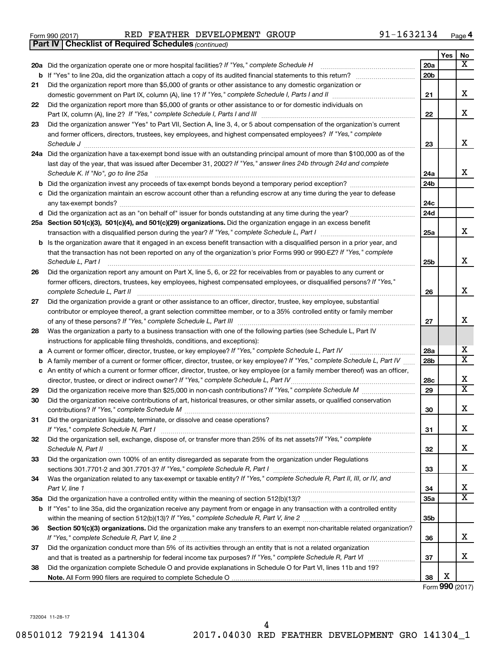|  | Form 990 (2017) |
|--|-----------------|
|  |                 |

*(continued)* **Part IV Checklist of Required Schedules**

|    |                                                                                                                                                                                                                                             |                 | Yes | No                      |
|----|---------------------------------------------------------------------------------------------------------------------------------------------------------------------------------------------------------------------------------------------|-----------------|-----|-------------------------|
|    | 20a Did the organization operate one or more hospital facilities? If "Yes," complete Schedule H                                                                                                                                             | 20a             |     | x                       |
|    | <b>b</b> If "Yes" to line 20a, did the organization attach a copy of its audited financial statements to this return?                                                                                                                       | 20 <sub>b</sub> |     |                         |
| 21 | Did the organization report more than \$5,000 of grants or other assistance to any domestic organization or                                                                                                                                 |                 |     |                         |
|    |                                                                                                                                                                                                                                             | 21              |     | x                       |
| 22 | Did the organization report more than \$5,000 of grants or other assistance to or for domestic individuals on                                                                                                                               |                 |     |                         |
|    |                                                                                                                                                                                                                                             | 22              |     | x                       |
| 23 | Did the organization answer "Yes" to Part VII, Section A, line 3, 4, or 5 about compensation of the organization's current                                                                                                                  |                 |     |                         |
|    | and former officers, directors, trustees, key employees, and highest compensated employees? If "Yes," complete                                                                                                                              |                 |     |                         |
|    | Schedule J                                                                                                                                                                                                                                  | 23              |     | X                       |
|    | 24a Did the organization have a tax-exempt bond issue with an outstanding principal amount of more than \$100,000 as of the                                                                                                                 |                 |     |                         |
|    | last day of the year, that was issued after December 31, 2002? If "Yes," answer lines 24b through 24d and complete                                                                                                                          |                 |     |                         |
|    | Schedule K. If "No", go to line 25a                                                                                                                                                                                                         | 24a             |     | x                       |
| b  | Did the organization invest any proceeds of tax-exempt bonds beyond a temporary period exception?                                                                                                                                           | 24 <sub>b</sub> |     |                         |
| с  | Did the organization maintain an escrow account other than a refunding escrow at any time during the year to defease                                                                                                                        |                 |     |                         |
|    | any tax-exempt bonds?                                                                                                                                                                                                                       | 24c             |     |                         |
|    |                                                                                                                                                                                                                                             | 24d             |     |                         |
|    | 25a Section 501(c)(3), 501(c)(4), and 501(c)(29) organizations. Did the organization engage in an excess benefit                                                                                                                            |                 |     |                         |
|    |                                                                                                                                                                                                                                             | 25a             |     | x                       |
| b  | Is the organization aware that it engaged in an excess benefit transaction with a disqualified person in a prior year, and                                                                                                                  |                 |     |                         |
|    | that the transaction has not been reported on any of the organization's prior Forms 990 or 990-EZ? If "Yes," complete                                                                                                                       |                 |     | х                       |
|    | Schedule L, Part I                                                                                                                                                                                                                          | 25b             |     |                         |
| 26 | Did the organization report any amount on Part X, line 5, 6, or 22 for receivables from or payables to any current or                                                                                                                       |                 |     |                         |
|    | former officers, directors, trustees, key employees, highest compensated employees, or disqualified persons? If "Yes,"                                                                                                                      |                 |     | x                       |
|    | complete Schedule L, Part II                                                                                                                                                                                                                | 26              |     |                         |
| 27 | Did the organization provide a grant or other assistance to an officer, director, trustee, key employee, substantial<br>contributor or employee thereof, a grant selection committee member, or to a 35% controlled entity or family member |                 |     |                         |
|    |                                                                                                                                                                                                                                             | 27              |     | х                       |
| 28 | Was the organization a party to a business transaction with one of the following parties (see Schedule L, Part IV                                                                                                                           |                 |     |                         |
|    | instructions for applicable filing thresholds, conditions, and exceptions):                                                                                                                                                                 |                 |     |                         |
| а  | A current or former officer, director, trustee, or key employee? If "Yes," complete Schedule L, Part IV                                                                                                                                     | 28a             |     | х                       |
| b  | A family member of a current or former officer, director, trustee, or key employee? If "Yes," complete Schedule L, Part IV                                                                                                                  | 28 <sub>b</sub> |     | $\overline{\textbf{X}}$ |
| с  | An entity of which a current or former officer, director, trustee, or key employee (or a family member thereof) was an officer,                                                                                                             |                 |     |                         |
|    | director, trustee, or direct or indirect owner? If "Yes," complete Schedule L, Part IV                                                                                                                                                      | 28c             |     | х                       |
| 29 |                                                                                                                                                                                                                                             | 29              |     | X                       |
| 30 | Did the organization receive contributions of art, historical treasures, or other similar assets, or qualified conservation                                                                                                                 |                 |     |                         |
|    |                                                                                                                                                                                                                                             | 30              |     | х                       |
| 31 | Did the organization liquidate, terminate, or dissolve and cease operations?                                                                                                                                                                |                 |     |                         |
|    | If "Yes," complete Schedule N, Part I                                                                                                                                                                                                       | 31              |     | х                       |
| 32 | Did the organization sell, exchange, dispose of, or transfer more than 25% of its net assets?If "Yes," complete                                                                                                                             |                 |     |                         |
|    | Schedule N, Part II                                                                                                                                                                                                                         | 32              |     | х                       |
| 33 | Did the organization own 100% of an entity disregarded as separate from the organization under Regulations                                                                                                                                  |                 |     |                         |
|    |                                                                                                                                                                                                                                             | 33              |     | х                       |
| 34 | Was the organization related to any tax-exempt or taxable entity? If "Yes," complete Schedule R, Part II, III, or IV, and                                                                                                                   |                 |     |                         |
|    | Part V, line 1                                                                                                                                                                                                                              | 34              |     | х                       |
|    |                                                                                                                                                                                                                                             | 35a             |     | $\overline{\text{X}}$   |
| b  | If "Yes" to line 35a, did the organization receive any payment from or engage in any transaction with a controlled entity                                                                                                                   |                 |     |                         |
|    |                                                                                                                                                                                                                                             | 35 <sub>b</sub> |     |                         |
| 36 | Section 501(c)(3) organizations. Did the organization make any transfers to an exempt non-charitable related organization?                                                                                                                  |                 |     |                         |
|    |                                                                                                                                                                                                                                             | 36              |     | х                       |
| 37 | Did the organization conduct more than 5% of its activities through an entity that is not a related organization                                                                                                                            |                 |     |                         |
|    |                                                                                                                                                                                                                                             | 37              |     | x.                      |
| 38 | Did the organization complete Schedule O and provide explanations in Schedule O for Part VI, lines 11b and 19?                                                                                                                              |                 |     |                         |
|    |                                                                                                                                                                                                                                             | 38              | х   |                         |

Form (2017) **990**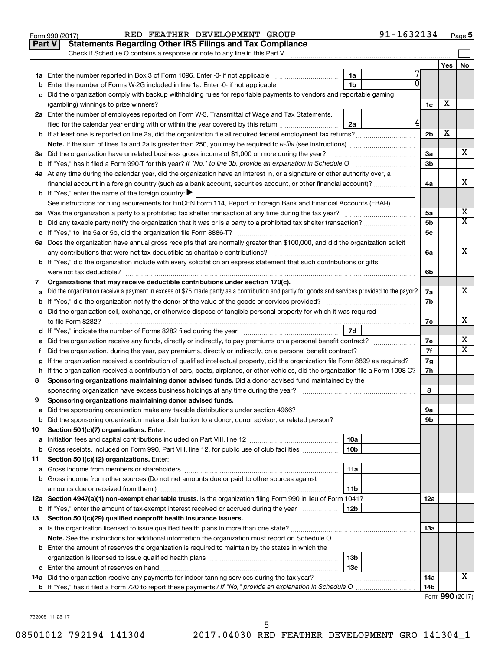| <b>Part V</b><br>Check if Schedule O contains a response or note to any line in this Part V<br>Yes<br>No<br>1a<br>1 <sub>b</sub><br>Enter the number of Forms W-2G included in line 1a. Enter -0- if not applicable <i>manumumumum</i><br>b<br>Did the organization comply with backup withholding rules for reportable payments to vendors and reportable gaming<br>с<br>х<br>1c<br>2a Enter the number of employees reported on Form W-3, Transmittal of Wage and Tax Statements,<br>4<br>filed for the calendar year ending with or within the year covered by this return<br>2a<br>X<br>2 <sub>b</sub><br>X.<br>3a<br>3a Did the organization have unrelated business gross income of \$1,000 or more during the year?<br>3 <sub>b</sub><br>4a At any time during the calendar year, did the organization have an interest in, or a signature or other authority over, a<br>x<br>financial account in a foreign country (such as a bank account, securities account, or other financial account)?<br>4a<br><b>b</b> If "Yes," enter the name of the foreign country: $\blacktriangleright$<br>See instructions for filing requirements for FinCEN Form 114, Report of Foreign Bank and Financial Accounts (FBAR).<br>X<br>5a<br>$\overline{\mathtt{x}}$<br>5 <sub>b</sub><br>5 <sub>c</sub><br>6a Does the organization have annual gross receipts that are normally greater than \$100,000, and did the organization solicit<br>x<br>6a<br>b If "Yes," did the organization include with every solicitation an express statement that such contributions or gifts<br>were not tax deductible?<br>6b<br>Organizations that may receive deductible contributions under section 170(c).<br>7<br>x<br>Did the organization receive a payment in excess of \$75 made partly as a contribution and partly for goods and services provided to the payor?<br>7a<br>а<br>7b<br>c Did the organization sell, exchange, or otherwise dispose of tangible personal property for which it was required<br>х<br>7c<br>7d<br>X<br>7е<br>$\overline{\mathtt{x}}$<br>7f<br>Did the organization, during the year, pay premiums, directly or indirectly, on a personal benefit contract?<br>f.<br>If the organization received a contribution of qualified intellectual property, did the organization file Form 8899 as required?<br>7g<br>g<br>7h<br>h If the organization received a contribution of cars, boats, airplanes, or other vehicles, did the organization file a Form 1098-C?<br>Sponsoring organizations maintaining donor advised funds. Did a donor advised fund maintained by the<br>8<br>sponsoring organization have excess business holdings at any time during the year?<br>8<br>Sponsoring organizations maintaining donor advised funds.<br>9<br>Did the sponsoring organization make any taxable distributions under section 4966?<br>9а<br>а<br>9b<br>b<br>Section 501(c)(7) organizations. Enter:<br>10<br>10a<br>а<br>Gross receipts, included on Form 990, Part VIII, line 12, for public use of club facilities<br>10 <sub>b</sub><br>b<br>Section 501(c)(12) organizations. Enter:<br>11<br>11a<br>а<br>Gross income from other sources (Do not net amounts due or paid to other sources against<br>b<br>amounts due or received from them.)<br>11b<br>12a Section 4947(a)(1) non-exempt charitable trusts. Is the organization filing Form 990 in lieu of Form 1041?<br>12a<br>If "Yes," enter the amount of tax-exempt interest received or accrued during the year<br>12b<br>b<br>Section 501(c)(29) qualified nonprofit health insurance issuers.<br>13<br>a Is the organization licensed to issue qualified health plans in more than one state?<br>13a<br>Note. See the instructions for additional information the organization must report on Schedule O.<br><b>b</b> Enter the amount of reserves the organization is required to maintain by the states in which the<br>13 <sub>b</sub><br>13c<br>х<br>14a<br>14b<br>$Form$ QQ $\Omega$ (2017) | 91-1632134<br>RED FEATHER DEVELOPMENT GROUP<br>Form 990 (2017)   |  | Page 5 |
|----------------------------------------------------------------------------------------------------------------------------------------------------------------------------------------------------------------------------------------------------------------------------------------------------------------------------------------------------------------------------------------------------------------------------------------------------------------------------------------------------------------------------------------------------------------------------------------------------------------------------------------------------------------------------------------------------------------------------------------------------------------------------------------------------------------------------------------------------------------------------------------------------------------------------------------------------------------------------------------------------------------------------------------------------------------------------------------------------------------------------------------------------------------------------------------------------------------------------------------------------------------------------------------------------------------------------------------------------------------------------------------------------------------------------------------------------------------------------------------------------------------------------------------------------------------------------------------------------------------------------------------------------------------------------------------------------------------------------------------------------------------------------------------------------------------------------------------------------------------------------------------------------------------------------------------------------------------------------------------------------------------------------------------------------------------------------------------------------------------------------------------------------------------------------------------------------------------------------------------------------------------------------------------------------------------------------------------------------------------------------------------------------------------------------------------------------------------------------------------------------------------------------------------------------------------------------------------------------------------------------------------------------------------------------------------------------------------------------------------------------------------------------------------------------------------------------------------------------------------------------------------------------------------------------------------------------------------------------------------------------------------------------------------------------------------------------------------------------------------------------------------------------------------------------------------------------------------------------------------------------------------------------------------------------------------------------------------------------------------------------------------------------------------------------------------------------------------------------------------------------------------------------------------------------------------------------------------------------------------------------------------------------------------------------------------------------------------------------------------------------------------------------------------------------------------------------------------------------------------------------------------------------------------------------------------------------------------------------|------------------------------------------------------------------|--|--------|
|                                                                                                                                                                                                                                                                                                                                                                                                                                                                                                                                                                                                                                                                                                                                                                                                                                                                                                                                                                                                                                                                                                                                                                                                                                                                                                                                                                                                                                                                                                                                                                                                                                                                                                                                                                                                                                                                                                                                                                                                                                                                                                                                                                                                                                                                                                                                                                                                                                                                                                                                                                                                                                                                                                                                                                                                                                                                                                                                                                                                                                                                                                                                                                                                                                                                                                                                                                                                                                                                                                                                                                                                                                                                                                                                                                                                                                                                                                                                                                            | <b>Statements Regarding Other IRS Filings and Tax Compliance</b> |  |        |
|                                                                                                                                                                                                                                                                                                                                                                                                                                                                                                                                                                                                                                                                                                                                                                                                                                                                                                                                                                                                                                                                                                                                                                                                                                                                                                                                                                                                                                                                                                                                                                                                                                                                                                                                                                                                                                                                                                                                                                                                                                                                                                                                                                                                                                                                                                                                                                                                                                                                                                                                                                                                                                                                                                                                                                                                                                                                                                                                                                                                                                                                                                                                                                                                                                                                                                                                                                                                                                                                                                                                                                                                                                                                                                                                                                                                                                                                                                                                                                            |                                                                  |  |        |
|                                                                                                                                                                                                                                                                                                                                                                                                                                                                                                                                                                                                                                                                                                                                                                                                                                                                                                                                                                                                                                                                                                                                                                                                                                                                                                                                                                                                                                                                                                                                                                                                                                                                                                                                                                                                                                                                                                                                                                                                                                                                                                                                                                                                                                                                                                                                                                                                                                                                                                                                                                                                                                                                                                                                                                                                                                                                                                                                                                                                                                                                                                                                                                                                                                                                                                                                                                                                                                                                                                                                                                                                                                                                                                                                                                                                                                                                                                                                                                            |                                                                  |  |        |
|                                                                                                                                                                                                                                                                                                                                                                                                                                                                                                                                                                                                                                                                                                                                                                                                                                                                                                                                                                                                                                                                                                                                                                                                                                                                                                                                                                                                                                                                                                                                                                                                                                                                                                                                                                                                                                                                                                                                                                                                                                                                                                                                                                                                                                                                                                                                                                                                                                                                                                                                                                                                                                                                                                                                                                                                                                                                                                                                                                                                                                                                                                                                                                                                                                                                                                                                                                                                                                                                                                                                                                                                                                                                                                                                                                                                                                                                                                                                                                            |                                                                  |  |        |
|                                                                                                                                                                                                                                                                                                                                                                                                                                                                                                                                                                                                                                                                                                                                                                                                                                                                                                                                                                                                                                                                                                                                                                                                                                                                                                                                                                                                                                                                                                                                                                                                                                                                                                                                                                                                                                                                                                                                                                                                                                                                                                                                                                                                                                                                                                                                                                                                                                                                                                                                                                                                                                                                                                                                                                                                                                                                                                                                                                                                                                                                                                                                                                                                                                                                                                                                                                                                                                                                                                                                                                                                                                                                                                                                                                                                                                                                                                                                                                            |                                                                  |  |        |
|                                                                                                                                                                                                                                                                                                                                                                                                                                                                                                                                                                                                                                                                                                                                                                                                                                                                                                                                                                                                                                                                                                                                                                                                                                                                                                                                                                                                                                                                                                                                                                                                                                                                                                                                                                                                                                                                                                                                                                                                                                                                                                                                                                                                                                                                                                                                                                                                                                                                                                                                                                                                                                                                                                                                                                                                                                                                                                                                                                                                                                                                                                                                                                                                                                                                                                                                                                                                                                                                                                                                                                                                                                                                                                                                                                                                                                                                                                                                                                            |                                                                  |  |        |
|                                                                                                                                                                                                                                                                                                                                                                                                                                                                                                                                                                                                                                                                                                                                                                                                                                                                                                                                                                                                                                                                                                                                                                                                                                                                                                                                                                                                                                                                                                                                                                                                                                                                                                                                                                                                                                                                                                                                                                                                                                                                                                                                                                                                                                                                                                                                                                                                                                                                                                                                                                                                                                                                                                                                                                                                                                                                                                                                                                                                                                                                                                                                                                                                                                                                                                                                                                                                                                                                                                                                                                                                                                                                                                                                                                                                                                                                                                                                                                            |                                                                  |  |        |
|                                                                                                                                                                                                                                                                                                                                                                                                                                                                                                                                                                                                                                                                                                                                                                                                                                                                                                                                                                                                                                                                                                                                                                                                                                                                                                                                                                                                                                                                                                                                                                                                                                                                                                                                                                                                                                                                                                                                                                                                                                                                                                                                                                                                                                                                                                                                                                                                                                                                                                                                                                                                                                                                                                                                                                                                                                                                                                                                                                                                                                                                                                                                                                                                                                                                                                                                                                                                                                                                                                                                                                                                                                                                                                                                                                                                                                                                                                                                                                            |                                                                  |  |        |
|                                                                                                                                                                                                                                                                                                                                                                                                                                                                                                                                                                                                                                                                                                                                                                                                                                                                                                                                                                                                                                                                                                                                                                                                                                                                                                                                                                                                                                                                                                                                                                                                                                                                                                                                                                                                                                                                                                                                                                                                                                                                                                                                                                                                                                                                                                                                                                                                                                                                                                                                                                                                                                                                                                                                                                                                                                                                                                                                                                                                                                                                                                                                                                                                                                                                                                                                                                                                                                                                                                                                                                                                                                                                                                                                                                                                                                                                                                                                                                            |                                                                  |  |        |
|                                                                                                                                                                                                                                                                                                                                                                                                                                                                                                                                                                                                                                                                                                                                                                                                                                                                                                                                                                                                                                                                                                                                                                                                                                                                                                                                                                                                                                                                                                                                                                                                                                                                                                                                                                                                                                                                                                                                                                                                                                                                                                                                                                                                                                                                                                                                                                                                                                                                                                                                                                                                                                                                                                                                                                                                                                                                                                                                                                                                                                                                                                                                                                                                                                                                                                                                                                                                                                                                                                                                                                                                                                                                                                                                                                                                                                                                                                                                                                            |                                                                  |  |        |
|                                                                                                                                                                                                                                                                                                                                                                                                                                                                                                                                                                                                                                                                                                                                                                                                                                                                                                                                                                                                                                                                                                                                                                                                                                                                                                                                                                                                                                                                                                                                                                                                                                                                                                                                                                                                                                                                                                                                                                                                                                                                                                                                                                                                                                                                                                                                                                                                                                                                                                                                                                                                                                                                                                                                                                                                                                                                                                                                                                                                                                                                                                                                                                                                                                                                                                                                                                                                                                                                                                                                                                                                                                                                                                                                                                                                                                                                                                                                                                            |                                                                  |  |        |
|                                                                                                                                                                                                                                                                                                                                                                                                                                                                                                                                                                                                                                                                                                                                                                                                                                                                                                                                                                                                                                                                                                                                                                                                                                                                                                                                                                                                                                                                                                                                                                                                                                                                                                                                                                                                                                                                                                                                                                                                                                                                                                                                                                                                                                                                                                                                                                                                                                                                                                                                                                                                                                                                                                                                                                                                                                                                                                                                                                                                                                                                                                                                                                                                                                                                                                                                                                                                                                                                                                                                                                                                                                                                                                                                                                                                                                                                                                                                                                            |                                                                  |  |        |
|                                                                                                                                                                                                                                                                                                                                                                                                                                                                                                                                                                                                                                                                                                                                                                                                                                                                                                                                                                                                                                                                                                                                                                                                                                                                                                                                                                                                                                                                                                                                                                                                                                                                                                                                                                                                                                                                                                                                                                                                                                                                                                                                                                                                                                                                                                                                                                                                                                                                                                                                                                                                                                                                                                                                                                                                                                                                                                                                                                                                                                                                                                                                                                                                                                                                                                                                                                                                                                                                                                                                                                                                                                                                                                                                                                                                                                                                                                                                                                            |                                                                  |  |        |
|                                                                                                                                                                                                                                                                                                                                                                                                                                                                                                                                                                                                                                                                                                                                                                                                                                                                                                                                                                                                                                                                                                                                                                                                                                                                                                                                                                                                                                                                                                                                                                                                                                                                                                                                                                                                                                                                                                                                                                                                                                                                                                                                                                                                                                                                                                                                                                                                                                                                                                                                                                                                                                                                                                                                                                                                                                                                                                                                                                                                                                                                                                                                                                                                                                                                                                                                                                                                                                                                                                                                                                                                                                                                                                                                                                                                                                                                                                                                                                            |                                                                  |  |        |
|                                                                                                                                                                                                                                                                                                                                                                                                                                                                                                                                                                                                                                                                                                                                                                                                                                                                                                                                                                                                                                                                                                                                                                                                                                                                                                                                                                                                                                                                                                                                                                                                                                                                                                                                                                                                                                                                                                                                                                                                                                                                                                                                                                                                                                                                                                                                                                                                                                                                                                                                                                                                                                                                                                                                                                                                                                                                                                                                                                                                                                                                                                                                                                                                                                                                                                                                                                                                                                                                                                                                                                                                                                                                                                                                                                                                                                                                                                                                                                            |                                                                  |  |        |
|                                                                                                                                                                                                                                                                                                                                                                                                                                                                                                                                                                                                                                                                                                                                                                                                                                                                                                                                                                                                                                                                                                                                                                                                                                                                                                                                                                                                                                                                                                                                                                                                                                                                                                                                                                                                                                                                                                                                                                                                                                                                                                                                                                                                                                                                                                                                                                                                                                                                                                                                                                                                                                                                                                                                                                                                                                                                                                                                                                                                                                                                                                                                                                                                                                                                                                                                                                                                                                                                                                                                                                                                                                                                                                                                                                                                                                                                                                                                                                            |                                                                  |  |        |
|                                                                                                                                                                                                                                                                                                                                                                                                                                                                                                                                                                                                                                                                                                                                                                                                                                                                                                                                                                                                                                                                                                                                                                                                                                                                                                                                                                                                                                                                                                                                                                                                                                                                                                                                                                                                                                                                                                                                                                                                                                                                                                                                                                                                                                                                                                                                                                                                                                                                                                                                                                                                                                                                                                                                                                                                                                                                                                                                                                                                                                                                                                                                                                                                                                                                                                                                                                                                                                                                                                                                                                                                                                                                                                                                                                                                                                                                                                                                                                            |                                                                  |  |        |
|                                                                                                                                                                                                                                                                                                                                                                                                                                                                                                                                                                                                                                                                                                                                                                                                                                                                                                                                                                                                                                                                                                                                                                                                                                                                                                                                                                                                                                                                                                                                                                                                                                                                                                                                                                                                                                                                                                                                                                                                                                                                                                                                                                                                                                                                                                                                                                                                                                                                                                                                                                                                                                                                                                                                                                                                                                                                                                                                                                                                                                                                                                                                                                                                                                                                                                                                                                                                                                                                                                                                                                                                                                                                                                                                                                                                                                                                                                                                                                            |                                                                  |  |        |
|                                                                                                                                                                                                                                                                                                                                                                                                                                                                                                                                                                                                                                                                                                                                                                                                                                                                                                                                                                                                                                                                                                                                                                                                                                                                                                                                                                                                                                                                                                                                                                                                                                                                                                                                                                                                                                                                                                                                                                                                                                                                                                                                                                                                                                                                                                                                                                                                                                                                                                                                                                                                                                                                                                                                                                                                                                                                                                                                                                                                                                                                                                                                                                                                                                                                                                                                                                                                                                                                                                                                                                                                                                                                                                                                                                                                                                                                                                                                                                            |                                                                  |  |        |
|                                                                                                                                                                                                                                                                                                                                                                                                                                                                                                                                                                                                                                                                                                                                                                                                                                                                                                                                                                                                                                                                                                                                                                                                                                                                                                                                                                                                                                                                                                                                                                                                                                                                                                                                                                                                                                                                                                                                                                                                                                                                                                                                                                                                                                                                                                                                                                                                                                                                                                                                                                                                                                                                                                                                                                                                                                                                                                                                                                                                                                                                                                                                                                                                                                                                                                                                                                                                                                                                                                                                                                                                                                                                                                                                                                                                                                                                                                                                                                            |                                                                  |  |        |
|                                                                                                                                                                                                                                                                                                                                                                                                                                                                                                                                                                                                                                                                                                                                                                                                                                                                                                                                                                                                                                                                                                                                                                                                                                                                                                                                                                                                                                                                                                                                                                                                                                                                                                                                                                                                                                                                                                                                                                                                                                                                                                                                                                                                                                                                                                                                                                                                                                                                                                                                                                                                                                                                                                                                                                                                                                                                                                                                                                                                                                                                                                                                                                                                                                                                                                                                                                                                                                                                                                                                                                                                                                                                                                                                                                                                                                                                                                                                                                            |                                                                  |  |        |
|                                                                                                                                                                                                                                                                                                                                                                                                                                                                                                                                                                                                                                                                                                                                                                                                                                                                                                                                                                                                                                                                                                                                                                                                                                                                                                                                                                                                                                                                                                                                                                                                                                                                                                                                                                                                                                                                                                                                                                                                                                                                                                                                                                                                                                                                                                                                                                                                                                                                                                                                                                                                                                                                                                                                                                                                                                                                                                                                                                                                                                                                                                                                                                                                                                                                                                                                                                                                                                                                                                                                                                                                                                                                                                                                                                                                                                                                                                                                                                            |                                                                  |  |        |
|                                                                                                                                                                                                                                                                                                                                                                                                                                                                                                                                                                                                                                                                                                                                                                                                                                                                                                                                                                                                                                                                                                                                                                                                                                                                                                                                                                                                                                                                                                                                                                                                                                                                                                                                                                                                                                                                                                                                                                                                                                                                                                                                                                                                                                                                                                                                                                                                                                                                                                                                                                                                                                                                                                                                                                                                                                                                                                                                                                                                                                                                                                                                                                                                                                                                                                                                                                                                                                                                                                                                                                                                                                                                                                                                                                                                                                                                                                                                                                            |                                                                  |  |        |
|                                                                                                                                                                                                                                                                                                                                                                                                                                                                                                                                                                                                                                                                                                                                                                                                                                                                                                                                                                                                                                                                                                                                                                                                                                                                                                                                                                                                                                                                                                                                                                                                                                                                                                                                                                                                                                                                                                                                                                                                                                                                                                                                                                                                                                                                                                                                                                                                                                                                                                                                                                                                                                                                                                                                                                                                                                                                                                                                                                                                                                                                                                                                                                                                                                                                                                                                                                                                                                                                                                                                                                                                                                                                                                                                                                                                                                                                                                                                                                            |                                                                  |  |        |
|                                                                                                                                                                                                                                                                                                                                                                                                                                                                                                                                                                                                                                                                                                                                                                                                                                                                                                                                                                                                                                                                                                                                                                                                                                                                                                                                                                                                                                                                                                                                                                                                                                                                                                                                                                                                                                                                                                                                                                                                                                                                                                                                                                                                                                                                                                                                                                                                                                                                                                                                                                                                                                                                                                                                                                                                                                                                                                                                                                                                                                                                                                                                                                                                                                                                                                                                                                                                                                                                                                                                                                                                                                                                                                                                                                                                                                                                                                                                                                            |                                                                  |  |        |
|                                                                                                                                                                                                                                                                                                                                                                                                                                                                                                                                                                                                                                                                                                                                                                                                                                                                                                                                                                                                                                                                                                                                                                                                                                                                                                                                                                                                                                                                                                                                                                                                                                                                                                                                                                                                                                                                                                                                                                                                                                                                                                                                                                                                                                                                                                                                                                                                                                                                                                                                                                                                                                                                                                                                                                                                                                                                                                                                                                                                                                                                                                                                                                                                                                                                                                                                                                                                                                                                                                                                                                                                                                                                                                                                                                                                                                                                                                                                                                            |                                                                  |  |        |
|                                                                                                                                                                                                                                                                                                                                                                                                                                                                                                                                                                                                                                                                                                                                                                                                                                                                                                                                                                                                                                                                                                                                                                                                                                                                                                                                                                                                                                                                                                                                                                                                                                                                                                                                                                                                                                                                                                                                                                                                                                                                                                                                                                                                                                                                                                                                                                                                                                                                                                                                                                                                                                                                                                                                                                                                                                                                                                                                                                                                                                                                                                                                                                                                                                                                                                                                                                                                                                                                                                                                                                                                                                                                                                                                                                                                                                                                                                                                                                            |                                                                  |  |        |
|                                                                                                                                                                                                                                                                                                                                                                                                                                                                                                                                                                                                                                                                                                                                                                                                                                                                                                                                                                                                                                                                                                                                                                                                                                                                                                                                                                                                                                                                                                                                                                                                                                                                                                                                                                                                                                                                                                                                                                                                                                                                                                                                                                                                                                                                                                                                                                                                                                                                                                                                                                                                                                                                                                                                                                                                                                                                                                                                                                                                                                                                                                                                                                                                                                                                                                                                                                                                                                                                                                                                                                                                                                                                                                                                                                                                                                                                                                                                                                            |                                                                  |  |        |
|                                                                                                                                                                                                                                                                                                                                                                                                                                                                                                                                                                                                                                                                                                                                                                                                                                                                                                                                                                                                                                                                                                                                                                                                                                                                                                                                                                                                                                                                                                                                                                                                                                                                                                                                                                                                                                                                                                                                                                                                                                                                                                                                                                                                                                                                                                                                                                                                                                                                                                                                                                                                                                                                                                                                                                                                                                                                                                                                                                                                                                                                                                                                                                                                                                                                                                                                                                                                                                                                                                                                                                                                                                                                                                                                                                                                                                                                                                                                                                            |                                                                  |  |        |
|                                                                                                                                                                                                                                                                                                                                                                                                                                                                                                                                                                                                                                                                                                                                                                                                                                                                                                                                                                                                                                                                                                                                                                                                                                                                                                                                                                                                                                                                                                                                                                                                                                                                                                                                                                                                                                                                                                                                                                                                                                                                                                                                                                                                                                                                                                                                                                                                                                                                                                                                                                                                                                                                                                                                                                                                                                                                                                                                                                                                                                                                                                                                                                                                                                                                                                                                                                                                                                                                                                                                                                                                                                                                                                                                                                                                                                                                                                                                                                            |                                                                  |  |        |
|                                                                                                                                                                                                                                                                                                                                                                                                                                                                                                                                                                                                                                                                                                                                                                                                                                                                                                                                                                                                                                                                                                                                                                                                                                                                                                                                                                                                                                                                                                                                                                                                                                                                                                                                                                                                                                                                                                                                                                                                                                                                                                                                                                                                                                                                                                                                                                                                                                                                                                                                                                                                                                                                                                                                                                                                                                                                                                                                                                                                                                                                                                                                                                                                                                                                                                                                                                                                                                                                                                                                                                                                                                                                                                                                                                                                                                                                                                                                                                            |                                                                  |  |        |
|                                                                                                                                                                                                                                                                                                                                                                                                                                                                                                                                                                                                                                                                                                                                                                                                                                                                                                                                                                                                                                                                                                                                                                                                                                                                                                                                                                                                                                                                                                                                                                                                                                                                                                                                                                                                                                                                                                                                                                                                                                                                                                                                                                                                                                                                                                                                                                                                                                                                                                                                                                                                                                                                                                                                                                                                                                                                                                                                                                                                                                                                                                                                                                                                                                                                                                                                                                                                                                                                                                                                                                                                                                                                                                                                                                                                                                                                                                                                                                            |                                                                  |  |        |
|                                                                                                                                                                                                                                                                                                                                                                                                                                                                                                                                                                                                                                                                                                                                                                                                                                                                                                                                                                                                                                                                                                                                                                                                                                                                                                                                                                                                                                                                                                                                                                                                                                                                                                                                                                                                                                                                                                                                                                                                                                                                                                                                                                                                                                                                                                                                                                                                                                                                                                                                                                                                                                                                                                                                                                                                                                                                                                                                                                                                                                                                                                                                                                                                                                                                                                                                                                                                                                                                                                                                                                                                                                                                                                                                                                                                                                                                                                                                                                            |                                                                  |  |        |
|                                                                                                                                                                                                                                                                                                                                                                                                                                                                                                                                                                                                                                                                                                                                                                                                                                                                                                                                                                                                                                                                                                                                                                                                                                                                                                                                                                                                                                                                                                                                                                                                                                                                                                                                                                                                                                                                                                                                                                                                                                                                                                                                                                                                                                                                                                                                                                                                                                                                                                                                                                                                                                                                                                                                                                                                                                                                                                                                                                                                                                                                                                                                                                                                                                                                                                                                                                                                                                                                                                                                                                                                                                                                                                                                                                                                                                                                                                                                                                            |                                                                  |  |        |
|                                                                                                                                                                                                                                                                                                                                                                                                                                                                                                                                                                                                                                                                                                                                                                                                                                                                                                                                                                                                                                                                                                                                                                                                                                                                                                                                                                                                                                                                                                                                                                                                                                                                                                                                                                                                                                                                                                                                                                                                                                                                                                                                                                                                                                                                                                                                                                                                                                                                                                                                                                                                                                                                                                                                                                                                                                                                                                                                                                                                                                                                                                                                                                                                                                                                                                                                                                                                                                                                                                                                                                                                                                                                                                                                                                                                                                                                                                                                                                            |                                                                  |  |        |
|                                                                                                                                                                                                                                                                                                                                                                                                                                                                                                                                                                                                                                                                                                                                                                                                                                                                                                                                                                                                                                                                                                                                                                                                                                                                                                                                                                                                                                                                                                                                                                                                                                                                                                                                                                                                                                                                                                                                                                                                                                                                                                                                                                                                                                                                                                                                                                                                                                                                                                                                                                                                                                                                                                                                                                                                                                                                                                                                                                                                                                                                                                                                                                                                                                                                                                                                                                                                                                                                                                                                                                                                                                                                                                                                                                                                                                                                                                                                                                            |                                                                  |  |        |
|                                                                                                                                                                                                                                                                                                                                                                                                                                                                                                                                                                                                                                                                                                                                                                                                                                                                                                                                                                                                                                                                                                                                                                                                                                                                                                                                                                                                                                                                                                                                                                                                                                                                                                                                                                                                                                                                                                                                                                                                                                                                                                                                                                                                                                                                                                                                                                                                                                                                                                                                                                                                                                                                                                                                                                                                                                                                                                                                                                                                                                                                                                                                                                                                                                                                                                                                                                                                                                                                                                                                                                                                                                                                                                                                                                                                                                                                                                                                                                            |                                                                  |  |        |
|                                                                                                                                                                                                                                                                                                                                                                                                                                                                                                                                                                                                                                                                                                                                                                                                                                                                                                                                                                                                                                                                                                                                                                                                                                                                                                                                                                                                                                                                                                                                                                                                                                                                                                                                                                                                                                                                                                                                                                                                                                                                                                                                                                                                                                                                                                                                                                                                                                                                                                                                                                                                                                                                                                                                                                                                                                                                                                                                                                                                                                                                                                                                                                                                                                                                                                                                                                                                                                                                                                                                                                                                                                                                                                                                                                                                                                                                                                                                                                            |                                                                  |  |        |
|                                                                                                                                                                                                                                                                                                                                                                                                                                                                                                                                                                                                                                                                                                                                                                                                                                                                                                                                                                                                                                                                                                                                                                                                                                                                                                                                                                                                                                                                                                                                                                                                                                                                                                                                                                                                                                                                                                                                                                                                                                                                                                                                                                                                                                                                                                                                                                                                                                                                                                                                                                                                                                                                                                                                                                                                                                                                                                                                                                                                                                                                                                                                                                                                                                                                                                                                                                                                                                                                                                                                                                                                                                                                                                                                                                                                                                                                                                                                                                            |                                                                  |  |        |
|                                                                                                                                                                                                                                                                                                                                                                                                                                                                                                                                                                                                                                                                                                                                                                                                                                                                                                                                                                                                                                                                                                                                                                                                                                                                                                                                                                                                                                                                                                                                                                                                                                                                                                                                                                                                                                                                                                                                                                                                                                                                                                                                                                                                                                                                                                                                                                                                                                                                                                                                                                                                                                                                                                                                                                                                                                                                                                                                                                                                                                                                                                                                                                                                                                                                                                                                                                                                                                                                                                                                                                                                                                                                                                                                                                                                                                                                                                                                                                            |                                                                  |  |        |
|                                                                                                                                                                                                                                                                                                                                                                                                                                                                                                                                                                                                                                                                                                                                                                                                                                                                                                                                                                                                                                                                                                                                                                                                                                                                                                                                                                                                                                                                                                                                                                                                                                                                                                                                                                                                                                                                                                                                                                                                                                                                                                                                                                                                                                                                                                                                                                                                                                                                                                                                                                                                                                                                                                                                                                                                                                                                                                                                                                                                                                                                                                                                                                                                                                                                                                                                                                                                                                                                                                                                                                                                                                                                                                                                                                                                                                                                                                                                                                            |                                                                  |  |        |
|                                                                                                                                                                                                                                                                                                                                                                                                                                                                                                                                                                                                                                                                                                                                                                                                                                                                                                                                                                                                                                                                                                                                                                                                                                                                                                                                                                                                                                                                                                                                                                                                                                                                                                                                                                                                                                                                                                                                                                                                                                                                                                                                                                                                                                                                                                                                                                                                                                                                                                                                                                                                                                                                                                                                                                                                                                                                                                                                                                                                                                                                                                                                                                                                                                                                                                                                                                                                                                                                                                                                                                                                                                                                                                                                                                                                                                                                                                                                                                            |                                                                  |  |        |
|                                                                                                                                                                                                                                                                                                                                                                                                                                                                                                                                                                                                                                                                                                                                                                                                                                                                                                                                                                                                                                                                                                                                                                                                                                                                                                                                                                                                                                                                                                                                                                                                                                                                                                                                                                                                                                                                                                                                                                                                                                                                                                                                                                                                                                                                                                                                                                                                                                                                                                                                                                                                                                                                                                                                                                                                                                                                                                                                                                                                                                                                                                                                                                                                                                                                                                                                                                                                                                                                                                                                                                                                                                                                                                                                                                                                                                                                                                                                                                            |                                                                  |  |        |
|                                                                                                                                                                                                                                                                                                                                                                                                                                                                                                                                                                                                                                                                                                                                                                                                                                                                                                                                                                                                                                                                                                                                                                                                                                                                                                                                                                                                                                                                                                                                                                                                                                                                                                                                                                                                                                                                                                                                                                                                                                                                                                                                                                                                                                                                                                                                                                                                                                                                                                                                                                                                                                                                                                                                                                                                                                                                                                                                                                                                                                                                                                                                                                                                                                                                                                                                                                                                                                                                                                                                                                                                                                                                                                                                                                                                                                                                                                                                                                            |                                                                  |  |        |
|                                                                                                                                                                                                                                                                                                                                                                                                                                                                                                                                                                                                                                                                                                                                                                                                                                                                                                                                                                                                                                                                                                                                                                                                                                                                                                                                                                                                                                                                                                                                                                                                                                                                                                                                                                                                                                                                                                                                                                                                                                                                                                                                                                                                                                                                                                                                                                                                                                                                                                                                                                                                                                                                                                                                                                                                                                                                                                                                                                                                                                                                                                                                                                                                                                                                                                                                                                                                                                                                                                                                                                                                                                                                                                                                                                                                                                                                                                                                                                            |                                                                  |  |        |
|                                                                                                                                                                                                                                                                                                                                                                                                                                                                                                                                                                                                                                                                                                                                                                                                                                                                                                                                                                                                                                                                                                                                                                                                                                                                                                                                                                                                                                                                                                                                                                                                                                                                                                                                                                                                                                                                                                                                                                                                                                                                                                                                                                                                                                                                                                                                                                                                                                                                                                                                                                                                                                                                                                                                                                                                                                                                                                                                                                                                                                                                                                                                                                                                                                                                                                                                                                                                                                                                                                                                                                                                                                                                                                                                                                                                                                                                                                                                                                            |                                                                  |  |        |
|                                                                                                                                                                                                                                                                                                                                                                                                                                                                                                                                                                                                                                                                                                                                                                                                                                                                                                                                                                                                                                                                                                                                                                                                                                                                                                                                                                                                                                                                                                                                                                                                                                                                                                                                                                                                                                                                                                                                                                                                                                                                                                                                                                                                                                                                                                                                                                                                                                                                                                                                                                                                                                                                                                                                                                                                                                                                                                                                                                                                                                                                                                                                                                                                                                                                                                                                                                                                                                                                                                                                                                                                                                                                                                                                                                                                                                                                                                                                                                            |                                                                  |  |        |
|                                                                                                                                                                                                                                                                                                                                                                                                                                                                                                                                                                                                                                                                                                                                                                                                                                                                                                                                                                                                                                                                                                                                                                                                                                                                                                                                                                                                                                                                                                                                                                                                                                                                                                                                                                                                                                                                                                                                                                                                                                                                                                                                                                                                                                                                                                                                                                                                                                                                                                                                                                                                                                                                                                                                                                                                                                                                                                                                                                                                                                                                                                                                                                                                                                                                                                                                                                                                                                                                                                                                                                                                                                                                                                                                                                                                                                                                                                                                                                            |                                                                  |  |        |
|                                                                                                                                                                                                                                                                                                                                                                                                                                                                                                                                                                                                                                                                                                                                                                                                                                                                                                                                                                                                                                                                                                                                                                                                                                                                                                                                                                                                                                                                                                                                                                                                                                                                                                                                                                                                                                                                                                                                                                                                                                                                                                                                                                                                                                                                                                                                                                                                                                                                                                                                                                                                                                                                                                                                                                                                                                                                                                                                                                                                                                                                                                                                                                                                                                                                                                                                                                                                                                                                                                                                                                                                                                                                                                                                                                                                                                                                                                                                                                            |                                                                  |  |        |
|                                                                                                                                                                                                                                                                                                                                                                                                                                                                                                                                                                                                                                                                                                                                                                                                                                                                                                                                                                                                                                                                                                                                                                                                                                                                                                                                                                                                                                                                                                                                                                                                                                                                                                                                                                                                                                                                                                                                                                                                                                                                                                                                                                                                                                                                                                                                                                                                                                                                                                                                                                                                                                                                                                                                                                                                                                                                                                                                                                                                                                                                                                                                                                                                                                                                                                                                                                                                                                                                                                                                                                                                                                                                                                                                                                                                                                                                                                                                                                            |                                                                  |  |        |
|                                                                                                                                                                                                                                                                                                                                                                                                                                                                                                                                                                                                                                                                                                                                                                                                                                                                                                                                                                                                                                                                                                                                                                                                                                                                                                                                                                                                                                                                                                                                                                                                                                                                                                                                                                                                                                                                                                                                                                                                                                                                                                                                                                                                                                                                                                                                                                                                                                                                                                                                                                                                                                                                                                                                                                                                                                                                                                                                                                                                                                                                                                                                                                                                                                                                                                                                                                                                                                                                                                                                                                                                                                                                                                                                                                                                                                                                                                                                                                            |                                                                  |  |        |
|                                                                                                                                                                                                                                                                                                                                                                                                                                                                                                                                                                                                                                                                                                                                                                                                                                                                                                                                                                                                                                                                                                                                                                                                                                                                                                                                                                                                                                                                                                                                                                                                                                                                                                                                                                                                                                                                                                                                                                                                                                                                                                                                                                                                                                                                                                                                                                                                                                                                                                                                                                                                                                                                                                                                                                                                                                                                                                                                                                                                                                                                                                                                                                                                                                                                                                                                                                                                                                                                                                                                                                                                                                                                                                                                                                                                                                                                                                                                                                            |                                                                  |  |        |
|                                                                                                                                                                                                                                                                                                                                                                                                                                                                                                                                                                                                                                                                                                                                                                                                                                                                                                                                                                                                                                                                                                                                                                                                                                                                                                                                                                                                                                                                                                                                                                                                                                                                                                                                                                                                                                                                                                                                                                                                                                                                                                                                                                                                                                                                                                                                                                                                                                                                                                                                                                                                                                                                                                                                                                                                                                                                                                                                                                                                                                                                                                                                                                                                                                                                                                                                                                                                                                                                                                                                                                                                                                                                                                                                                                                                                                                                                                                                                                            |                                                                  |  |        |
|                                                                                                                                                                                                                                                                                                                                                                                                                                                                                                                                                                                                                                                                                                                                                                                                                                                                                                                                                                                                                                                                                                                                                                                                                                                                                                                                                                                                                                                                                                                                                                                                                                                                                                                                                                                                                                                                                                                                                                                                                                                                                                                                                                                                                                                                                                                                                                                                                                                                                                                                                                                                                                                                                                                                                                                                                                                                                                                                                                                                                                                                                                                                                                                                                                                                                                                                                                                                                                                                                                                                                                                                                                                                                                                                                                                                                                                                                                                                                                            |                                                                  |  |        |
|                                                                                                                                                                                                                                                                                                                                                                                                                                                                                                                                                                                                                                                                                                                                                                                                                                                                                                                                                                                                                                                                                                                                                                                                                                                                                                                                                                                                                                                                                                                                                                                                                                                                                                                                                                                                                                                                                                                                                                                                                                                                                                                                                                                                                                                                                                                                                                                                                                                                                                                                                                                                                                                                                                                                                                                                                                                                                                                                                                                                                                                                                                                                                                                                                                                                                                                                                                                                                                                                                                                                                                                                                                                                                                                                                                                                                                                                                                                                                                            |                                                                  |  |        |
|                                                                                                                                                                                                                                                                                                                                                                                                                                                                                                                                                                                                                                                                                                                                                                                                                                                                                                                                                                                                                                                                                                                                                                                                                                                                                                                                                                                                                                                                                                                                                                                                                                                                                                                                                                                                                                                                                                                                                                                                                                                                                                                                                                                                                                                                                                                                                                                                                                                                                                                                                                                                                                                                                                                                                                                                                                                                                                                                                                                                                                                                                                                                                                                                                                                                                                                                                                                                                                                                                                                                                                                                                                                                                                                                                                                                                                                                                                                                                                            |                                                                  |  |        |

| Form 990 (2017) |  |
|-----------------|--|
|-----------------|--|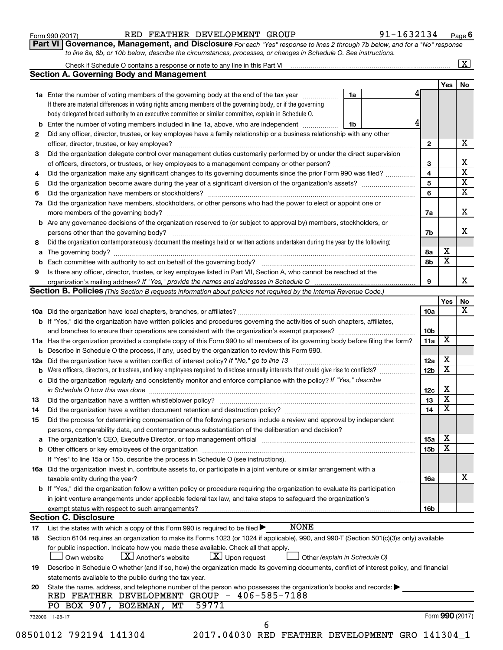| Form 990 (2017) |
|-----------------|
|-----------------|

**Part VI** Governance, Management, and Disclosure For each "Yes" response to lines 2 through 7b below, and for a "No" response *to line 8a, 8b, or 10b below, describe the circumstances, processes, or changes in Schedule O. See instructions.*

|                      |                                                                                                                                           |    | Check if Schedule O contains a response or note to any line in this Part VI [1] [1] [1] [1] [1] [1] [1] [1] [1 |                              | $\mathbf{X}$            |
|----------------------|-------------------------------------------------------------------------------------------------------------------------------------------|----|----------------------------------------------------------------------------------------------------------------|------------------------------|-------------------------|
|                      | <b>Section A. Governing Body and Management</b>                                                                                           |    |                                                                                                                |                              |                         |
|                      |                                                                                                                                           |    |                                                                                                                | Yes                          | No                      |
|                      | 1a Enter the number of voting members of the governing body at the end of the tax year                                                    | 1a |                                                                                                                |                              |                         |
|                      | If there are material differences in voting rights among members of the governing body, or if the governing                               |    |                                                                                                                |                              |                         |
|                      | body delegated broad authority to an executive committee or similar committee, explain in Schedule O.                                     |    |                                                                                                                |                              |                         |
| b                    | Enter the number of voting members included in line 1a, above, who are independent <i>manumum</i>                                         | 1b |                                                                                                                |                              |                         |
| 2                    | Did any officer, director, trustee, or key employee have a family relationship or a business relationship with any other                  |    |                                                                                                                |                              |                         |
|                      | officer, director, trustee, or key employee?                                                                                              |    | $\mathbf{2}$                                                                                                   |                              | x                       |
| 3                    | Did the organization delegate control over management duties customarily performed by or under the direct supervision                     |    |                                                                                                                |                              |                         |
|                      |                                                                                                                                           |    | 3                                                                                                              |                              | х                       |
| 4                    | Did the organization make any significant changes to its governing documents since the prior Form 990 was filed?                          |    | 4                                                                                                              |                              | $\overline{\textbf{x}}$ |
| 5                    |                                                                                                                                           |    | 5                                                                                                              |                              | $\overline{\textbf{X}}$ |
| 6                    |                                                                                                                                           |    | 6                                                                                                              |                              | $\overline{\textbf{x}}$ |
| 7a                   | Did the organization have members, stockholders, or other persons who had the power to elect or appoint one or                            |    |                                                                                                                |                              |                         |
|                      |                                                                                                                                           |    | 7a                                                                                                             |                              | x                       |
|                      | Are any governance decisions of the organization reserved to (or subject to approval by) members, stockholders, or                        |    |                                                                                                                |                              |                         |
| b                    |                                                                                                                                           |    |                                                                                                                |                              | X                       |
|                      |                                                                                                                                           |    | 7b                                                                                                             |                              |                         |
| 8                    | Did the organization contemporaneously document the meetings held or written actions undertaken during the year by the following:         |    |                                                                                                                |                              |                         |
| а                    |                                                                                                                                           |    | 8а                                                                                                             | х<br>$\overline{\textbf{x}}$ |                         |
| b                    |                                                                                                                                           |    | 8b                                                                                                             |                              |                         |
| 9                    | Is there any officer, director, trustee, or key employee listed in Part VII, Section A, who cannot be reached at the                      |    |                                                                                                                |                              |                         |
|                      |                                                                                                                                           |    | 9                                                                                                              |                              | x                       |
|                      | <b>Section B. Policies</b> (This Section B requests information about policies not required by the Internal Revenue Code.)                |    |                                                                                                                |                              |                         |
|                      |                                                                                                                                           |    |                                                                                                                | Yes                          | No                      |
|                      |                                                                                                                                           |    | 10a                                                                                                            |                              | x                       |
|                      | <b>b</b> If "Yes," did the organization have written policies and procedures governing the activities of such chapters, affiliates,       |    |                                                                                                                |                              |                         |
|                      |                                                                                                                                           |    | 10 <sub>b</sub>                                                                                                |                              |                         |
|                      | 11a Has the organization provided a complete copy of this Form 990 to all members of its governing body before filing the form?           |    | 11a                                                                                                            | х                            |                         |
|                      | <b>b</b> Describe in Schedule O the process, if any, used by the organization to review this Form 990.                                    |    |                                                                                                                |                              |                         |
| 12a                  | Did the organization have a written conflict of interest policy? If "No," go to line 13                                                   |    | 12a                                                                                                            | х                            |                         |
| b                    | Were officers, directors, or trustees, and key employees required to disclose annually interests that could give rise to conflicts?       |    | 12 <sub>b</sub>                                                                                                | х                            |                         |
| с                    | Did the organization regularly and consistently monitor and enforce compliance with the policy? If "Yes," describe                        |    |                                                                                                                |                              |                         |
|                      |                                                                                                                                           |    | 12c                                                                                                            | X                            |                         |
| 13                   |                                                                                                                                           |    | 13                                                                                                             | $\overline{\textbf{x}}$      |                         |
| 14                   | Did the organization have a written document retention and destruction policy? [11] manufaction manufaction in                            |    | 14                                                                                                             | $\overline{\mathbf{X}}$      |                         |
| 15                   | Did the process for determining compensation of the following persons include a review and approval by independent                        |    |                                                                                                                |                              |                         |
|                      | persons, comparability data, and contemporaneous substantiation of the deliberation and decision?                                         |    |                                                                                                                |                              |                         |
| а                    |                                                                                                                                           |    | 15a                                                                                                            | х                            |                         |
|                      |                                                                                                                                           |    | 15 <sub>b</sub>                                                                                                | х                            |                         |
|                      | If "Yes" to line 15a or 15b, describe the process in Schedule O (see instructions).                                                       |    |                                                                                                                |                              |                         |
|                      |                                                                                                                                           |    |                                                                                                                |                              |                         |
|                      | 16a Did the organization invest in, contribute assets to, or participate in a joint venture or similar arrangement with a                 |    |                                                                                                                |                              | х                       |
|                      | taxable entity during the year?                                                                                                           |    | 16a                                                                                                            |                              |                         |
|                      |                                                                                                                                           |    |                                                                                                                |                              |                         |
|                      | b If "Yes," did the organization follow a written policy or procedure requiring the organization to evaluate its participation            |    |                                                                                                                |                              |                         |
|                      | in joint venture arrangements under applicable federal tax law, and take steps to safeguard the organization's                            |    |                                                                                                                |                              |                         |
|                      | exempt status with respect to such arrangements?                                                                                          |    | 16b                                                                                                            |                              |                         |
|                      | <b>Section C. Disclosure</b>                                                                                                              |    |                                                                                                                |                              |                         |
|                      | <b>NONE</b><br>List the states with which a copy of this Form 990 is required to be filed $\blacktriangleright$                           |    |                                                                                                                |                              |                         |
|                      | Section 6104 requires an organization to make its Forms 1023 (or 1024 if applicable), 990, and 990-T (Section 501(c)(3)s only) available  |    |                                                                                                                |                              |                         |
|                      | for public inspection. Indicate how you made these available. Check all that apply.                                                       |    |                                                                                                                |                              |                         |
|                      | $\lfloor x \rfloor$ Upon request<br>$\lfloor X \rfloor$ Another's website<br>Own website<br>Other (explain in Schedule O)                 |    |                                                                                                                |                              |                         |
|                      |                                                                                                                                           |    |                                                                                                                |                              |                         |
|                      | Describe in Schedule O whether (and if so, how) the organization made its governing documents, conflict of interest policy, and financial |    |                                                                                                                |                              |                         |
|                      | statements available to the public during the tax year.                                                                                   |    |                                                                                                                |                              |                         |
|                      | State the name, address, and telephone number of the person who possesses the organization's books and records:                           |    |                                                                                                                |                              |                         |
|                      | RED FEATHER DEVELOPMENT GROUP - 406-585-7188                                                                                              |    |                                                                                                                |                              |                         |
|                      | 59771<br>PO BOX 907, BOZEMAN, MT                                                                                                          |    |                                                                                                                |                              |                         |
| 17<br>18<br>19<br>20 | 732006 11-28-17<br>6                                                                                                                      |    |                                                                                                                | Form 990 (2017)              |                         |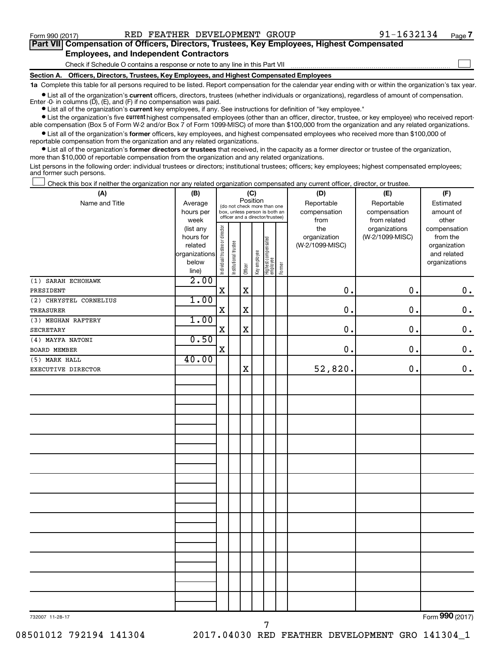$\Box$ 

| Part VII Compensation of Officers, Directors, Trustees, Key Employees, Highest Compensated |
|--------------------------------------------------------------------------------------------|
| <b>Employees, and Independent Contractors</b>                                              |

Check if Schedule O contains a response or note to any line in this Part VII

**Section A. Officers, Directors, Trustees, Key Employees, and Highest Compensated Employees**

**1a**  Complete this table for all persons required to be listed. Report compensation for the calendar year ending with or within the organization's tax year.

 $\bullet$  List all of the organization's current officers, directors, trustees (whether individuals or organizations), regardless of amount of compensation. Enter -0- in columns  $(D)$ ,  $(E)$ , and  $(F)$  if no compensation was paid.

**•** List all of the organization's **current** key employees, if any. See instructions for definition of "key employee."

**•** List the organization's five current highest compensated employees (other than an officer, director, trustee, or key employee) who received reportable compensation (Box 5 of Form W-2 and/or Box 7 of Form 1099-MISC) of more than \$100,000 from the organization and any related organizations.

**•** List all of the organization's former officers, key employees, and highest compensated employees who received more than \$100,000 of reportable compensation from the organization and any related organizations.

**•** List all of the organization's former directors or trustees that received, in the capacity as a former director or trustee of the organization, more than \$10,000 of reportable compensation from the organization and any related organizations.

List persons in the following order: individual trustees or directors; institutional trustees; officers; key employees; highest compensated employees; and former such persons.

Check this box if neither the organization nor any related organization compensated any current officer, director, or trustee.  $\Box$ 

| (A)                    | (B)                    |                                |                                                                  |             | (C)          |                                 |        | (D)             | (E)             | (F)                          |
|------------------------|------------------------|--------------------------------|------------------------------------------------------------------|-------------|--------------|---------------------------------|--------|-----------------|-----------------|------------------------------|
| Name and Title         | Average                |                                | (do not check more than one                                      | Position    |              |                                 |        | Reportable      | Reportable      | Estimated                    |
|                        | hours per              |                                | box, unless person is both an<br>officer and a director/trustee) |             |              |                                 |        | compensation    | compensation    | amount of                    |
|                        | week                   |                                |                                                                  |             |              |                                 |        | from            | from related    | other                        |
|                        | (list any              |                                |                                                                  |             |              |                                 |        | the             | organizations   | compensation                 |
|                        | hours for              |                                |                                                                  |             |              |                                 |        | organization    | (W-2/1099-MISC) | from the                     |
|                        | related                |                                |                                                                  |             |              |                                 |        | (W-2/1099-MISC) |                 | organization                 |
|                        | organizations<br>below |                                |                                                                  |             |              |                                 |        |                 |                 | and related<br>organizations |
|                        | line)                  | Individual trustee or director | Institutional trustee                                            | Officer     | Key employee | Highest compensated<br>employee | Former |                 |                 |                              |
| (1) SARAH ECHOHAWK     | 2.00                   |                                |                                                                  |             |              |                                 |        |                 |                 |                              |
| PRESIDENT              |                        | $\mathbf X$                    |                                                                  | $\mathbf X$ |              |                                 |        | 0.              | 0.              | $\boldsymbol{0}$ .           |
| (2) CHRYSTEL CORNELIUS | 1.00                   |                                |                                                                  |             |              |                                 |        |                 |                 |                              |
| <b>TREASURER</b>       |                        | $\rm X$                        |                                                                  | $\mathbf X$ |              |                                 |        | $\mathbf 0$ .   | 0.              | $\mathbf 0$ .                |
| (3) MEGHAN RAFTERY     | 1.00                   |                                |                                                                  |             |              |                                 |        |                 |                 |                              |
| SECRETARY              |                        | X                              |                                                                  | $\mathbf x$ |              |                                 |        | 0.              | 0.              | $\mathbf 0$ .                |
| (4) MAYFA NATONI       | 0.50                   |                                |                                                                  |             |              |                                 |        |                 |                 |                              |
| BOARD MEMBER           |                        | $\mathbf X$                    |                                                                  |             |              |                                 |        | 0.              | 0.              | $\mathbf 0$ .                |
| (5) MARK HALL          | 40.00                  |                                |                                                                  |             |              |                                 |        |                 |                 |                              |
| EXECUTIVE DIRECTOR     |                        |                                |                                                                  | $\mathbf X$ |              |                                 |        | 52,820.         | 0.              | $0$ .                        |
|                        |                        |                                |                                                                  |             |              |                                 |        |                 |                 |                              |
|                        |                        |                                |                                                                  |             |              |                                 |        |                 |                 |                              |
|                        |                        |                                |                                                                  |             |              |                                 |        |                 |                 |                              |
|                        |                        |                                |                                                                  |             |              |                                 |        |                 |                 |                              |
|                        |                        |                                |                                                                  |             |              |                                 |        |                 |                 |                              |
|                        |                        |                                |                                                                  |             |              |                                 |        |                 |                 |                              |
|                        |                        |                                |                                                                  |             |              |                                 |        |                 |                 |                              |
|                        |                        |                                |                                                                  |             |              |                                 |        |                 |                 |                              |
|                        |                        |                                |                                                                  |             |              |                                 |        |                 |                 |                              |
|                        |                        |                                |                                                                  |             |              |                                 |        |                 |                 |                              |
|                        |                        |                                |                                                                  |             |              |                                 |        |                 |                 |                              |
|                        |                        |                                |                                                                  |             |              |                                 |        |                 |                 |                              |
|                        |                        |                                |                                                                  |             |              |                                 |        |                 |                 |                              |
|                        |                        |                                |                                                                  |             |              |                                 |        |                 |                 |                              |
|                        |                        |                                |                                                                  |             |              |                                 |        |                 |                 |                              |
|                        |                        |                                |                                                                  |             |              |                                 |        |                 |                 |                              |
|                        |                        |                                |                                                                  |             |              |                                 |        |                 |                 |                              |
|                        |                        |                                |                                                                  |             |              |                                 |        |                 |                 |                              |
|                        |                        |                                |                                                                  |             |              |                                 |        |                 |                 |                              |
|                        |                        |                                |                                                                  |             |              |                                 |        |                 |                 |                              |
|                        |                        |                                |                                                                  |             |              |                                 |        |                 |                 |                              |
|                        |                        |                                |                                                                  |             |              |                                 |        |                 |                 |                              |

7

Form (2017) **990**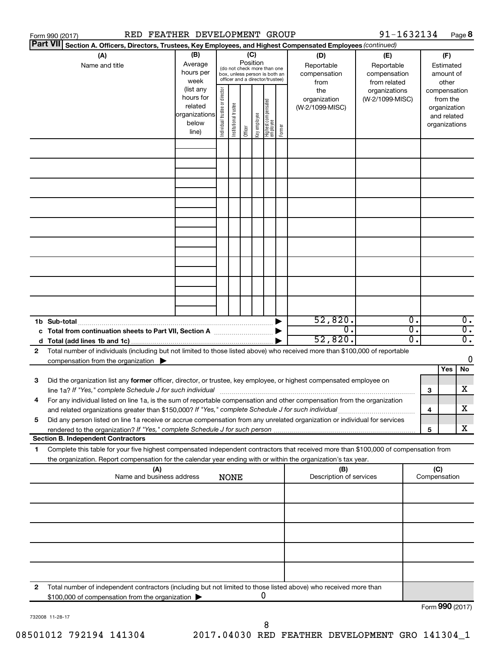|    | RED FEATHER DEVELOPMENT GROUP<br>Form 990 (2017)                                                                                     |               |                                |                       |          |              |                                                              |        |                         | 91-1632134      |                             |                 |             | Page 8           |
|----|--------------------------------------------------------------------------------------------------------------------------------------|---------------|--------------------------------|-----------------------|----------|--------------|--------------------------------------------------------------|--------|-------------------------|-----------------|-----------------------------|-----------------|-------------|------------------|
|    | <b>Part VII</b><br>Section A. Officers, Directors, Trustees, Key Employees, and Highest Compensated Employees (continued)            |               |                                |                       |          |              |                                                              |        |                         |                 |                             |                 |             |                  |
|    | (A)                                                                                                                                  | (B)           |                                |                       |          | (C)          |                                                              |        | (D)                     | (E)             |                             |                 | (F)         |                  |
|    | Name and title                                                                                                                       | Average       |                                |                       | Position |              |                                                              |        | Reportable              | Reportable      |                             |                 | Estimated   |                  |
|    |                                                                                                                                      | hours per     |                                |                       |          |              | (do not check more than one<br>box, unless person is both an |        | compensation            | compensation    |                             |                 | amount of   |                  |
|    |                                                                                                                                      | week          |                                |                       |          |              | officer and a director/trustee)                              |        | from                    | from related    |                             |                 | other       |                  |
|    |                                                                                                                                      | (list any     |                                |                       |          |              |                                                              |        | the                     | organizations   |                             | compensation    |             |                  |
|    |                                                                                                                                      | hours for     |                                |                       |          |              |                                                              |        | organization            | (W-2/1099-MISC) |                             |                 | from the    |                  |
|    |                                                                                                                                      | related       |                                |                       |          |              |                                                              |        | (W-2/1099-MISC)         |                 |                             | organization    |             |                  |
|    |                                                                                                                                      | organizations |                                |                       |          |              |                                                              |        |                         |                 |                             |                 | and related |                  |
|    |                                                                                                                                      | below         | Individual trustee or director | Institutional trustee |          | Key employee |                                                              |        |                         |                 |                             | organizations   |             |                  |
|    |                                                                                                                                      | line)         |                                |                       | Officer  |              | Highest compensated<br>  employee                            | Former |                         |                 |                             |                 |             |                  |
|    |                                                                                                                                      |               |                                |                       |          |              |                                                              |        |                         |                 |                             |                 |             |                  |
|    |                                                                                                                                      |               |                                |                       |          |              |                                                              |        |                         |                 |                             |                 |             |                  |
|    |                                                                                                                                      |               |                                |                       |          |              |                                                              |        |                         |                 |                             |                 |             |                  |
|    |                                                                                                                                      |               |                                |                       |          |              |                                                              |        |                         |                 |                             |                 |             |                  |
|    |                                                                                                                                      |               |                                |                       |          |              |                                                              |        |                         |                 |                             |                 |             |                  |
|    |                                                                                                                                      |               |                                |                       |          |              |                                                              |        |                         |                 |                             |                 |             |                  |
|    |                                                                                                                                      |               |                                |                       |          |              |                                                              |        |                         |                 |                             |                 |             |                  |
|    |                                                                                                                                      |               |                                |                       |          |              |                                                              |        |                         |                 |                             |                 |             |                  |
|    |                                                                                                                                      |               |                                |                       |          |              |                                                              |        |                         |                 |                             |                 |             |                  |
|    |                                                                                                                                      |               |                                |                       |          |              |                                                              |        |                         |                 |                             |                 |             |                  |
|    |                                                                                                                                      |               |                                |                       |          |              |                                                              |        |                         |                 |                             |                 |             |                  |
|    |                                                                                                                                      |               |                                |                       |          |              |                                                              |        |                         |                 |                             |                 |             |                  |
|    |                                                                                                                                      |               |                                |                       |          |              |                                                              |        |                         |                 |                             |                 |             |                  |
|    |                                                                                                                                      |               |                                |                       |          |              |                                                              |        |                         |                 |                             |                 |             |                  |
|    |                                                                                                                                      |               |                                |                       |          |              |                                                              |        |                         |                 |                             |                 |             |                  |
|    |                                                                                                                                      |               |                                |                       |          |              |                                                              |        |                         |                 |                             |                 |             |                  |
|    |                                                                                                                                      |               |                                |                       |          |              |                                                              |        |                         |                 |                             |                 |             |                  |
|    |                                                                                                                                      |               |                                |                       |          |              |                                                              |        |                         |                 |                             |                 |             |                  |
|    |                                                                                                                                      |               |                                |                       |          |              |                                                              |        |                         |                 |                             |                 |             |                  |
|    |                                                                                                                                      |               |                                |                       |          |              |                                                              |        | 52,820.                 |                 | $\overline{\mathfrak{o}}$ . |                 |             | $\overline{0}$ . |
|    | c Total from continuation sheets to Part VII, Section A manufactured by                                                              |               |                                |                       |          |              |                                                              |        | σ.                      |                 | σ.                          |                 |             | $\overline{0}$ . |
|    |                                                                                                                                      |               |                                |                       |          |              |                                                              |        | 52,820.                 |                 | σ.                          |                 |             | $\overline{0}$ . |
| 2  | Total number of individuals (including but not limited to those listed above) who received more than \$100,000 of reportable         |               |                                |                       |          |              |                                                              |        |                         |                 |                             |                 |             |                  |
|    | compensation from the organization $\blacktriangleright$                                                                             |               |                                |                       |          |              |                                                              |        |                         |                 |                             |                 |             | 0                |
|    |                                                                                                                                      |               |                                |                       |          |              |                                                              |        |                         |                 |                             |                 | Yes         | No               |
| 3  | Did the organization list any former officer, director, or trustee, key employee, or highest compensated employee on                 |               |                                |                       |          |              |                                                              |        |                         |                 |                             |                 |             |                  |
|    |                                                                                                                                      |               |                                |                       |          |              |                                                              |        |                         |                 |                             | 3               |             | X                |
|    | For any individual listed on line 1a, is the sum of reportable compensation and other compensation from the organization             |               |                                |                       |          |              |                                                              |        |                         |                 |                             |                 |             |                  |
|    | and related organizations greater than \$150,000? If "Yes," complete Schedule J for such individual                                  |               |                                |                       |          |              |                                                              |        |                         |                 |                             | 4               |             | х                |
| 5  | Did any person listed on line 1a receive or accrue compensation from any unrelated organization or individual for services           |               |                                |                       |          |              |                                                              |        |                         |                 |                             |                 |             |                  |
|    |                                                                                                                                      |               |                                |                       |          |              |                                                              |        |                         |                 |                             | 5               |             | X                |
|    | <b>Section B. Independent Contractors</b>                                                                                            |               |                                |                       |          |              |                                                              |        |                         |                 |                             |                 |             |                  |
| 1. | Complete this table for your five highest compensated independent contractors that received more than \$100,000 of compensation from |               |                                |                       |          |              |                                                              |        |                         |                 |                             |                 |             |                  |
|    | the organization. Report compensation for the calendar year ending with or within the organization's tax year.                       |               |                                |                       |          |              |                                                              |        |                         |                 |                             |                 |             |                  |
|    | (A)                                                                                                                                  |               |                                |                       |          |              |                                                              |        | (B)                     |                 |                             | (C)             |             |                  |
|    | Name and business address                                                                                                            |               |                                | <b>NONE</b>           |          |              |                                                              |        | Description of services |                 |                             | Compensation    |             |                  |
|    |                                                                                                                                      |               |                                |                       |          |              |                                                              |        |                         |                 |                             |                 |             |                  |
|    |                                                                                                                                      |               |                                |                       |          |              |                                                              |        |                         |                 |                             |                 |             |                  |
|    |                                                                                                                                      |               |                                |                       |          |              |                                                              |        |                         |                 |                             |                 |             |                  |
|    |                                                                                                                                      |               |                                |                       |          |              |                                                              |        |                         |                 |                             |                 |             |                  |
|    |                                                                                                                                      |               |                                |                       |          |              |                                                              |        |                         |                 |                             |                 |             |                  |
|    |                                                                                                                                      |               |                                |                       |          |              |                                                              |        |                         |                 |                             |                 |             |                  |
|    |                                                                                                                                      |               |                                |                       |          |              |                                                              |        |                         |                 |                             |                 |             |                  |
|    |                                                                                                                                      |               |                                |                       |          |              |                                                              |        |                         |                 |                             |                 |             |                  |
|    |                                                                                                                                      |               |                                |                       |          |              |                                                              |        |                         |                 |                             |                 |             |                  |
|    |                                                                                                                                      |               |                                |                       |          |              |                                                              |        |                         |                 |                             |                 |             |                  |
|    |                                                                                                                                      |               |                                |                       |          |              |                                                              |        |                         |                 |                             |                 |             |                  |
| 2  | Total number of independent contractors (including but not limited to those listed above) who received more than                     |               |                                |                       |          |              |                                                              |        |                         |                 |                             |                 |             |                  |
|    | \$100,000 of compensation from the organization                                                                                      |               |                                |                       |          |              | 0                                                            |        |                         |                 |                             |                 |             |                  |
|    |                                                                                                                                      |               |                                |                       |          |              |                                                              |        |                         |                 |                             | Form 990 (2017) |             |                  |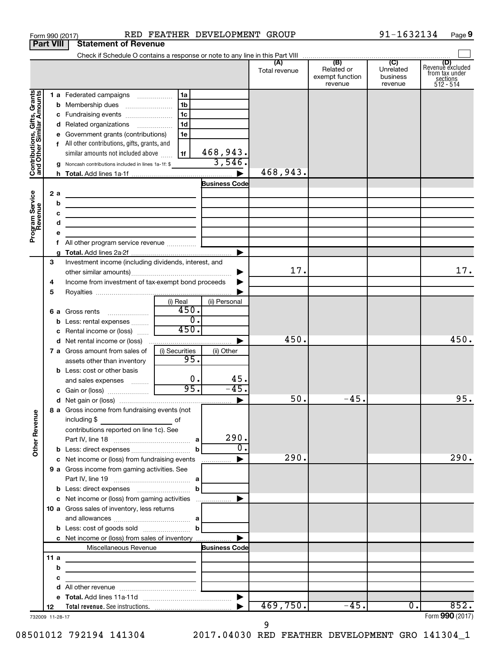|                                                           | <b>Part VIII</b> | <b>Statement of Revenue</b>                                                                        |                                           |                          |                      |                                                 |                                         |                                                                    |
|-----------------------------------------------------------|------------------|----------------------------------------------------------------------------------------------------|-------------------------------------------|--------------------------|----------------------|-------------------------------------------------|-----------------------------------------|--------------------------------------------------------------------|
|                                                           |                  |                                                                                                    |                                           |                          |                      |                                                 |                                         |                                                                    |
|                                                           |                  |                                                                                                    |                                           |                          | (A)<br>Total revenue | (B)<br>Related or<br>exempt function<br>revenue | (C)<br>Unrelated<br>business<br>revenue | (D)<br>Revenue excluded<br>from tax under<br>sections<br>512 - 514 |
|                                                           |                  | 1 a Federated campaigns                                                                            | 1a                                        |                          |                      |                                                 |                                         |                                                                    |
|                                                           |                  |                                                                                                    | 1 <sub>b</sub>                            |                          |                      |                                                 |                                         |                                                                    |
|                                                           |                  | c Fundraising events                                                                               | 1 <sub>c</sub>                            |                          |                      |                                                 |                                         |                                                                    |
|                                                           |                  | d Related organizations                                                                            | 1 <sub>d</sub>                            |                          |                      |                                                 |                                         |                                                                    |
| Contributions, Gifts, Grants<br>and Other Similar Amounts |                  | e Government grants (contributions)                                                                | 1e                                        |                          |                      |                                                 |                                         |                                                                    |
|                                                           |                  | f All other contributions, gifts, grants, and                                                      |                                           |                          |                      |                                                 |                                         |                                                                    |
|                                                           |                  | similar amounts not included above                                                                 | 1f                                        | 468,943.                 |                      |                                                 |                                         |                                                                    |
|                                                           |                  | g Noncash contributions included in lines 1a-1f: \$                                                |                                           | 3,546.                   |                      |                                                 |                                         |                                                                    |
|                                                           |                  |                                                                                                    |                                           | ▶                        | 468,943.             |                                                 |                                         |                                                                    |
|                                                           |                  |                                                                                                    |                                           | <b>Business Code</b>     |                      |                                                 |                                         |                                                                    |
| Program Service<br>Revenue                                | 2a               |                                                                                                    |                                           |                          |                      |                                                 |                                         |                                                                    |
|                                                           | b                | the contract of the contract of the contract of the contract of the contract of                    |                                           |                          |                      |                                                 |                                         |                                                                    |
|                                                           | с                | the control of the control of the control of the control of the control of                         |                                           |                          |                      |                                                 |                                         |                                                                    |
|                                                           | d                | the control of the control of the control of the control of the control of                         |                                           |                          |                      |                                                 |                                         |                                                                    |
|                                                           |                  |                                                                                                    |                                           |                          |                      |                                                 |                                         |                                                                    |
|                                                           |                  |                                                                                                    |                                           | ►                        |                      |                                                 |                                         |                                                                    |
|                                                           | 3                | Investment income (including dividends, interest, and                                              |                                           |                          |                      |                                                 |                                         |                                                                    |
|                                                           |                  |                                                                                                    |                                           |                          | 17.                  |                                                 |                                         | 17.                                                                |
|                                                           | 4                | Income from investment of tax-exempt bond proceeds                                                 |                                           |                          |                      |                                                 |                                         |                                                                    |
|                                                           | 5                |                                                                                                    |                                           |                          |                      |                                                 |                                         |                                                                    |
|                                                           |                  |                                                                                                    | (i) Real                                  | (ii) Personal            |                      |                                                 |                                         |                                                                    |
|                                                           |                  | 6 a Gross rents                                                                                    | 450.                                      |                          |                      |                                                 |                                         |                                                                    |
|                                                           |                  | <b>b</b> Less: rental expenses                                                                     | $\overline{0}$ .                          |                          |                      |                                                 |                                         |                                                                    |
|                                                           |                  | c Rental income or (loss)                                                                          | 450.                                      |                          |                      |                                                 |                                         |                                                                    |
|                                                           |                  |                                                                                                    |                                           | ▶                        | 450.                 |                                                 |                                         | 450.                                                               |
|                                                           |                  | 7 a Gross amount from sales of                                                                     | (i) Securities                            | (ii) Other               |                      |                                                 |                                         |                                                                    |
|                                                           |                  | assets other than inventory                                                                        | 95.                                       |                          |                      |                                                 |                                         |                                                                    |
|                                                           |                  | <b>b</b> Less: cost or other basis                                                                 | 0.                                        | 45.                      |                      |                                                 |                                         |                                                                    |
|                                                           |                  | and sales expenses                                                                                 | 95.                                       | $-45.$                   |                      |                                                 |                                         |                                                                    |
|                                                           |                  |                                                                                                    |                                           | $\blacktriangleright$    | 50.                  | $-45.$                                          |                                         | 95.                                                                |
|                                                           |                  | 8 a Gross income from fundraising events (not                                                      |                                           |                          |                      |                                                 |                                         |                                                                    |
| <b>Other Revenue</b>                                      |                  | including \$<br><u> 1990 - Johann Barbara, martin a</u><br>contributions reported on line 1c). See | of                                        |                          |                      |                                                 |                                         |                                                                    |
|                                                           |                  |                                                                                                    |                                           | 290.<br>$\overline{0}$ . |                      |                                                 |                                         |                                                                    |
|                                                           |                  |                                                                                                    | b                                         |                          | 290.                 |                                                 |                                         | 290.                                                               |
|                                                           |                  | c Net income or (loss) from fundraising events                                                     |                                           | ▶<br>.                   |                      |                                                 |                                         |                                                                    |
|                                                           |                  | 9 a Gross income from gaming activities. See                                                       |                                           |                          |                      |                                                 |                                         |                                                                    |
|                                                           |                  | <b>b</b> Less: direct expenses <b>contained b</b>                                                  |                                           |                          |                      |                                                 |                                         |                                                                    |
|                                                           |                  |                                                                                                    |                                           |                          |                      |                                                 |                                         |                                                                    |
|                                                           |                  | 10 a Gross sales of inventory, less returns                                                        |                                           |                          |                      |                                                 |                                         |                                                                    |
|                                                           |                  |                                                                                                    |                                           |                          |                      |                                                 |                                         |                                                                    |
|                                                           |                  | <b>b</b> Less: cost of goods sold $\ldots$ <b>b</b>                                                |                                           |                          |                      |                                                 |                                         |                                                                    |
|                                                           |                  | c Net income or (loss) from sales of inventory                                                     |                                           | ▶                        |                      |                                                 |                                         |                                                                    |
|                                                           |                  | Miscellaneous Revenue                                                                              |                                           | <b>Business Code</b>     |                      |                                                 |                                         |                                                                    |
|                                                           | 11 a             |                                                                                                    |                                           |                          |                      |                                                 |                                         |                                                                    |
|                                                           | b                |                                                                                                    |                                           |                          |                      |                                                 |                                         |                                                                    |
|                                                           | с                |                                                                                                    | <u> 1989 - Johann Barn, mars et al. (</u> |                          |                      |                                                 |                                         |                                                                    |
|                                                           | d                |                                                                                                    |                                           |                          |                      |                                                 |                                         |                                                                    |
|                                                           |                  |                                                                                                    |                                           | $\blacktriangleright$    |                      |                                                 |                                         |                                                                    |
|                                                           | 12               |                                                                                                    |                                           |                          | 469,750.             | $-45.$                                          | $\overline{0}$ .                        | 852.                                                               |
|                                                           | 732009 11-28-17  |                                                                                                    |                                           |                          |                      |                                                 |                                         | Form 990 (2017)                                                    |

Form 990 (2017) RED FEATHER DEVELOPMENT GROUP 91-1632134 Page

**9**

9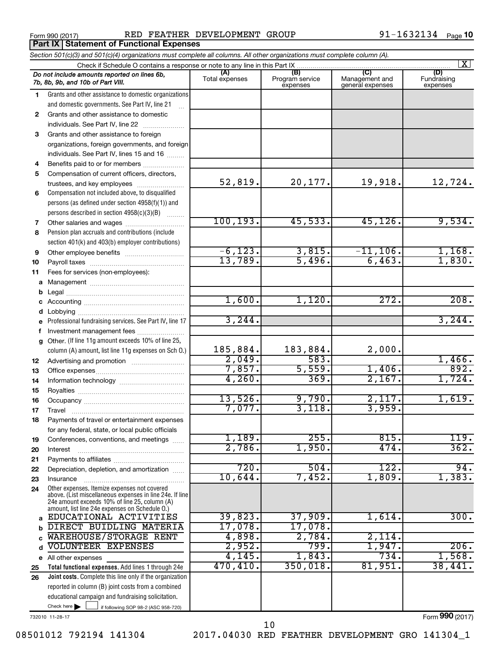**Part IX | Statement of Functional Expenses** 

Form 990 (2017) Page RED FEATHER DEVELOPMENT GROUP 91-1632134

|              | Section 501(c)(3) and 501(c)(4) organizations must complete all columns. All other organizations must complete column (A).<br>$\overline{\mathbf{x}}$<br>Check if Schedule O contains a response or note to any line in this Part IX |                |                             |                                    |                         |  |  |  |  |  |  |
|--------------|--------------------------------------------------------------------------------------------------------------------------------------------------------------------------------------------------------------------------------------|----------------|-----------------------------|------------------------------------|-------------------------|--|--|--|--|--|--|
|              |                                                                                                                                                                                                                                      | (A)            | (B)                         | (C)                                | (D)                     |  |  |  |  |  |  |
|              | Do not include amounts reported on lines 6b,<br>7b, 8b, 9b, and 10b of Part VIII.                                                                                                                                                    | Total expenses | Program service<br>expenses | Management and<br>general expenses | Fundraising<br>expenses |  |  |  |  |  |  |
| 1.           | Grants and other assistance to domestic organizations                                                                                                                                                                                |                |                             |                                    |                         |  |  |  |  |  |  |
|              | and domestic governments. See Part IV, line 21                                                                                                                                                                                       |                |                             |                                    |                         |  |  |  |  |  |  |
| $\mathbf{2}$ | Grants and other assistance to domestic                                                                                                                                                                                              |                |                             |                                    |                         |  |  |  |  |  |  |
|              | individuals. See Part IV, line 22                                                                                                                                                                                                    |                |                             |                                    |                         |  |  |  |  |  |  |
| 3            | Grants and other assistance to foreign                                                                                                                                                                                               |                |                             |                                    |                         |  |  |  |  |  |  |
|              | organizations, foreign governments, and foreign                                                                                                                                                                                      |                |                             |                                    |                         |  |  |  |  |  |  |
|              | individuals. See Part IV, lines 15 and 16                                                                                                                                                                                            |                |                             |                                    |                         |  |  |  |  |  |  |
| 4            | Benefits paid to or for members                                                                                                                                                                                                      |                |                             |                                    |                         |  |  |  |  |  |  |
| 5            | Compensation of current officers, directors,                                                                                                                                                                                         | 52,819.        |                             |                                    | 12,724.                 |  |  |  |  |  |  |
|              | trustees, and key employees                                                                                                                                                                                                          |                | 20,177.                     | 19,918.                            |                         |  |  |  |  |  |  |
| 6            | Compensation not included above, to disqualified                                                                                                                                                                                     |                |                             |                                    |                         |  |  |  |  |  |  |
|              | persons (as defined under section 4958(f)(1)) and                                                                                                                                                                                    |                |                             |                                    |                         |  |  |  |  |  |  |
|              | persons described in section 4958(c)(3)(B)<br>$\overline{\phantom{a}}$                                                                                                                                                               | 100, 193.      | 45,533.                     | 45, 126.                           | 9,534.                  |  |  |  |  |  |  |
| 7            | Pension plan accruals and contributions (include                                                                                                                                                                                     |                |                             |                                    |                         |  |  |  |  |  |  |
| 8            | section 401(k) and 403(b) employer contributions)                                                                                                                                                                                    |                |                             |                                    |                         |  |  |  |  |  |  |
| 9            |                                                                                                                                                                                                                                      | $-6, 123.$     | 3,815.                      | $-11, 106.$                        | 1,168.                  |  |  |  |  |  |  |
| 10           |                                                                                                                                                                                                                                      | 13,789.        | 5,496.                      | 6,463.                             | 1,830.                  |  |  |  |  |  |  |
| 11           | Fees for services (non-employees):                                                                                                                                                                                                   |                |                             |                                    |                         |  |  |  |  |  |  |
|              |                                                                                                                                                                                                                                      |                |                             |                                    |                         |  |  |  |  |  |  |
| b            |                                                                                                                                                                                                                                      |                |                             |                                    |                         |  |  |  |  |  |  |
| с            |                                                                                                                                                                                                                                      | 1,600.         | 1,120.                      | 272.                               | 208.                    |  |  |  |  |  |  |
| d            |                                                                                                                                                                                                                                      |                |                             |                                    |                         |  |  |  |  |  |  |
| е            | Professional fundraising services. See Part IV, line 17                                                                                                                                                                              | 3, 244.        |                             |                                    | 3, 244.                 |  |  |  |  |  |  |
| f            | Investment management fees                                                                                                                                                                                                           |                |                             |                                    |                         |  |  |  |  |  |  |
| g            | Other. (If line 11g amount exceeds 10% of line 25,                                                                                                                                                                                   |                |                             |                                    |                         |  |  |  |  |  |  |
|              | column (A) amount, list line 11g expenses on Sch O.)                                                                                                                                                                                 | 185,884.       | 183,884.                    | 2,000.                             |                         |  |  |  |  |  |  |
| 12           |                                                                                                                                                                                                                                      | 2,049.         | 583.                        |                                    | 1,466.                  |  |  |  |  |  |  |
| 13           |                                                                                                                                                                                                                                      | 7,857.         | 5,559.                      | 1,406.                             | 892.                    |  |  |  |  |  |  |
| 14           |                                                                                                                                                                                                                                      | 4,260.         | 369.                        | 2,167.                             | 1,724.                  |  |  |  |  |  |  |
| 15           |                                                                                                                                                                                                                                      |                |                             |                                    |                         |  |  |  |  |  |  |
| 16           |                                                                                                                                                                                                                                      | 13,526.        | 9,790.                      | 2,117.                             | 1,619.                  |  |  |  |  |  |  |
| 17           |                                                                                                                                                                                                                                      | 7,077.         | 3,118.                      | 3,959.                             |                         |  |  |  |  |  |  |
| 18           | Payments of travel or entertainment expenses                                                                                                                                                                                         |                |                             |                                    |                         |  |  |  |  |  |  |
|              | for any federal, state, or local public officials                                                                                                                                                                                    |                |                             |                                    |                         |  |  |  |  |  |  |
| 19           | Conferences, conventions, and meetings                                                                                                                                                                                               | 1,189.         | 255.                        | 815.<br>474.                       | 119.                    |  |  |  |  |  |  |
| 20           | Interest                                                                                                                                                                                                                             | 2,786.         | 1,950.                      |                                    | 362.                    |  |  |  |  |  |  |
| 21           |                                                                                                                                                                                                                                      | 720.           | 504.                        | 122.                               | 94.                     |  |  |  |  |  |  |
| 22           | Depreciation, depletion, and amortization                                                                                                                                                                                            | 10,644.        | 7,452.                      | 1,809.                             | 1,383.                  |  |  |  |  |  |  |
| 23           | Insurance<br>Other expenses. Itemize expenses not covered                                                                                                                                                                            |                |                             |                                    |                         |  |  |  |  |  |  |
| 24           | above. (List miscellaneous expenses in line 24e. If line<br>24e amount exceeds 10% of line 25, column (A)<br>amount, list line 24e expenses on Schedule O.)                                                                          |                |                             |                                    |                         |  |  |  |  |  |  |
| a            | EDUCATIONAL ACTIVITIES                                                                                                                                                                                                               | 39,823.        | 37,909.                     | 1,614.                             | 300.                    |  |  |  |  |  |  |
| b            | DIRECT BUIDLING MATERIA                                                                                                                                                                                                              | 17,078.        | 17,078.                     |                                    |                         |  |  |  |  |  |  |
|              | WAREHOUSE/STORAGE RENT                                                                                                                                                                                                               | 4,898.         | 2,784.                      | 2,114.                             |                         |  |  |  |  |  |  |
| d            | VOLUNTEER EXPENSES                                                                                                                                                                                                                   | 2,952.         | 799.                        | 1,947.                             | 206.                    |  |  |  |  |  |  |
|              | e All other expenses                                                                                                                                                                                                                 | 4,145.         | 1,843.                      | 734.                               | 1,568.                  |  |  |  |  |  |  |
| 25           | Total functional expenses. Add lines 1 through 24e                                                                                                                                                                                   | 470,410.       | 350,018.                    | 81,951.                            | 38,441.                 |  |  |  |  |  |  |
| 26           | Joint costs. Complete this line only if the organization                                                                                                                                                                             |                |                             |                                    |                         |  |  |  |  |  |  |
|              | reported in column (B) joint costs from a combined                                                                                                                                                                                   |                |                             |                                    |                         |  |  |  |  |  |  |
|              | educational campaign and fundraising solicitation.                                                                                                                                                                                   |                |                             |                                    |                         |  |  |  |  |  |  |
|              | Check here $\blacktriangleright$<br>if following SOP 98-2 (ASC 958-720)                                                                                                                                                              |                |                             |                                    |                         |  |  |  |  |  |  |

732010 11-28-17

08501012 792194 141304 2017.04030 RED FEATHER DEVELOPMENT GRO 141304\_1

10

Form (2017) **990**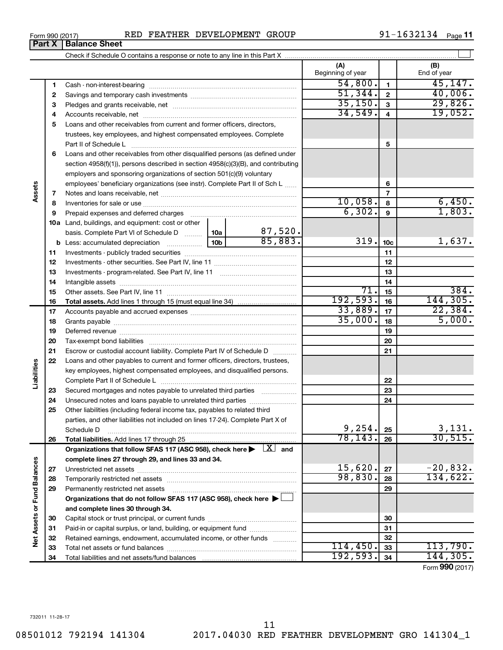**Net Assets or Fund Balances**

**Vet Assets or Fund Balances** 

**Assets**

**Liabilities**

 $114,450.$  33 113,790.  $192,593.$   $34$  144,305.

Form (2017) **990**

Form 990 (2017) Page RED FEATHER DEVELOPMENT GROUP 91-1632134

**Organizations that do not follow SFAS 117 (ASC 958), check here** | †

Capital stock or trust principal, or current funds ~~~~~~~~~~~~~~~ Paid-in or capital surplus, or land, building, or equipment fund ....................... Retained earnings, endowment, accumulated income, or other funds ............ Total net assets or fund balances ~~~~~~~~~~~~~~~~~~~~~~

**and complete lines 30 through 34.**

Total liabilities and net assets/fund balances

**(A) (B) 1 2 3** Pledges and grants receivable, net ~~~~~~~~~~~~~~~~~~~~~ **4** Accounts receivable, net ~~~~~~~~~~~~~~~~~~~~~~~~~~ **5** Loans and other receivables from current and former officers, directors, **6** Loans and other receivables from other disqualified persons (as defined under **7 8 9 10 a** Land, buildings, and equipment: cost or other **11** Investments - publicly traded securities ~~~~~~~~~~~~~~~~~~~ **12** Investments - other securities. See Part IV, line 11 ~~~~~~~~~~~~~~ **13 14 15 16 17 18 19 20 21 22 23 24 25 26 27 28 29 1 2 3 4 5 6 7 8 9 10c 11 12 13 14 15 16 17 18 19 20 21 22 23 24 25 26 b** Less: accumulated depreciation  $\ldots$  [10b basis. Complete Part VI of Schedule D  $\frac{1}{10}$  10a **Total assets.**  Add lines 1 through 15 (must equal line 34) **Total liabilities.**  Add lines 17 through 25 Organizations that follow SFAS 117 (ASC 958), check here  $\blacktriangleright$   $\boxed{X}$  and **complete lines 27 through 29, and lines 33 and 34. 27 28 29** Beginning of year | | End of year Cash - non-interest-bearing ~~~~~~~~~~~~~~~~~~~~~~~~~ Savings and temporary cash investments ~~~~~~~~~~~~~~~~~~ trustees, key employees, and highest compensated employees. Complete Part II of Schedule L ~~~~~~~~~~~~~~~~~~~~~~~~~~~~ section 4958(f)(1)), persons described in section 4958(c)(3)(B), and contributing employers and sponsoring organizations of section 501(c)(9) voluntary employees' beneficiary organizations (see instr). Complete Part II of Sch L ...... Notes and loans receivable, net ~~~~~~~~~~~~~~~~~~~~~~~ Inventories for sale or use ~~~~~~~~~~~~~~~~~~~~~~~~~~ Prepaid expenses and deferred charges ~~~~~~~~~~~~~~~~~~ Investments - program-related. See Part IV, line 11 ~~~~~~~~~~~~~ Intangible assets ~~~~~~~~~~~~~~~~~~~~~~~~~~~~~~ Other assets. See Part IV, line 11 ~~~~~~~~~~~~~~~~~~~~~~ Accounts payable and accrued expenses ~~~~~~~~~~~~~~~~~~ Grants payable ~~~~~~~~~~~~~~~~~~~~~~~~~~~~~~~ Deferred revenue ~~~~~~~~~~~~~~~~~~~~~~~~~~~~~~ Tax-exempt bond liabilities ~~~~~~~~~~~~~~~~~~~~~~~~~ Escrow or custodial account liability. Complete Part IV of Schedule D ........... Loans and other payables to current and former officers, directors, trustees, key employees, highest compensated employees, and disqualified persons. Complete Part II of Schedule L ~~~~~~~~~~~~~~~~~~~~~~~ Secured mortgages and notes payable to unrelated third parties  $\ldots$  ................. Unsecured notes and loans payable to unrelated third parties ~~~~~~~~ Other liabilities (including federal income tax, payables to related third parties, and other liabilities not included on lines 17-24). Complete Part X of Schedule D ~~~~~~~~~~~~~~~~~~~~~~~~~~~~~~~~ Unrestricted net assets ~~~~~~~~~~~~~~~~~~~~~~~~~~~ Temporarily restricted net assets ~~~~~~~~~~~~~~~~~~~~~~ Permanently restricted net assets ~~~~~~~~~~~~~~~~~~~~~  $54,800$ .  $1$   $1$   $45,147$ . 51,344. 40,006. 35,150. 29,826. 34,549. 19,052. 10,058. 6,450.  $\overline{6,302.}$  9  $\overline{1,803.}$ 87,520. 85,883. 319. 1<sub>10c</sub> 1,637. 71. 384.  $192,593.$  16 144,305. 33,889. 22,384.  $\overline{35,000.}$  18  $\overline{5,000.}$  $9,254. |25|$  3,131. 78,143. 30,515.  $15,620$ .  $|z_7|$   $-20,832$ . 98,830. 28 134,622.

### Check if Schedule O contains a response or note to any line in this Part X **Part X** | **Balance Sheet**

91-1632134 Page 11

 $\perp$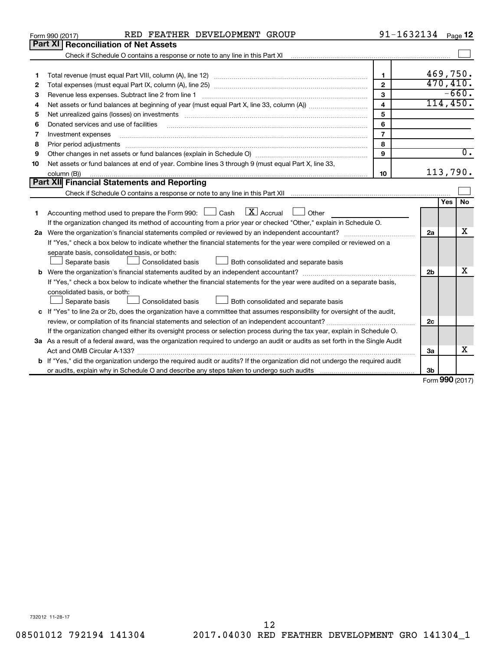|    | RED FEATHER DEVELOPMENT GROUP<br>Form 990 (2017)                                                                                                                                                                                                                                                                                                                                                                                                                             | $91 - 1632134$ Page 12  |                |                     |
|----|------------------------------------------------------------------------------------------------------------------------------------------------------------------------------------------------------------------------------------------------------------------------------------------------------------------------------------------------------------------------------------------------------------------------------------------------------------------------------|-------------------------|----------------|---------------------|
|    | Part XI   Reconciliation of Net Assets                                                                                                                                                                                                                                                                                                                                                                                                                                       |                         |                |                     |
|    | Check if Schedule O contains a response or note to any line in this Part XI [11] [12] Check if Schedule O contains a response or note to any line in this Part XI                                                                                                                                                                                                                                                                                                            |                         |                |                     |
|    |                                                                                                                                                                                                                                                                                                                                                                                                                                                                              |                         |                |                     |
| 1  |                                                                                                                                                                                                                                                                                                                                                                                                                                                                              | $\mathbf{1}$            |                | 469,750.            |
| 2  |                                                                                                                                                                                                                                                                                                                                                                                                                                                                              | $\overline{2}$          |                | 470, 410.           |
| З  | Revenue less expenses. Subtract line 2 from line 1                                                                                                                                                                                                                                                                                                                                                                                                                           | 3                       |                | $-660.$             |
| 4  |                                                                                                                                                                                                                                                                                                                                                                                                                                                                              | $\overline{\mathbf{4}}$ |                | 114,450.            |
| 5  |                                                                                                                                                                                                                                                                                                                                                                                                                                                                              | 5                       |                |                     |
| 6  | Donated services and use of facilities                                                                                                                                                                                                                                                                                                                                                                                                                                       | 6                       |                |                     |
| 7  | Investment expenses                                                                                                                                                                                                                                                                                                                                                                                                                                                          | $\overline{7}$          |                |                     |
| 8  | Prior period adjustments<br>$\begin{minipage}{0.5\textwidth} \begin{tabular}{ l l l } \hline \multicolumn{1}{ l l l } \hline \multicolumn{1}{ l l } \hline \multicolumn{1}{ l } \multicolumn{1}{ l } \hline \multicolumn{1}{ l } \multicolumn{1}{ l } \multicolumn{1}{ l } \hline \multicolumn{1}{ l } \multicolumn{1}{ l } \multicolumn{1}{ l } \hline \multicolumn{1}{ l } \multicolumn{1}{ l } \hline \multicolumn{1}{ l } \multicolumn{1}{ l } \hline \multicolumn{1}{ $ | 8                       |                |                     |
| 9  |                                                                                                                                                                                                                                                                                                                                                                                                                                                                              | $\mathbf{9}$            |                | $\overline{0}$ .    |
| 10 | Net assets or fund balances at end of year. Combine lines 3 through 9 (must equal Part X, line 33,                                                                                                                                                                                                                                                                                                                                                                           |                         |                |                     |
|    | column (B))                                                                                                                                                                                                                                                                                                                                                                                                                                                                  | 10                      |                | 113,790.            |
|    | Part XII Financial Statements and Reporting                                                                                                                                                                                                                                                                                                                                                                                                                                  |                         |                |                     |
|    |                                                                                                                                                                                                                                                                                                                                                                                                                                                                              |                         |                |                     |
|    |                                                                                                                                                                                                                                                                                                                                                                                                                                                                              |                         |                | Yes<br><b>No</b>    |
| 1  | $\mathbf{X}$ Accrual<br>Accounting method used to prepare the Form 990: [130] Cash<br>$\Box$ Other                                                                                                                                                                                                                                                                                                                                                                           |                         |                |                     |
|    | If the organization changed its method of accounting from a prior year or checked "Other," explain in Schedule O.                                                                                                                                                                                                                                                                                                                                                            |                         |                |                     |
|    |                                                                                                                                                                                                                                                                                                                                                                                                                                                                              |                         | 2a             | x                   |
|    | If "Yes," check a box below to indicate whether the financial statements for the year were compiled or reviewed on a                                                                                                                                                                                                                                                                                                                                                         |                         |                |                     |
|    | separate basis, consolidated basis, or both:                                                                                                                                                                                                                                                                                                                                                                                                                                 |                         |                |                     |
|    | Both consolidated and separate basis<br>Separate basis<br>Consolidated basis                                                                                                                                                                                                                                                                                                                                                                                                 |                         |                |                     |
|    |                                                                                                                                                                                                                                                                                                                                                                                                                                                                              |                         | 2 <sub>b</sub> | x                   |
|    | If "Yes," check a box below to indicate whether the financial statements for the year were audited on a separate basis,                                                                                                                                                                                                                                                                                                                                                      |                         |                |                     |
|    | consolidated basis, or both:                                                                                                                                                                                                                                                                                                                                                                                                                                                 |                         |                |                     |
|    | Separate basis<br>Consolidated basis<br>Both consolidated and separate basis                                                                                                                                                                                                                                                                                                                                                                                                 |                         |                |                     |
|    | c If "Yes" to line 2a or 2b, does the organization have a committee that assumes responsibility for oversight of the audit,                                                                                                                                                                                                                                                                                                                                                  |                         |                |                     |
|    | review, or compilation of its financial statements and selection of an independent accountant?                                                                                                                                                                                                                                                                                                                                                                               |                         | 2c             |                     |
|    | If the organization changed either its oversight process or selection process during the tax year, explain in Schedule O.                                                                                                                                                                                                                                                                                                                                                    |                         |                |                     |
|    | 3a As a result of a federal award, was the organization required to undergo an audit or audits as set forth in the Single Audit                                                                                                                                                                                                                                                                                                                                              |                         |                |                     |
|    | Act and OMB Circular A-133?                                                                                                                                                                                                                                                                                                                                                                                                                                                  |                         | 3a             | х                   |
|    | <b>b</b> If "Yes," did the organization undergo the required audit or audits? If the organization did not undergo the required audit                                                                                                                                                                                                                                                                                                                                         |                         |                |                     |
|    |                                                                                                                                                                                                                                                                                                                                                                                                                                                                              |                         | 3b             | $000 \text{ hours}$ |
|    |                                                                                                                                                                                                                                                                                                                                                                                                                                                                              |                         |                |                     |

Form (2017) **990**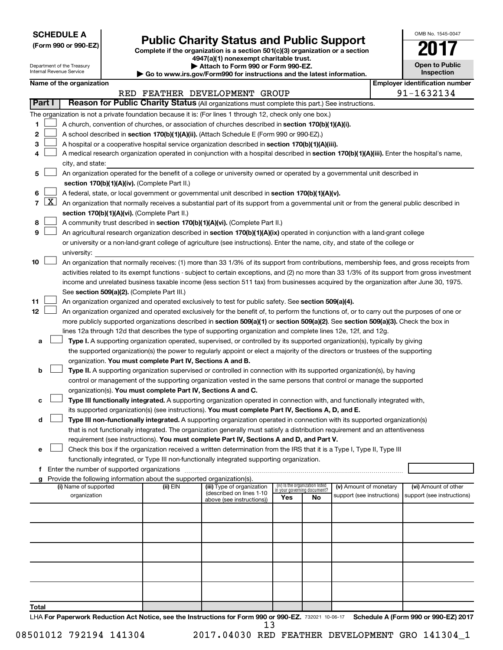**SCHEDULE A**

# Form 990 or 990-EZ) **Public Charity Status and Public Support**<br>
Complete if the organization is a section 501(c)(3) organization or a section<br> **2017**

**4947(a)(1) nonexempt charitable trust. | Attach to Form 990 or Form 990-EZ.** 

| OMB No 1545-0047                    |  |  |  |  |  |  |  |  |
|-------------------------------------|--|--|--|--|--|--|--|--|
|                                     |  |  |  |  |  |  |  |  |
| <b>Open to Public</b><br>Inspection |  |  |  |  |  |  |  |  |
|                                     |  |  |  |  |  |  |  |  |

 $\Box$ 

| Department of the Treasury<br>Internal Revenue Service |                                                                                                                           |                          |  | Attach to Form 990 or Form 990-EZ.<br>$\blacktriangleright$ Go to www.irs.gov/Form990 for instructions and the latest information. | <b>Open to Public</b><br>Inspection                                                                                                           |                                    |                                 |                            |  |                                       |
|--------------------------------------------------------|---------------------------------------------------------------------------------------------------------------------------|--------------------------|--|------------------------------------------------------------------------------------------------------------------------------------|-----------------------------------------------------------------------------------------------------------------------------------------------|------------------------------------|---------------------------------|----------------------------|--|---------------------------------------|
|                                                        |                                                                                                                           | Name of the organization |  |                                                                                                                                    |                                                                                                                                               |                                    |                                 |                            |  | <b>Employer identification number</b> |
|                                                        |                                                                                                                           |                          |  |                                                                                                                                    | RED FEATHER DEVELOPMENT GROUP                                                                                                                 |                                    |                                 |                            |  | 91-1632134                            |
|                                                        | <b>Part I</b>                                                                                                             |                          |  |                                                                                                                                    | Reason for Public Charity Status (All organizations must complete this part.) See instructions.                                               |                                    |                                 |                            |  |                                       |
|                                                        |                                                                                                                           |                          |  |                                                                                                                                    | The organization is not a private foundation because it is: (For lines 1 through 12, check only one box.)                                     |                                    |                                 |                            |  |                                       |
| 1                                                      |                                                                                                                           |                          |  |                                                                                                                                    | A church, convention of churches, or association of churches described in section 170(b)(1)(A)(i).                                            |                                    |                                 |                            |  |                                       |
| 2                                                      |                                                                                                                           |                          |  |                                                                                                                                    | A school described in section 170(b)(1)(A)(ii). (Attach Schedule E (Form 990 or 990-EZ).)                                                     |                                    |                                 |                            |  |                                       |
| 3                                                      |                                                                                                                           |                          |  |                                                                                                                                    | A hospital or a cooperative hospital service organization described in section 170(b)(1)(A)(iii).                                             |                                    |                                 |                            |  |                                       |
| 4                                                      |                                                                                                                           |                          |  |                                                                                                                                    | A medical research organization operated in conjunction with a hospital described in section 170(b)(1)(A)(iii). Enter the hospital's name,    |                                    |                                 |                            |  |                                       |
|                                                        |                                                                                                                           | city, and state:         |  |                                                                                                                                    |                                                                                                                                               |                                    |                                 |                            |  |                                       |
| 5                                                      | An organization operated for the benefit of a college or university owned or operated by a governmental unit described in |                          |  |                                                                                                                                    |                                                                                                                                               |                                    |                                 |                            |  |                                       |
|                                                        |                                                                                                                           |                          |  | section 170(b)(1)(A)(iv). (Complete Part II.)                                                                                      |                                                                                                                                               |                                    |                                 |                            |  |                                       |
| 6                                                      |                                                                                                                           |                          |  |                                                                                                                                    | A federal, state, or local government or governmental unit described in section 170(b)(1)(A)(v).                                              |                                    |                                 |                            |  |                                       |
| $\overline{7}$                                         | $\lfloor x \rfloor$                                                                                                       |                          |  |                                                                                                                                    | An organization that normally receives a substantial part of its support from a governmental unit or from the general public described in     |                                    |                                 |                            |  |                                       |
|                                                        |                                                                                                                           |                          |  | section 170(b)(1)(A)(vi). (Complete Part II.)                                                                                      |                                                                                                                                               |                                    |                                 |                            |  |                                       |
| 8                                                      |                                                                                                                           |                          |  |                                                                                                                                    | A community trust described in section 170(b)(1)(A)(vi). (Complete Part II.)                                                                  |                                    |                                 |                            |  |                                       |
| 9                                                      |                                                                                                                           |                          |  |                                                                                                                                    | An agricultural research organization described in section 170(b)(1)(A)(ix) operated in conjunction with a land-grant college                 |                                    |                                 |                            |  |                                       |
|                                                        |                                                                                                                           |                          |  |                                                                                                                                    | or university or a non-land-grant college of agriculture (see instructions). Enter the name, city, and state of the college or                |                                    |                                 |                            |  |                                       |
|                                                        |                                                                                                                           | university:              |  |                                                                                                                                    |                                                                                                                                               |                                    |                                 |                            |  |                                       |
| 10                                                     |                                                                                                                           |                          |  |                                                                                                                                    | An organization that normally receives: (1) more than 33 1/3% of its support from contributions, membership fees, and gross receipts from     |                                    |                                 |                            |  |                                       |
|                                                        |                                                                                                                           |                          |  |                                                                                                                                    | activities related to its exempt functions - subject to certain exceptions, and (2) no more than 33 1/3% of its support from gross investment |                                    |                                 |                            |  |                                       |
|                                                        |                                                                                                                           |                          |  |                                                                                                                                    | income and unrelated business taxable income (less section 511 tax) from businesses acquired by the organization after June 30, 1975.         |                                    |                                 |                            |  |                                       |
|                                                        |                                                                                                                           |                          |  | See section 509(a)(2). (Complete Part III.)                                                                                        |                                                                                                                                               |                                    |                                 |                            |  |                                       |
| 11                                                     |                                                                                                                           |                          |  |                                                                                                                                    | An organization organized and operated exclusively to test for public safety. See section 509(a)(4).                                          |                                    |                                 |                            |  |                                       |
| 12                                                     |                                                                                                                           |                          |  |                                                                                                                                    | An organization organized and operated exclusively for the benefit of, to perform the functions of, or to carry out the purposes of one or    |                                    |                                 |                            |  |                                       |
|                                                        |                                                                                                                           |                          |  |                                                                                                                                    | more publicly supported organizations described in section 509(a)(1) or section 509(a)(2). See section 509(a)(3). Check the box in            |                                    |                                 |                            |  |                                       |
|                                                        |                                                                                                                           |                          |  |                                                                                                                                    | lines 12a through 12d that describes the type of supporting organization and complete lines 12e, 12f, and 12g.                                |                                    |                                 |                            |  |                                       |
| а                                                      |                                                                                                                           |                          |  |                                                                                                                                    | Type I. A supporting organization operated, supervised, or controlled by its supported organization(s), typically by giving                   |                                    |                                 |                            |  |                                       |
|                                                        |                                                                                                                           |                          |  |                                                                                                                                    | the supported organization(s) the power to regularly appoint or elect a majority of the directors or trustees of the supporting               |                                    |                                 |                            |  |                                       |
|                                                        |                                                                                                                           |                          |  | organization. You must complete Part IV, Sections A and B.                                                                         |                                                                                                                                               |                                    |                                 |                            |  |                                       |
| b                                                      |                                                                                                                           |                          |  |                                                                                                                                    | Type II. A supporting organization supervised or controlled in connection with its supported organization(s), by having                       |                                    |                                 |                            |  |                                       |
|                                                        |                                                                                                                           |                          |  |                                                                                                                                    | control or management of the supporting organization vested in the same persons that control or manage the supported                          |                                    |                                 |                            |  |                                       |
|                                                        |                                                                                                                           |                          |  | organization(s). You must complete Part IV, Sections A and C.                                                                      |                                                                                                                                               |                                    |                                 |                            |  |                                       |
| с                                                      |                                                                                                                           |                          |  |                                                                                                                                    | Type III functionally integrated. A supporting organization operated in connection with, and functionally integrated with,                    |                                    |                                 |                            |  |                                       |
|                                                        |                                                                                                                           |                          |  |                                                                                                                                    | its supported organization(s) (see instructions). You must complete Part IV, Sections A, D, and E.                                            |                                    |                                 |                            |  |                                       |
| d                                                      |                                                                                                                           |                          |  |                                                                                                                                    | Type III non-functionally integrated. A supporting organization operated in connection with its supported organization(s)                     |                                    |                                 |                            |  |                                       |
|                                                        |                                                                                                                           |                          |  |                                                                                                                                    | that is not functionally integrated. The organization generally must satisfy a distribution requirement and an attentiveness                  |                                    |                                 |                            |  |                                       |
|                                                        |                                                                                                                           |                          |  |                                                                                                                                    | requirement (see instructions). You must complete Part IV, Sections A and D, and Part V.                                                      |                                    |                                 |                            |  |                                       |
| е                                                      |                                                                                                                           |                          |  |                                                                                                                                    | Check this box if the organization received a written determination from the IRS that it is a Type I, Type II, Type III                       |                                    |                                 |                            |  |                                       |
|                                                        |                                                                                                                           |                          |  |                                                                                                                                    | functionally integrated, or Type III non-functionally integrated supporting organization.                                                     |                                    |                                 |                            |  |                                       |
| f                                                      |                                                                                                                           |                          |  |                                                                                                                                    |                                                                                                                                               |                                    |                                 |                            |  |                                       |
| g                                                      |                                                                                                                           | (i) Name of supported    |  | Provide the following information about the supported organization(s).<br>(ii) EIN                                                 | (iii) Type of organization                                                                                                                    |                                    | (iv) Is the organization listed | (v) Amount of monetary     |  | (vi) Amount of other                  |
|                                                        |                                                                                                                           | organization             |  |                                                                                                                                    | (described on lines 1-10                                                                                                                      | in your governing document?<br>Yes | No                              | support (see instructions) |  | support (see instructions)            |
|                                                        |                                                                                                                           |                          |  |                                                                                                                                    | above (see instructions))                                                                                                                     |                                    |                                 |                            |  |                                       |
|                                                        |                                                                                                                           |                          |  |                                                                                                                                    |                                                                                                                                               |                                    |                                 |                            |  |                                       |
|                                                        |                                                                                                                           |                          |  |                                                                                                                                    |                                                                                                                                               |                                    |                                 |                            |  |                                       |
|                                                        |                                                                                                                           |                          |  |                                                                                                                                    |                                                                                                                                               |                                    |                                 |                            |  |                                       |
|                                                        |                                                                                                                           |                          |  |                                                                                                                                    |                                                                                                                                               |                                    |                                 |                            |  |                                       |
|                                                        |                                                                                                                           |                          |  |                                                                                                                                    |                                                                                                                                               |                                    |                                 |                            |  |                                       |
|                                                        |                                                                                                                           |                          |  |                                                                                                                                    |                                                                                                                                               |                                    |                                 |                            |  |                                       |
|                                                        |                                                                                                                           |                          |  |                                                                                                                                    |                                                                                                                                               |                                    |                                 |                            |  |                                       |
|                                                        |                                                                                                                           |                          |  |                                                                                                                                    |                                                                                                                                               |                                    |                                 |                            |  |                                       |
|                                                        |                                                                                                                           |                          |  |                                                                                                                                    |                                                                                                                                               |                                    |                                 |                            |  |                                       |
| Total                                                  |                                                                                                                           |                          |  |                                                                                                                                    |                                                                                                                                               |                                    |                                 |                            |  |                                       |

LHA For Paperwork Reduction Act Notice, see the Instructions for Form 990 or 990-EZ. 732021 10-06-17 Schedule A (Form 990 or 990-EZ) 2017 13

08501012 792194 141304 2017.04030 RED FEATHER DEVELOPMENT GRO 141304\_1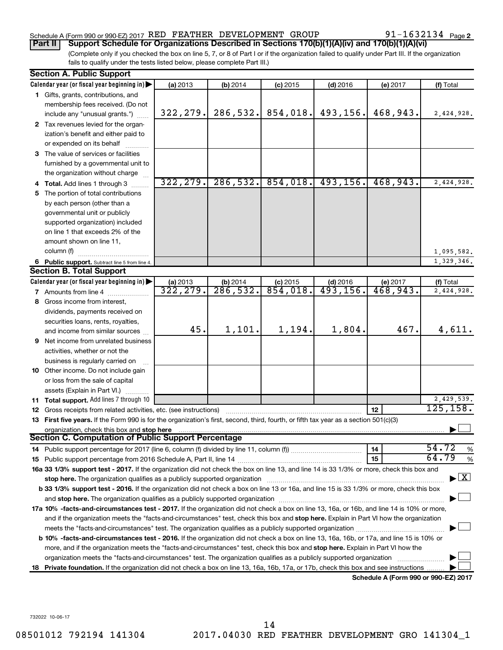### Schedule A (Form 990 or 990-EZ) 2017 RED FEATHER DEVELOPMENT GROUP  $91-1632134$  Page

91-1632134 Page 2

(Complete only if you checked the box on line 5, 7, or 8 of Part I or if the organization failed to qualify under Part III. If the organization fails to qualify under the tests listed below, please complete Part III.) **Part II Support Schedule for Organizations Described in Sections 170(b)(1)(A)(iv) and 170(b)(1)(A)(vi)**

| <b>Section A. Public Support</b>                                                                                                                                                                                               |                       |           |                        |                                      |                                      |                                          |
|--------------------------------------------------------------------------------------------------------------------------------------------------------------------------------------------------------------------------------|-----------------------|-----------|------------------------|--------------------------------------|--------------------------------------|------------------------------------------|
| Calendar year (or fiscal year beginning in)                                                                                                                                                                                    | (a) 2013              | (b) 2014  | $(c)$ 2015             | $(d)$ 2016                           | (e) 2017                             | (f) Total                                |
| 1 Gifts, grants, contributions, and                                                                                                                                                                                            |                       |           |                        |                                      |                                      |                                          |
| membership fees received. (Do not                                                                                                                                                                                              |                       |           |                        |                                      |                                      |                                          |
| include any "unusual grants.")                                                                                                                                                                                                 | 322, 279.             | 286,532.  | 854,018.               | 493,156.                             | 468,943.                             | 2,424,928.                               |
| 2 Tax revenues levied for the organ-                                                                                                                                                                                           |                       |           |                        |                                      |                                      |                                          |
| ization's benefit and either paid to                                                                                                                                                                                           |                       |           |                        |                                      |                                      |                                          |
| or expended on its behalf                                                                                                                                                                                                      |                       |           |                        |                                      |                                      |                                          |
| 3 The value of services or facilities                                                                                                                                                                                          |                       |           |                        |                                      |                                      |                                          |
| furnished by a governmental unit to                                                                                                                                                                                            |                       |           |                        |                                      |                                      |                                          |
| the organization without charge                                                                                                                                                                                                |                       |           |                        |                                      |                                      |                                          |
| 4 Total. Add lines 1 through 3                                                                                                                                                                                                 | 322, 279.             | 286, 532. | 854,018.               | 493, 156.                            | 468,943.                             | 2,424,928.                               |
| 5 The portion of total contributions                                                                                                                                                                                           |                       |           |                        |                                      |                                      |                                          |
| by each person (other than a                                                                                                                                                                                                   |                       |           |                        |                                      |                                      |                                          |
| governmental unit or publicly                                                                                                                                                                                                  |                       |           |                        |                                      |                                      |                                          |
| supported organization) included                                                                                                                                                                                               |                       |           |                        |                                      |                                      |                                          |
| on line 1 that exceeds 2% of the                                                                                                                                                                                               |                       |           |                        |                                      |                                      |                                          |
| amount shown on line 11,                                                                                                                                                                                                       |                       |           |                        |                                      |                                      |                                          |
| column (f)                                                                                                                                                                                                                     |                       |           |                        |                                      |                                      | 1,095,582.                               |
| 6 Public support. Subtract line 5 from line 4.                                                                                                                                                                                 |                       |           |                        |                                      |                                      | 1,329,346.                               |
| <b>Section B. Total Support</b>                                                                                                                                                                                                |                       |           |                        |                                      |                                      |                                          |
| Calendar year (or fiscal year beginning in)                                                                                                                                                                                    | (a) 2013<br>322, 279. | (b) 2014  | $(c)$ 2015<br>854,018. | $(d)$ 2016<br>$\overline{493,156}$ . | (e) 2017                             | (f) Total                                |
| <b>7</b> Amounts from line 4                                                                                                                                                                                                   |                       | 286,532.  |                        |                                      | 468,943.                             | 2,424,928.                               |
| 8 Gross income from interest,                                                                                                                                                                                                  |                       |           |                        |                                      |                                      |                                          |
| dividends, payments received on                                                                                                                                                                                                |                       |           |                        |                                      |                                      |                                          |
| securities loans, rents, royalties,                                                                                                                                                                                            | 45.                   |           |                        | 1,804.                               | 467.                                 |                                          |
| and income from similar sources                                                                                                                                                                                                |                       | 1,101.    | 1,194.                 |                                      |                                      | 4,611.                                   |
| 9 Net income from unrelated business                                                                                                                                                                                           |                       |           |                        |                                      |                                      |                                          |
| activities, whether or not the                                                                                                                                                                                                 |                       |           |                        |                                      |                                      |                                          |
| business is regularly carried on                                                                                                                                                                                               |                       |           |                        |                                      |                                      |                                          |
| 10 Other income. Do not include gain                                                                                                                                                                                           |                       |           |                        |                                      |                                      |                                          |
| or loss from the sale of capital                                                                                                                                                                                               |                       |           |                        |                                      |                                      |                                          |
| assets (Explain in Part VI.)                                                                                                                                                                                                   |                       |           |                        |                                      |                                      | 2,429,539.                               |
| 11 Total support. Add lines 7 through 10<br><b>12</b> Gross receipts from related activities, etc. (see instructions)                                                                                                          |                       |           |                        |                                      | 12                                   | 125, 158.                                |
| 13 First five years. If the Form 990 is for the organization's first, second, third, fourth, or fifth tax year as a section 501(c)(3)                                                                                          |                       |           |                        |                                      |                                      |                                          |
| organization, check this box and stop here                                                                                                                                                                                     |                       |           |                        |                                      |                                      |                                          |
| Section C. Computation of Public Support Percentage                                                                                                                                                                            |                       |           |                        |                                      |                                      |                                          |
|                                                                                                                                                                                                                                |                       |           |                        |                                      | 14                                   | 54.72<br>%                               |
|                                                                                                                                                                                                                                |                       |           |                        |                                      | 15                                   | 64.79<br>$\%$                            |
| 16a 33 1/3% support test - 2017. If the organization did not check the box on line 13, and line 14 is 33 1/3% or more, check this box and                                                                                      |                       |           |                        |                                      |                                      |                                          |
| stop here. The organization qualifies as a publicly supported organization manufaction manufacture or manufacture or the organization manufacture or the organization of the state of the state of the state of the state of t |                       |           |                        |                                      |                                      | $\blacktriangleright$ $\boxed{\text{X}}$ |
| b 33 1/3% support test - 2016. If the organization did not check a box on line 13 or 16a, and line 15 is 33 1/3% or more, check this box                                                                                       |                       |           |                        |                                      |                                      |                                          |
|                                                                                                                                                                                                                                |                       |           |                        |                                      |                                      |                                          |
| 17a 10% -facts-and-circumstances test - 2017. If the organization did not check a box on line 13, 16a, or 16b, and line 14 is 10% or more,                                                                                     |                       |           |                        |                                      |                                      |                                          |
| and if the organization meets the "facts-and-circumstances" test, check this box and stop here. Explain in Part VI how the organization                                                                                        |                       |           |                        |                                      |                                      |                                          |
|                                                                                                                                                                                                                                |                       |           |                        |                                      |                                      |                                          |
| b 10% -facts-and-circumstances test - 2016. If the organization did not check a box on line 13, 16a, 16b, or 17a, and line 15 is 10% or                                                                                        |                       |           |                        |                                      |                                      |                                          |
| more, and if the organization meets the "facts-and-circumstances" test, check this box and stop here. Explain in Part VI how the                                                                                               |                       |           |                        |                                      |                                      |                                          |
| organization meets the "facts-and-circumstances" test. The organization qualifies as a publicly supported organization                                                                                                         |                       |           |                        |                                      |                                      |                                          |
| 18 Private foundation. If the organization did not check a box on line 13, 16a, 16b, 17a, or 17b, check this box and see instructions                                                                                          |                       |           |                        |                                      |                                      |                                          |
|                                                                                                                                                                                                                                |                       |           |                        |                                      | Schedule A (Form 990 or 990-EZ) 2017 |                                          |

732022 10-06-17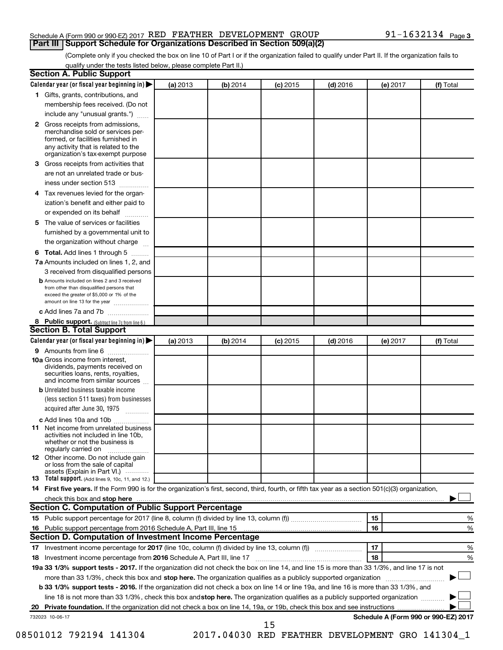### Schedule A (Form 990 or 990-EZ) 2017 RED FEATHER DEVELOPMENT GROUP  $91-1632134$  Page **Part III Support Schedule for Organizations Described in Section 509(a)(2)**

(Complete only if you checked the box on line 10 of Part I or if the organization failed to qualify under Part II. If the organization fails to qualify under the tests listed below, please complete Part II.)

| <b>Section A. Public Support</b>                                                                                                                                                                                                        |          |          |            |            |          |                                      |
|-----------------------------------------------------------------------------------------------------------------------------------------------------------------------------------------------------------------------------------------|----------|----------|------------|------------|----------|--------------------------------------|
| Calendar year (or fiscal year beginning in)                                                                                                                                                                                             | (a) 2013 | (b) 2014 | $(c)$ 2015 | $(d)$ 2016 | (e) 2017 | (f) Total                            |
| 1 Gifts, grants, contributions, and                                                                                                                                                                                                     |          |          |            |            |          |                                      |
| membership fees received. (Do not                                                                                                                                                                                                       |          |          |            |            |          |                                      |
| include any "unusual grants.")                                                                                                                                                                                                          |          |          |            |            |          |                                      |
| <b>2</b> Gross receipts from admissions,<br>merchandise sold or services per-<br>formed, or facilities furnished in<br>any activity that is related to the<br>organization's tax-exempt purpose                                         |          |          |            |            |          |                                      |
| 3 Gross receipts from activities that                                                                                                                                                                                                   |          |          |            |            |          |                                      |
| are not an unrelated trade or bus-                                                                                                                                                                                                      |          |          |            |            |          |                                      |
| iness under section 513                                                                                                                                                                                                                 |          |          |            |            |          |                                      |
| 4 Tax revenues levied for the organ-                                                                                                                                                                                                    |          |          |            |            |          |                                      |
| ization's benefit and either paid to                                                                                                                                                                                                    |          |          |            |            |          |                                      |
| or expended on its behalf                                                                                                                                                                                                               |          |          |            |            |          |                                      |
| 5 The value of services or facilities                                                                                                                                                                                                   |          |          |            |            |          |                                      |
| furnished by a governmental unit to                                                                                                                                                                                                     |          |          |            |            |          |                                      |
| the organization without charge                                                                                                                                                                                                         |          |          |            |            |          |                                      |
| 6 Total. Add lines 1 through 5                                                                                                                                                                                                          |          |          |            |            |          |                                      |
| 7a Amounts included on lines 1, 2, and                                                                                                                                                                                                  |          |          |            |            |          |                                      |
| 3 received from disqualified persons                                                                                                                                                                                                    |          |          |            |            |          |                                      |
| <b>b</b> Amounts included on lines 2 and 3 received<br>from other than disqualified persons that<br>exceed the greater of \$5,000 or 1% of the<br>amount on line 13 for the year                                                        |          |          |            |            |          |                                      |
| c Add lines 7a and 7b                                                                                                                                                                                                                   |          |          |            |            |          |                                      |
| 8 Public support. (Subtract line 7c from line 6.)                                                                                                                                                                                       |          |          |            |            |          |                                      |
| <b>Section B. Total Support</b>                                                                                                                                                                                                         |          |          |            |            |          |                                      |
| Calendar year (or fiscal year beginning in)                                                                                                                                                                                             | (a) 2013 | (b) 2014 | $(c)$ 2015 | $(d)$ 2016 | (e) 2017 | (f) Total                            |
| 9 Amounts from line 6                                                                                                                                                                                                                   |          |          |            |            |          |                                      |
| <b>10a</b> Gross income from interest,<br>dividends, payments received on<br>securities loans, rents, royalties,<br>and income from similar sources                                                                                     |          |          |            |            |          |                                      |
| <b>b</b> Unrelated business taxable income                                                                                                                                                                                              |          |          |            |            |          |                                      |
| (less section 511 taxes) from businesses                                                                                                                                                                                                |          |          |            |            |          |                                      |
| acquired after June 30, 1975                                                                                                                                                                                                            |          |          |            |            |          |                                      |
| c Add lines 10a and 10b                                                                                                                                                                                                                 |          |          |            |            |          |                                      |
| <b>11</b> Net income from unrelated business<br>activities not included in line 10b.<br>whether or not the business is<br>regularly carried on                                                                                          |          |          |            |            |          |                                      |
| 12 Other income. Do not include gain<br>or loss from the sale of capital<br>assets (Explain in Part VI.)                                                                                                                                |          |          |            |            |          |                                      |
| <b>13</b> Total support. (Add lines 9, 10c, 11, and 12.)                                                                                                                                                                                |          |          |            |            |          |                                      |
| 14 First five years. If the Form 990 is for the organization's first, second, third, fourth, or fifth tax year as a section 501(c)(3) organization,                                                                                     |          |          |            |            |          |                                      |
| check this box and stop here <b>contained and the contained and stop here</b> check this box and stop here <b>contained and the contained and stop here</b> contained and stop here contained and and stop here contained and stop here |          |          |            |            |          |                                      |
| Section C. Computation of Public Support Percentage                                                                                                                                                                                     |          |          |            |            |          |                                      |
|                                                                                                                                                                                                                                         |          |          |            |            | 15       | ℅                                    |
|                                                                                                                                                                                                                                         |          |          |            |            | 16       | %                                    |
| Section D. Computation of Investment Income Percentage                                                                                                                                                                                  |          |          |            |            |          |                                      |
|                                                                                                                                                                                                                                         |          |          |            |            | 17       | %                                    |
| 18 Investment income percentage from 2016 Schedule A, Part III, line 17                                                                                                                                                                 |          |          |            |            | 18       | %                                    |
| 19a 33 1/3% support tests - 2017. If the organization did not check the box on line 14, and line 15 is more than 33 1/3%, and line 17 is not                                                                                            |          |          |            |            |          |                                      |
| more than 33 1/3%, check this box and stop here. The organization qualifies as a publicly supported organization                                                                                                                        |          |          |            |            |          |                                      |
| b 33 1/3% support tests - 2016. If the organization did not check a box on line 14 or line 19a, and line 16 is more than 33 1/3%, and                                                                                                   |          |          |            |            |          |                                      |
| line 18 is not more than 33 1/3%, check this box and stop here. The organization qualifies as a publicly supported organization                                                                                                         |          |          |            |            |          |                                      |
|                                                                                                                                                                                                                                         |          |          |            |            |          |                                      |
| 732023 10-06-17                                                                                                                                                                                                                         |          |          |            |            |          | Schedule A (Form 990 or 990-EZ) 2017 |
|                                                                                                                                                                                                                                         |          |          | 15         |            |          |                                      |

08501012 792194 141304 2017.04030 RED FEATHER DEVELOPMENT GRO 141304\_1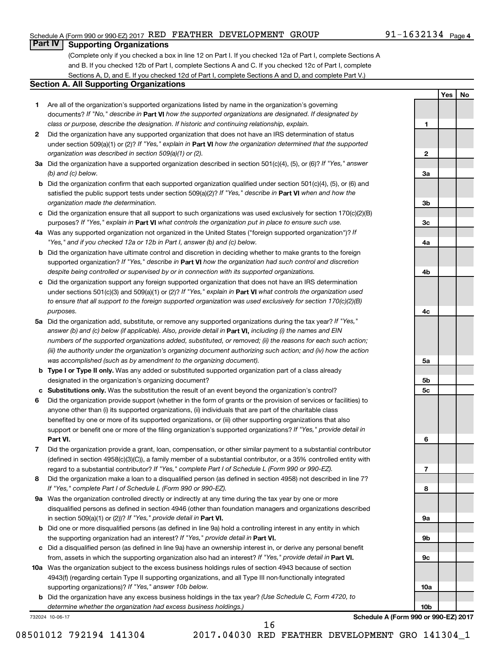### Schedule A (Form 990 or 990-EZ) 2017 RED FEATHER DEVELOPMENT GROUP  $91-1632134$  Page

### 91-1632134 <sub>Page 4</sub>

**1**

**2**

**Yes No**

### **Part IV Supporting Organizations**

(Complete only if you checked a box in line 12 on Part I. If you checked 12a of Part I, complete Sections A and B. If you checked 12b of Part I, complete Sections A and C. If you checked 12c of Part I, complete Sections A, D, and E. If you checked 12d of Part I, complete Sections A and D, and complete Part V.)

### **Section A. All Supporting Organizations**

- **1** Are all of the organization's supported organizations listed by name in the organization's governing documents? If "No," describe in Part VI how the supported organizations are designated. If designated by *class or purpose, describe the designation. If historic and continuing relationship, explain.*
- **2** Did the organization have any supported organization that does not have an IRS determination of status under section 509(a)(1) or (2)? If "Yes," explain in Part **VI** how the organization determined that the supported *organization was described in section 509(a)(1) or (2).*
- **3a** Did the organization have a supported organization described in section 501(c)(4), (5), or (6)? If "Yes," answer *(b) and (c) below.*
- **b** Did the organization confirm that each supported organization qualified under section 501(c)(4), (5), or (6) and satisfied the public support tests under section 509(a)(2)? If "Yes," describe in Part VI when and how the *organization made the determination.*
- **c** Did the organization ensure that all support to such organizations was used exclusively for section 170(c)(2)(B) purposes? If "Yes," explain in Part VI what controls the organization put in place to ensure such use.
- **4 a** *If* Was any supported organization not organized in the United States ("foreign supported organization")? *"Yes," and if you checked 12a or 12b in Part I, answer (b) and (c) below.*
- **b** Did the organization have ultimate control and discretion in deciding whether to make grants to the foreign supported organization? If "Yes," describe in Part VI how the organization had such control and discretion *despite being controlled or supervised by or in connection with its supported organizations.*
- **c** Did the organization support any foreign supported organization that does not have an IRS determination under sections 501(c)(3) and 509(a)(1) or (2)? If "Yes," explain in Part VI what controls the organization used *to ensure that all support to the foreign supported organization was used exclusively for section 170(c)(2)(B) purposes.*
- **5a** Did the organization add, substitute, or remove any supported organizations during the tax year? If "Yes," answer (b) and (c) below (if applicable). Also, provide detail in **Part VI,** including (i) the names and EIN *numbers of the supported organizations added, substituted, or removed; (ii) the reasons for each such action; (iii) the authority under the organization's organizing document authorizing such action; and (iv) how the action was accomplished (such as by amendment to the organizing document).*
- **b Type I or Type II only.** Was any added or substituted supported organization part of a class already designated in the organization's organizing document?
- **c Substitutions only.**  Was the substitution the result of an event beyond the organization's control?
- **6** Did the organization provide support (whether in the form of grants or the provision of services or facilities) to **Part VI.** support or benefit one or more of the filing organization's supported organizations? If "Yes," provide detail in anyone other than (i) its supported organizations, (ii) individuals that are part of the charitable class benefited by one or more of its supported organizations, or (iii) other supporting organizations that also
- **7** Did the organization provide a grant, loan, compensation, or other similar payment to a substantial contributor regard to a substantial contributor? If "Yes," complete Part I of Schedule L (Form 990 or 990-EZ). (defined in section 4958(c)(3)(C)), a family member of a substantial contributor, or a 35% controlled entity with
- **8** Did the organization make a loan to a disqualified person (as defined in section 4958) not described in line 7? *If "Yes," complete Part I of Schedule L (Form 990 or 990-EZ).*
- **9 a** Was the organization controlled directly or indirectly at any time during the tax year by one or more in section 509(a)(1) or (2))? If "Yes," provide detail in **Part VI.** disqualified persons as defined in section 4946 (other than foundation managers and organizations described
- **b** Did one or more disqualified persons (as defined in line 9a) hold a controlling interest in any entity in which the supporting organization had an interest? If "Yes," provide detail in Part VI.
- **c** Did a disqualified person (as defined in line 9a) have an ownership interest in, or derive any personal benefit from, assets in which the supporting organization also had an interest? If "Yes," provide detail in Part VI.
- **10 a** Was the organization subject to the excess business holdings rules of section 4943 because of section supporting organizations)? If "Yes," answer 10b below. 4943(f) (regarding certain Type II supporting organizations, and all Type III non-functionally integrated
	- **b** Did the organization have any excess business holdings in the tax year? (Use Schedule C, Form 4720, to *determine whether the organization had excess business holdings.)*

732024 10-06-17

**Schedule A (Form 990 or 990-EZ) 2017**

16

08501012 792194 141304 2017.04030 RED FEATHER DEVELOPMENT GRO 141304\_1

**3a 3b 3c 4a 4b 4c 5a 5b 5c 6 7 8 9a 9b 9c 10a 10b**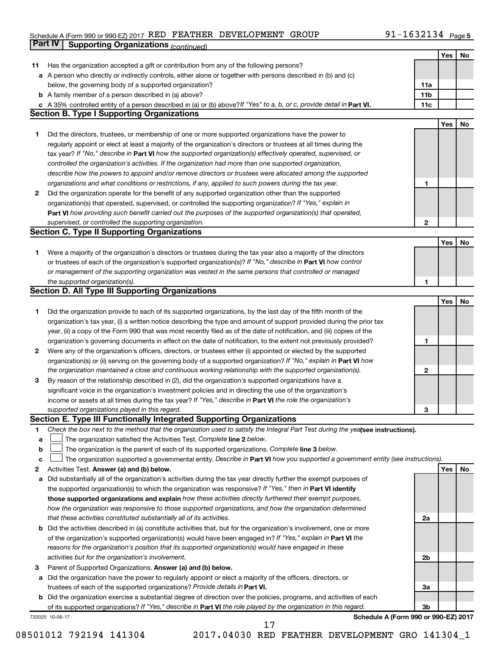#### Schedule A (Form 990 or 990-EZ) 2017 RED FEATHER DEVELOPMENT GROUP 9 I - I O 3 Z I 3 4 Page RED FEATHER DEVELOPMENT GROUP 91-1632134

|              | Part IV<br><b>Supporting Organizations (continued)</b>                                                                          |                 |            |    |
|--------------|---------------------------------------------------------------------------------------------------------------------------------|-----------------|------------|----|
|              |                                                                                                                                 |                 | Yes        | No |
| 11           | Has the organization accepted a gift or contribution from any of the following persons?                                         |                 |            |    |
|              | a A person who directly or indirectly controls, either alone or together with persons described in (b) and (c)                  |                 |            |    |
|              | below, the governing body of a supported organization?                                                                          | 11a             |            |    |
|              | <b>b</b> A family member of a person described in (a) above?                                                                    | 11 <sub>b</sub> |            |    |
|              | c A 35% controlled entity of a person described in (a) or (b) above? If "Yes" to a, b, or c, provide detail in Part VI.         | 11c             |            |    |
|              | <b>Section B. Type I Supporting Organizations</b>                                                                               |                 |            |    |
|              |                                                                                                                                 |                 | Yes        | No |
| 1            | Did the directors, trustees, or membership of one or more supported organizations have the power to                             |                 |            |    |
|              | regularly appoint or elect at least a majority of the organization's directors or trustees at all times during the              |                 |            |    |
|              | tax year? If "No," describe in Part VI how the supported organization(s) effectively operated, supervised, or                   |                 |            |    |
|              |                                                                                                                                 |                 |            |    |
|              | controlled the organization's activities. If the organization had more than one supported organization,                         |                 |            |    |
|              | describe how the powers to appoint and/or remove directors or trustees were allocated among the supported                       |                 |            |    |
|              | organizations and what conditions or restrictions, if any, applied to such powers during the tax year.                          | 1               |            |    |
| 2            | Did the organization operate for the benefit of any supported organization other than the supported                             |                 |            |    |
|              | organization(s) that operated, supervised, or controlled the supporting organization? If "Yes," explain in                      |                 |            |    |
|              | Part VI how providing such benefit carried out the purposes of the supported organization(s) that operated,                     |                 |            |    |
|              | supervised, or controlled the supporting organization.                                                                          | $\mathbf{2}$    |            |    |
|              | <b>Section C. Type II Supporting Organizations</b>                                                                              |                 |            |    |
|              |                                                                                                                                 |                 | Yes        | No |
| 1.           | Were a majority of the organization's directors or trustees during the tax year also a majority of the directors                |                 |            |    |
|              | or trustees of each of the organization's supported organization(s)? If "No," describe in Part VI how control                   |                 |            |    |
|              | or management of the supporting organization was vested in the same persons that controlled or managed                          |                 |            |    |
|              | the supported organization(s).                                                                                                  | 1               |            |    |
|              | <b>Section D. All Type III Supporting Organizations</b>                                                                         |                 |            |    |
|              |                                                                                                                                 |                 | Yes        | No |
| 1            | Did the organization provide to each of its supported organizations, by the last day of the fifth month of the                  |                 |            |    |
|              | organization's tax year, (i) a written notice describing the type and amount of support provided during the prior tax           |                 |            |    |
|              | year, (ii) a copy of the Form 990 that was most recently filed as of the date of notification, and (iii) copies of the          |                 |            |    |
|              | organization's governing documents in effect on the date of notification, to the extent not previously provided?                | 1               |            |    |
| $\mathbf{2}$ | Were any of the organization's officers, directors, or trustees either (i) appointed or elected by the supported                |                 |            |    |
|              | organization(s) or (ii) serving on the governing body of a supported organization? If "No," explain in Part VI how              |                 |            |    |
|              | the organization maintained a close and continuous working relationship with the supported organization(s).                     | 2               |            |    |
| 3            | By reason of the relationship described in (2), did the organization's supported organizations have a                           |                 |            |    |
|              | significant voice in the organization's investment policies and in directing the use of the organization's                      |                 |            |    |
|              | income or assets at all times during the tax year? If "Yes," describe in Part VI the role the organization's                    |                 |            |    |
|              | supported organizations played in this regard.                                                                                  | з               |            |    |
|              | Section E. Type III Functionally Integrated Supporting Organizations                                                            |                 |            |    |
| 1            | Check the box next to the method that the organization used to satisfy the Integral Part Test during the yealsee instructions). |                 |            |    |
| a            | The organization satisfied the Activities Test. Complete line 2 below.                                                          |                 |            |    |
| b            | The organization is the parent of each of its supported organizations. Complete line 3 below.                                   |                 |            |    |
| с            | The organization supported a governmental entity. Describe in Part VI how you supported a government entity (see instructions). |                 |            |    |
| 2            | Activities Test. Answer (a) and (b) below.                                                                                      |                 | <b>Yes</b> | No |
| а            | Did substantially all of the organization's activities during the tax year directly further the exempt purposes of              |                 |            |    |
|              | the supported organization(s) to which the organization was responsive? If "Yes," then in Part VI identify                      |                 |            |    |
|              | those supported organizations and explain how these activities directly furthered their exempt purposes,                        |                 |            |    |
|              | how the organization was responsive to those supported organizations, and how the organization determined                       |                 |            |    |
|              |                                                                                                                                 |                 |            |    |
|              | that these activities constituted substantially all of its activities.                                                          | 2a              |            |    |
| b            | Did the activities described in (a) constitute activities that, but for the organization's involvement, one or more             |                 |            |    |
|              | of the organization's supported organization(s) would have been engaged in? If "Yes," explain in Part VI the                    |                 |            |    |
|              | reasons for the organization's position that its supported organization(s) would have engaged in these                          |                 |            |    |
|              | activities but for the organization's involvement.                                                                              | 2b              |            |    |
| 3            | Parent of Supported Organizations. Answer (a) and (b) below.                                                                    |                 |            |    |
| а            | Did the organization have the power to regularly appoint or elect a majority of the officers, directors, or                     |                 |            |    |
|              | trustees of each of the supported organizations? Provide details in Part VI.                                                    | За              |            |    |
|              | <b>b</b> Did the organization exercise a substantial degree of direction over the policies, programs, and activities of each    |                 |            |    |
|              | of its supported organizations? If "Yes," describe in Part VI the role played by the organization in this regard.               | Зb              |            |    |
|              | Schedule A (Form 990 or 990-EZ) 2017<br>732025 10-06-17                                                                         |                 |            |    |
|              | 17                                                                                                                              |                 |            |    |

08501012 792194 141304 2017.04030 RED FEATHER DEVELOPMENT GRO 141304\_1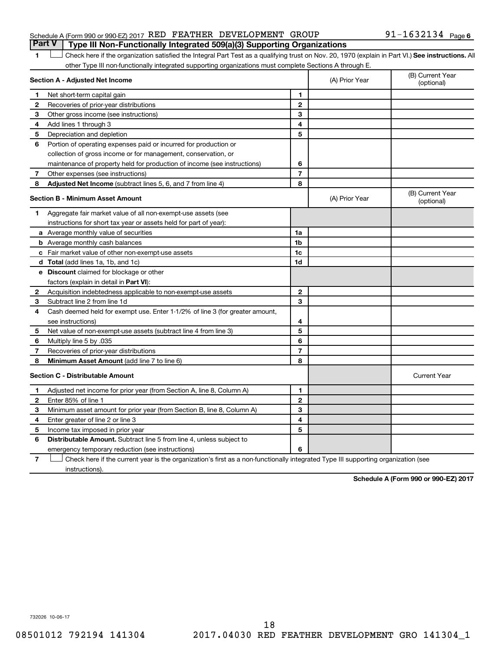### Schedule A (Form 990 or 990-EZ) 2017 RED FEATHER DEVELOPMENT GROUP  $91-1632134$  Page **Part V Type III Non-Functionally Integrated 509(a)(3) Supporting Organizations**

### 1 **Letter See instructions.** All Check here if the organization satisfied the Integral Part Test as a qualifying trust on Nov. 20, 1970 (explain in Part VI.) See instructions. All other Type III non-functionally integrated supporting organizations must complete Sections A through E.

|   | Section A - Adjusted Net Income                                              |                | (A) Prior Year | (B) Current Year<br>(optional) |
|---|------------------------------------------------------------------------------|----------------|----------------|--------------------------------|
| 1 | Net short-term capital gain                                                  | $\blacksquare$ |                |                                |
| 2 | Recoveries of prior-year distributions                                       | $\mathbf{2}$   |                |                                |
| 3 | Other gross income (see instructions)                                        | 3              |                |                                |
| 4 | Add lines 1 through 3                                                        | 4              |                |                                |
| 5 | Depreciation and depletion                                                   | 5              |                |                                |
| 6 | Portion of operating expenses paid or incurred for production or             |                |                |                                |
|   | collection of gross income or for management, conservation, or               |                |                |                                |
|   | maintenance of property held for production of income (see instructions)     | 6              |                |                                |
| 7 | Other expenses (see instructions)                                            | $\overline{7}$ |                |                                |
| 8 | Adjusted Net Income (subtract lines 5, 6, and 7 from line 4)                 | 8              |                |                                |
|   | <b>Section B - Minimum Asset Amount</b>                                      |                | (A) Prior Year | (B) Current Year<br>(optional) |
| 1 | Aggregate fair market value of all non-exempt-use assets (see                |                |                |                                |
|   | instructions for short tax year or assets held for part of year):            |                |                |                                |
|   | a Average monthly value of securities                                        | 1a             |                |                                |
|   | <b>b</b> Average monthly cash balances                                       | 1 <sub>b</sub> |                |                                |
|   | c Fair market value of other non-exempt-use assets                           | 1c             |                |                                |
|   | <b>d</b> Total (add lines 1a, 1b, and 1c)                                    | 1d             |                |                                |
|   | e Discount claimed for blockage or other                                     |                |                |                                |
|   | factors (explain in detail in Part VI):                                      |                |                |                                |
| 2 | Acquisition indebtedness applicable to non-exempt-use assets                 | $\mathbf{2}$   |                |                                |
| 3 | Subtract line 2 from line 1d                                                 | 3              |                |                                |
| 4 | Cash deemed held for exempt use. Enter 1-1/2% of line 3 (for greater amount, |                |                |                                |
|   | see instructions)                                                            | 4              |                |                                |
| 5 | Net value of non-exempt-use assets (subtract line 4 from line 3)             | 5              |                |                                |
| 6 | Multiply line 5 by .035                                                      | 6              |                |                                |
| 7 | Recoveries of prior-year distributions                                       | $\overline{7}$ |                |                                |
| 8 | <b>Minimum Asset Amount (add line 7 to line 6)</b>                           | 8              |                |                                |
|   | <b>Section C - Distributable Amount</b>                                      |                |                | <b>Current Year</b>            |
| 1 | Adjusted net income for prior year (from Section A, line 8, Column A)        | 1              |                |                                |
| 2 | Enter 85% of line 1                                                          | $\mathbf{2}$   |                |                                |
| З | Minimum asset amount for prior year (from Section B, line 8, Column A)       | 3              |                |                                |
| 4 | Enter greater of line 2 or line 3                                            | 4              |                |                                |
| 5 | Income tax imposed in prior year                                             | 5              |                |                                |
| 6 | Distributable Amount. Subtract line 5 from line 4, unless subject to         |                |                |                                |
|   | emergency temporary reduction (see instructions)                             | 6              |                |                                |
|   |                                                                              |                |                |                                |

**7** Check here if the current year is the organization's first as a non-functionally integrated Type III supporting organization (see † instructions).

**Schedule A (Form 990 or 990-EZ) 2017**

732026 10-06-17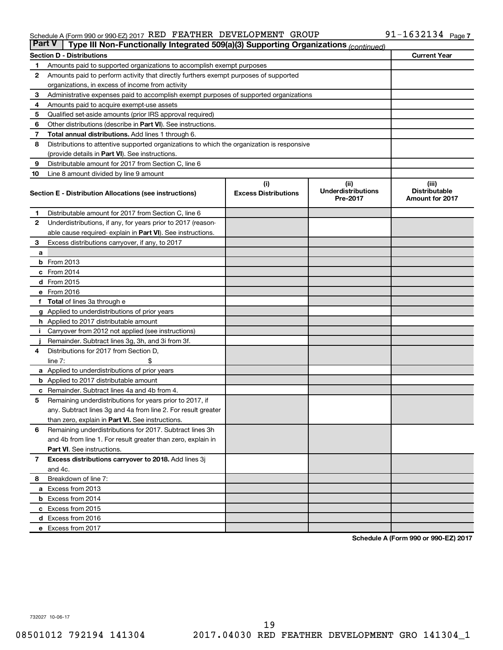#### Schedule A (Form 990 or 990-EZ) 2017 RED FEATHER DEVELOPMENT GROUP 9 I - I O 3 Z I 3 4 Page RED FEATHER DEVELOPMENT GROUP 91-1632134

|              | <b>Part V</b><br>Type III Non-Functionally Integrated 509(a)(3) Supporting Organizations (continued) |                             |                                       |                                                |  |  |  |  |  |
|--------------|------------------------------------------------------------------------------------------------------|-----------------------------|---------------------------------------|------------------------------------------------|--|--|--|--|--|
|              | <b>Section D - Distributions</b>                                                                     |                             |                                       | <b>Current Year</b>                            |  |  |  |  |  |
| 1            | Amounts paid to supported organizations to accomplish exempt purposes                                |                             |                                       |                                                |  |  |  |  |  |
| $\mathbf{2}$ | Amounts paid to perform activity that directly furthers exempt purposes of supported                 |                             |                                       |                                                |  |  |  |  |  |
|              | organizations, in excess of income from activity                                                     |                             |                                       |                                                |  |  |  |  |  |
| 3            | Administrative expenses paid to accomplish exempt purposes of supported organizations                |                             |                                       |                                                |  |  |  |  |  |
| 4            | Amounts paid to acquire exempt-use assets                                                            |                             |                                       |                                                |  |  |  |  |  |
| 5            | Qualified set-aside amounts (prior IRS approval required)                                            |                             |                                       |                                                |  |  |  |  |  |
| 6            | Other distributions (describe in <b>Part VI</b> ). See instructions.                                 |                             |                                       |                                                |  |  |  |  |  |
| 7            | Total annual distributions. Add lines 1 through 6.                                                   |                             |                                       |                                                |  |  |  |  |  |
| 8            | Distributions to attentive supported organizations to which the organization is responsive           |                             |                                       |                                                |  |  |  |  |  |
|              | (provide details in Part VI). See instructions.                                                      |                             |                                       |                                                |  |  |  |  |  |
| 9            | Distributable amount for 2017 from Section C, line 6                                                 |                             |                                       |                                                |  |  |  |  |  |
| 10           | Line 8 amount divided by line 9 amount                                                               |                             |                                       |                                                |  |  |  |  |  |
|              |                                                                                                      | (i)                         | (ii)                                  | (iii)                                          |  |  |  |  |  |
|              | Section E - Distribution Allocations (see instructions)                                              | <b>Excess Distributions</b> | <b>Underdistributions</b><br>Pre-2017 | <b>Distributable</b><br><b>Amount for 2017</b> |  |  |  |  |  |
| 1            | Distributable amount for 2017 from Section C, line 6                                                 |                             |                                       |                                                |  |  |  |  |  |
| $\mathbf{2}$ | Underdistributions, if any, for years prior to 2017 (reason-                                         |                             |                                       |                                                |  |  |  |  |  |
|              | able cause required- explain in Part VI). See instructions.                                          |                             |                                       |                                                |  |  |  |  |  |
| 3            | Excess distributions carryover, if any, to 2017                                                      |                             |                                       |                                                |  |  |  |  |  |
| a            |                                                                                                      |                             |                                       |                                                |  |  |  |  |  |
|              | <b>b</b> From 2013                                                                                   |                             |                                       |                                                |  |  |  |  |  |
|              | c From 2014                                                                                          |                             |                                       |                                                |  |  |  |  |  |
|              | d From 2015                                                                                          |                             |                                       |                                                |  |  |  |  |  |
|              | e From 2016                                                                                          |                             |                                       |                                                |  |  |  |  |  |
|              | f Total of lines 3a through e                                                                        |                             |                                       |                                                |  |  |  |  |  |
|              | <b>g</b> Applied to underdistributions of prior years                                                |                             |                                       |                                                |  |  |  |  |  |
|              | h Applied to 2017 distributable amount                                                               |                             |                                       |                                                |  |  |  |  |  |
| Ť.           | Carryover from 2012 not applied (see instructions)                                                   |                             |                                       |                                                |  |  |  |  |  |
|              | Remainder. Subtract lines 3g, 3h, and 3i from 3f.                                                    |                             |                                       |                                                |  |  |  |  |  |
| 4            | Distributions for 2017 from Section D,                                                               |                             |                                       |                                                |  |  |  |  |  |
|              | line $7:$                                                                                            |                             |                                       |                                                |  |  |  |  |  |
|              | a Applied to underdistributions of prior years                                                       |                             |                                       |                                                |  |  |  |  |  |
|              | <b>b</b> Applied to 2017 distributable amount                                                        |                             |                                       |                                                |  |  |  |  |  |
| с            | Remainder. Subtract lines 4a and 4b from 4.                                                          |                             |                                       |                                                |  |  |  |  |  |
| 5            | Remaining underdistributions for years prior to 2017, if                                             |                             |                                       |                                                |  |  |  |  |  |
|              | any. Subtract lines 3g and 4a from line 2. For result greater                                        |                             |                                       |                                                |  |  |  |  |  |
|              | than zero, explain in Part VI. See instructions.                                                     |                             |                                       |                                                |  |  |  |  |  |
| 6            | Remaining underdistributions for 2017. Subtract lines 3h                                             |                             |                                       |                                                |  |  |  |  |  |
|              | and 4b from line 1. For result greater than zero, explain in                                         |                             |                                       |                                                |  |  |  |  |  |
|              | <b>Part VI.</b> See instructions.                                                                    |                             |                                       |                                                |  |  |  |  |  |
| $\mathbf{7}$ | Excess distributions carryover to 2018. Add lines 3j                                                 |                             |                                       |                                                |  |  |  |  |  |
|              | and 4c.                                                                                              |                             |                                       |                                                |  |  |  |  |  |
| 8            | Breakdown of line 7:                                                                                 |                             |                                       |                                                |  |  |  |  |  |
|              | a Excess from 2013                                                                                   |                             |                                       |                                                |  |  |  |  |  |
|              | <b>b</b> Excess from 2014                                                                            |                             |                                       |                                                |  |  |  |  |  |
|              | c Excess from 2015                                                                                   |                             |                                       |                                                |  |  |  |  |  |
|              | d Excess from 2016                                                                                   |                             |                                       |                                                |  |  |  |  |  |
|              | e Excess from 2017                                                                                   |                             |                                       |                                                |  |  |  |  |  |

**Schedule A (Form 990 or 990-EZ) 2017**

732027 10-06-17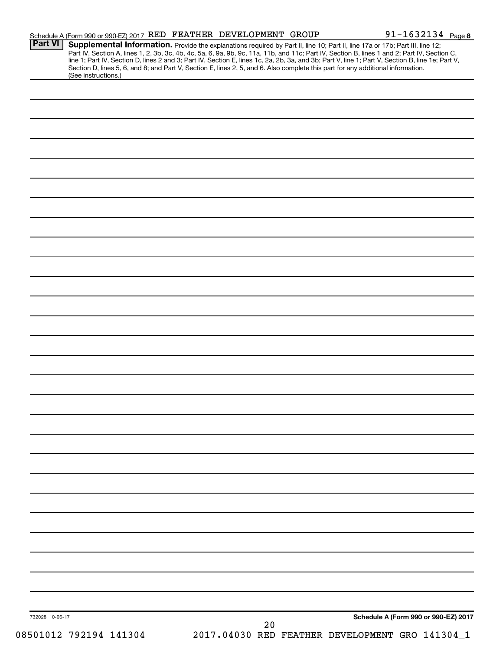| <b>Part VI</b>  | Schedule A (Form 990 or 990-EZ) 2017 RED FEATHER DEVELOPMENT GROUP<br>Supplemental Information. Provide the explanations required by Part II, line 10; Part II, line 17a or 17b; Part III, line 12;                           |                                                 | 91-1632134 Page 8                    |
|-----------------|-------------------------------------------------------------------------------------------------------------------------------------------------------------------------------------------------------------------------------|-------------------------------------------------|--------------------------------------|
|                 | Part IV, Section A, lines 1, 2, 3b, 3c, 4b, 4c, 5a, 6, 9a, 9b, 9c, 11a, 11b, and 11c; Part IV, Section B, lines 1 and 2; Part IV, Section C, line 1; Part IV, Section D, lines 2 and 3; Part IV, Section E, lines 1c, 2a, 2b, |                                                 |                                      |
|                 | Section D, lines 5, 6, and 8; and Part V, Section E, lines 2, 5, and 6. Also complete this part for any additional information.                                                                                               |                                                 |                                      |
|                 | (See instructions.)                                                                                                                                                                                                           |                                                 |                                      |
|                 |                                                                                                                                                                                                                               |                                                 |                                      |
|                 |                                                                                                                                                                                                                               |                                                 |                                      |
|                 |                                                                                                                                                                                                                               |                                                 |                                      |
|                 |                                                                                                                                                                                                                               |                                                 |                                      |
|                 |                                                                                                                                                                                                                               |                                                 |                                      |
|                 |                                                                                                                                                                                                                               |                                                 |                                      |
|                 |                                                                                                                                                                                                                               |                                                 |                                      |
|                 |                                                                                                                                                                                                                               |                                                 |                                      |
|                 |                                                                                                                                                                                                                               |                                                 |                                      |
|                 |                                                                                                                                                                                                                               |                                                 |                                      |
|                 |                                                                                                                                                                                                                               |                                                 |                                      |
|                 |                                                                                                                                                                                                                               |                                                 |                                      |
|                 |                                                                                                                                                                                                                               |                                                 |                                      |
|                 |                                                                                                                                                                                                                               |                                                 |                                      |
|                 |                                                                                                                                                                                                                               |                                                 |                                      |
|                 |                                                                                                                                                                                                                               |                                                 |                                      |
|                 |                                                                                                                                                                                                                               |                                                 |                                      |
|                 |                                                                                                                                                                                                                               |                                                 |                                      |
|                 |                                                                                                                                                                                                                               |                                                 |                                      |
|                 |                                                                                                                                                                                                                               |                                                 |                                      |
|                 |                                                                                                                                                                                                                               |                                                 |                                      |
|                 |                                                                                                                                                                                                                               |                                                 |                                      |
|                 |                                                                                                                                                                                                                               |                                                 |                                      |
|                 |                                                                                                                                                                                                                               |                                                 |                                      |
|                 |                                                                                                                                                                                                                               |                                                 |                                      |
|                 |                                                                                                                                                                                                                               |                                                 |                                      |
|                 |                                                                                                                                                                                                                               |                                                 |                                      |
|                 |                                                                                                                                                                                                                               |                                                 |                                      |
|                 |                                                                                                                                                                                                                               |                                                 |                                      |
|                 |                                                                                                                                                                                                                               |                                                 |                                      |
|                 |                                                                                                                                                                                                                               |                                                 |                                      |
|                 |                                                                                                                                                                                                                               |                                                 |                                      |
|                 |                                                                                                                                                                                                                               |                                                 |                                      |
|                 |                                                                                                                                                                                                                               |                                                 |                                      |
|                 |                                                                                                                                                                                                                               |                                                 |                                      |
|                 |                                                                                                                                                                                                                               |                                                 |                                      |
|                 |                                                                                                                                                                                                                               |                                                 |                                      |
|                 |                                                                                                                                                                                                                               |                                                 |                                      |
|                 |                                                                                                                                                                                                                               |                                                 |                                      |
|                 |                                                                                                                                                                                                                               |                                                 |                                      |
|                 |                                                                                                                                                                                                                               |                                                 |                                      |
|                 |                                                                                                                                                                                                                               |                                                 |                                      |
|                 |                                                                                                                                                                                                                               |                                                 |                                      |
|                 |                                                                                                                                                                                                                               |                                                 |                                      |
| 732028 10-06-17 |                                                                                                                                                                                                                               | 20                                              | Schedule A (Form 990 or 990-EZ) 2017 |
|                 | 08501012 792194 141304                                                                                                                                                                                                        | 2017.04030 RED FEATHER DEVELOPMENT GRO 141304_1 |                                      |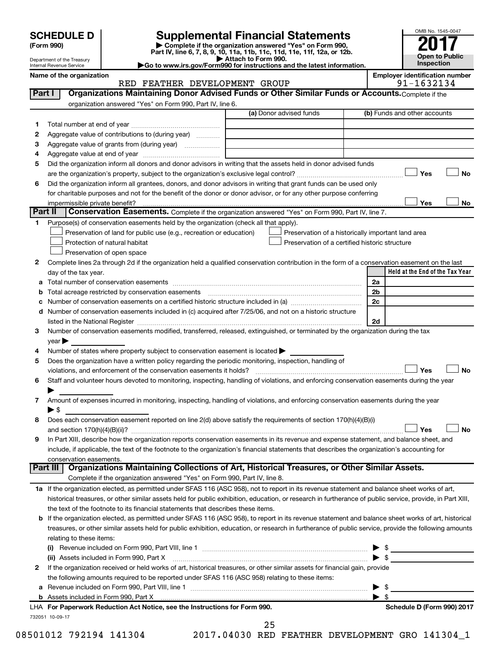| <b>SCHEDULE D</b> |  |  |
|-------------------|--|--|
|-------------------|--|--|

Department of the Treasury Internal Revenue Service

| (Form 990) |
|------------|
|            |

# **SCHEDULE D Supplemental Financial Statements**<br> **Form 990 2017**<br> **Part IV** line 6.7.8.9.10, 11a, 11b, 11d, 11d, 11d, 11d, 11d, 12a, 0r, 12b

**(Form 990) | Complete if the organization answered "Yes" on Form 990, Part IV, line 6, 7, 8, 9, 10, 11a, 11b, 11c, 11d, 11e, 11f, 12a, or 12b.**

**| Attach to Form 990. |Go to www.irs.gov/Form990 for instructions and the latest information.**



| Name of the organizatio |
|-------------------------|
|-------------------------|

### name of the organization of the original part of the original part of the original part of the original part of<br>Part of the original part of the original part of the original part of the original part of the original part RED FEATHER DEVELOPMENT GROUP

| Part I | RED FEAINER DEVELOFMENI GROOF<br>Organizations Maintaining Donor Advised Funds or Other Similar Funds or Accounts. Complete if the                         | フエーエロつマエつき                                         |
|--------|------------------------------------------------------------------------------------------------------------------------------------------------------------|----------------------------------------------------|
|        |                                                                                                                                                            |                                                    |
|        | organization answered "Yes" on Form 990, Part IV, line 6.<br>(a) Donor advised funds                                                                       | (b) Funds and other accounts                       |
|        |                                                                                                                                                            |                                                    |
| 1.     |                                                                                                                                                            |                                                    |
| 2      | Aggregate value of contributions to (during year)                                                                                                          |                                                    |
| 3      |                                                                                                                                                            |                                                    |
| 4      |                                                                                                                                                            |                                                    |
| 5      | Did the organization inform all donors and donor advisors in writing that the assets held in donor advised funds                                           |                                                    |
|        |                                                                                                                                                            | Yes<br><b>No</b>                                   |
| 6      | Did the organization inform all grantees, donors, and donor advisors in writing that grant funds can be used only                                          |                                                    |
|        | for charitable purposes and not for the benefit of the donor or donor advisor, or for any other purpose conferring                                         |                                                    |
|        | impermissible private benefit?                                                                                                                             | Yes<br>No                                          |
|        | Part II<br>Conservation Easements. Complete if the organization answered "Yes" on Form 990, Part IV, line 7.                                               |                                                    |
| 1.     | Purpose(s) of conservation easements held by the organization (check all that apply).                                                                      |                                                    |
|        | Preservation of land for public use (e.g., recreation or education)                                                                                        | Preservation of a historically important land area |
|        | Protection of natural habitat                                                                                                                              | Preservation of a certified historic structure     |
|        | Preservation of open space                                                                                                                                 |                                                    |
| 2      | Complete lines 2a through 2d if the organization held a qualified conservation contribution in the form of a conservation easement on the last             |                                                    |
|        | day of the tax year.                                                                                                                                       | Held at the End of the Tax Year                    |
|        |                                                                                                                                                            | 2a                                                 |
| b      | Total acreage restricted by conservation easements [11] [12] Total acreage restricted by conservation easements                                            | 2 <sub>b</sub>                                     |
|        | Number of conservation easements on a certified historic structure included in (a) manufacture included in (a)                                             | 2c                                                 |
|        | d Number of conservation easements included in (c) acquired after 7/25/06, and not on a historic structure                                                 |                                                    |
|        |                                                                                                                                                            | 2d                                                 |
| 3      | Number of conservation easements modified, transferred, released, extinguished, or terminated by the organization during the tax                           |                                                    |
|        | year                                                                                                                                                       |                                                    |
| 4      | Number of states where property subject to conservation easement is located                                                                                |                                                    |
| 5      | Does the organization have a written policy regarding the periodic monitoring, inspection, handling of                                                     |                                                    |
|        | violations, and enforcement of the conservation easements it holds?                                                                                        | Yes<br><b>No</b>                                   |
| 6      | Staff and volunteer hours devoted to monitoring, inspecting, handling of violations, and enforcing conservation easements during the year                  |                                                    |
|        |                                                                                                                                                            |                                                    |
| 7      | Amount of expenses incurred in monitoring, inspecting, handling of violations, and enforcing conservation easements during the year                        |                                                    |
|        | $\blacktriangleright$ \$                                                                                                                                   |                                                    |
| 8      | Does each conservation easement reported on line 2(d) above satisfy the requirements of section 170(h)(4)(B)(i)                                            |                                                    |
|        |                                                                                                                                                            | <b>No</b><br>Yes                                   |
| 9      | In Part XIII, describe how the organization reports conservation easements in its revenue and expense statement, and balance sheet, and                    |                                                    |
|        | include, if applicable, the text of the footnote to the organization's financial statements that describes the organization's accounting for               |                                                    |
|        | conservation easements.                                                                                                                                    |                                                    |
|        | Organizations Maintaining Collections of Art, Historical Treasures, or Other Similar Assets.<br>Part III                                                   |                                                    |
|        | Complete if the organization answered "Yes" on Form 990, Part IV, line 8.                                                                                  |                                                    |
|        | 1a If the organization elected, as permitted under SFAS 116 (ASC 958), not to report in its revenue statement and balance sheet works of art,              |                                                    |
|        | historical treasures, or other similar assets held for public exhibition, education, or research in furtherance of public service, provide, in Part XIII,  |                                                    |
|        | the text of the footnote to its financial statements that describes these items.                                                                           |                                                    |
|        | <b>b</b> If the organization elected, as permitted under SFAS 116 (ASC 958), to report in its revenue statement and balance sheet works of art, historical |                                                    |
|        | treasures, or other similar assets held for public exhibition, education, or research in furtherance of public service, provide the following amounts      |                                                    |
|        | relating to these items:                                                                                                                                   |                                                    |
|        |                                                                                                                                                            | \$                                                 |
|        | (ii) Assets included in Form 990, Part X                                                                                                                   | $\blacktriangleright$ \$                           |
| 2      | If the organization received or held works of art, historical treasures, or other similar assets for financial gain, provide                               |                                                    |
|        | the following amounts required to be reported under SFAS 116 (ASC 958) relating to these items:                                                            |                                                    |
| а      |                                                                                                                                                            | \$                                                 |
|        |                                                                                                                                                            | $\blacktriangleright$ \$                           |
|        | LHA For Paperwork Reduction Act Notice, see the Instructions for Form 990.                                                                                 | Schedule D (Form 990) 2017                         |
|        | 732051 10-09-17                                                                                                                                            |                                                    |

08501012 792194 141304 2017.04030 RED FEATHER DEVELOPMENT GRO 141304\_1 25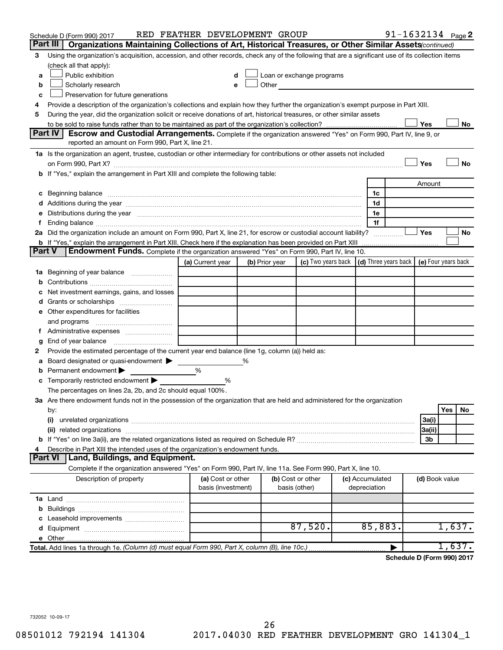|                                                                                    | Schedule D (Form 990) 2017                                                                                                                                                                                                          | RED FEATHER DEVELOPMENT GROUP           |   |                |                                                                                                                                                                                                                               |                                 | $91 - 1632134$ Page 2 |                |        |    |
|------------------------------------------------------------------------------------|-------------------------------------------------------------------------------------------------------------------------------------------------------------------------------------------------------------------------------------|-----------------------------------------|---|----------------|-------------------------------------------------------------------------------------------------------------------------------------------------------------------------------------------------------------------------------|---------------------------------|-----------------------|----------------|--------|----|
|                                                                                    | Part III<br>Organizations Maintaining Collections of Art, Historical Treasures, or Other Similar Assets (continued)                                                                                                                 |                                         |   |                |                                                                                                                                                                                                                               |                                 |                       |                |        |    |
| 3                                                                                  | Using the organization's acquisition, accession, and other records, check any of the following that are a significant use of its collection items                                                                                   |                                         |   |                |                                                                                                                                                                                                                               |                                 |                       |                |        |    |
|                                                                                    | (check all that apply):                                                                                                                                                                                                             |                                         |   |                |                                                                                                                                                                                                                               |                                 |                       |                |        |    |
| a                                                                                  | Public exhibition                                                                                                                                                                                                                   |                                         |   |                | Loan or exchange programs                                                                                                                                                                                                     |                                 |                       |                |        |    |
| b                                                                                  | Scholarly research                                                                                                                                                                                                                  |                                         |   |                | Other and the contract of the contract of the contract of the contract of the contract of the contract of the contract of the contract of the contract of the contract of the contract of the contract of the contract of the |                                 |                       |                |        |    |
| с                                                                                  | Preservation for future generations                                                                                                                                                                                                 |                                         |   |                |                                                                                                                                                                                                                               |                                 |                       |                |        |    |
| 4                                                                                  | Provide a description of the organization's collections and explain how they further the organization's exempt purpose in Part XIII.                                                                                                |                                         |   |                |                                                                                                                                                                                                                               |                                 |                       |                |        |    |
| 5                                                                                  | During the year, did the organization solicit or receive donations of art, historical treasures, or other similar assets                                                                                                            |                                         |   |                |                                                                                                                                                                                                                               |                                 |                       |                |        |    |
|                                                                                    |                                                                                                                                                                                                                                     |                                         |   |                |                                                                                                                                                                                                                               |                                 |                       | Yes            |        | No |
|                                                                                    | Part IV<br><b>Escrow and Custodial Arrangements.</b> Complete if the organization answered "Yes" on Form 990, Part IV, line 9, or                                                                                                   |                                         |   |                |                                                                                                                                                                                                                               |                                 |                       |                |        |    |
|                                                                                    | reported an amount on Form 990, Part X, line 21.                                                                                                                                                                                    |                                         |   |                |                                                                                                                                                                                                                               |                                 |                       |                |        |    |
|                                                                                    | 1a Is the organization an agent, trustee, custodian or other intermediary for contributions or other assets not included                                                                                                            |                                         |   |                |                                                                                                                                                                                                                               |                                 |                       |                |        |    |
|                                                                                    | on Form 990, Part X? [11] matter continuum matter contract to the contract of the contract of the contract of t                                                                                                                     |                                         |   |                |                                                                                                                                                                                                                               |                                 |                       | Yes            |        | No |
| b If "Yes," explain the arrangement in Part XIII and complete the following table: |                                                                                                                                                                                                                                     |                                         |   |                |                                                                                                                                                                                                                               |                                 |                       |                |        |    |
|                                                                                    |                                                                                                                                                                                                                                     |                                         |   |                |                                                                                                                                                                                                                               |                                 |                       | Amount         |        |    |
|                                                                                    | c Beginning balance <b>communications</b> and the contract of the contract of the contract of the contract of the contract of the contract of the contract of the contract of the contract of the contract of the contract of the c |                                         |   |                |                                                                                                                                                                                                                               | 1c                              |                       |                |        |    |
|                                                                                    |                                                                                                                                                                                                                                     |                                         |   |                |                                                                                                                                                                                                                               | 1d                              |                       |                |        |    |
|                                                                                    | e Distributions during the year measurement contracts and the year measurement of the state of the state of th                                                                                                                      |                                         |   |                |                                                                                                                                                                                                                               | 1e                              |                       |                |        |    |
|                                                                                    | 2a Did the organization include an amount on Form 990, Part X, line 21, for escrow or custodial account liability?                                                                                                                  |                                         |   |                |                                                                                                                                                                                                                               | 1f                              |                       | Yes            |        | No |
|                                                                                    |                                                                                                                                                                                                                                     |                                         |   |                |                                                                                                                                                                                                                               |                                 |                       |                |        |    |
| <b>Part V</b>                                                                      | Endowment Funds. Complete if the organization answered "Yes" on Form 990, Part IV, line 10.                                                                                                                                         |                                         |   |                |                                                                                                                                                                                                                               |                                 |                       |                |        |    |
|                                                                                    |                                                                                                                                                                                                                                     | (a) Current year                        |   | (b) Prior year | (c) Two years back $\vert$ (d) Three years back $\vert$ (e) Four years back                                                                                                                                                   |                                 |                       |                |        |    |
|                                                                                    | 1a Beginning of year balance                                                                                                                                                                                                        |                                         |   |                |                                                                                                                                                                                                                               |                                 |                       |                |        |    |
| b                                                                                  |                                                                                                                                                                                                                                     |                                         |   |                |                                                                                                                                                                                                                               |                                 |                       |                |        |    |
|                                                                                    | Net investment earnings, gains, and losses                                                                                                                                                                                          |                                         |   |                |                                                                                                                                                                                                                               |                                 |                       |                |        |    |
|                                                                                    |                                                                                                                                                                                                                                     |                                         |   |                |                                                                                                                                                                                                                               |                                 |                       |                |        |    |
|                                                                                    | e Other expenditures for facilities                                                                                                                                                                                                 |                                         |   |                |                                                                                                                                                                                                                               |                                 |                       |                |        |    |
|                                                                                    |                                                                                                                                                                                                                                     |                                         |   |                |                                                                                                                                                                                                                               |                                 |                       |                |        |    |
|                                                                                    | f Administrative expenses                                                                                                                                                                                                           |                                         |   |                |                                                                                                                                                                                                                               |                                 |                       |                |        |    |
| g                                                                                  |                                                                                                                                                                                                                                     |                                         |   |                |                                                                                                                                                                                                                               |                                 |                       |                |        |    |
| 2                                                                                  | Provide the estimated percentage of the current year end balance (line 1g, column (a)) held as:                                                                                                                                     |                                         |   |                |                                                                                                                                                                                                                               |                                 |                       |                |        |    |
| а                                                                                  | Board designated or quasi-endowment                                                                                                                                                                                                 |                                         | % |                |                                                                                                                                                                                                                               |                                 |                       |                |        |    |
|                                                                                    | <b>b</b> Permanent endowment $\blacktriangleright$                                                                                                                                                                                  | %                                       |   |                |                                                                                                                                                                                                                               |                                 |                       |                |        |    |
|                                                                                    | <b>c</b> Temporarily restricted endowment $\blacktriangleright$                                                                                                                                                                     | ℅                                       |   |                |                                                                                                                                                                                                                               |                                 |                       |                |        |    |
|                                                                                    | The percentages on lines 2a, 2b, and 2c should equal 100%.                                                                                                                                                                          |                                         |   |                |                                                                                                                                                                                                                               |                                 |                       |                |        |    |
|                                                                                    | 3a Are there endowment funds not in the possession of the organization that are held and administered for the organization                                                                                                          |                                         |   |                |                                                                                                                                                                                                                               |                                 |                       |                |        |    |
|                                                                                    | by:                                                                                                                                                                                                                                 |                                         |   |                |                                                                                                                                                                                                                               |                                 |                       |                | Yes    | No |
|                                                                                    | (i)                                                                                                                                                                                                                                 |                                         |   |                |                                                                                                                                                                                                                               |                                 |                       | 3a(i)          |        |    |
|                                                                                    |                                                                                                                                                                                                                                     |                                         |   |                |                                                                                                                                                                                                                               |                                 |                       | 3a(ii)         |        |    |
|                                                                                    |                                                                                                                                                                                                                                     |                                         |   |                |                                                                                                                                                                                                                               |                                 |                       | 3b             |        |    |
| 4                                                                                  | Describe in Part XIII the intended uses of the organization's endowment funds.                                                                                                                                                      |                                         |   |                |                                                                                                                                                                                                                               |                                 |                       |                |        |    |
|                                                                                    | Land, Buildings, and Equipment.<br><b>Part VI</b>                                                                                                                                                                                   |                                         |   |                |                                                                                                                                                                                                                               |                                 |                       |                |        |    |
|                                                                                    | Complete if the organization answered "Yes" on Form 990, Part IV, line 11a. See Form 990, Part X, line 10.                                                                                                                          |                                         |   |                |                                                                                                                                                                                                                               |                                 |                       |                |        |    |
|                                                                                    | Description of property                                                                                                                                                                                                             | (a) Cost or other<br>basis (investment) |   |                | (b) Cost or other<br>basis (other)                                                                                                                                                                                            | (c) Accumulated<br>depreciation |                       | (d) Book value |        |    |
|                                                                                    |                                                                                                                                                                                                                                     |                                         |   |                |                                                                                                                                                                                                                               |                                 |                       |                |        |    |
|                                                                                    |                                                                                                                                                                                                                                     |                                         |   |                |                                                                                                                                                                                                                               |                                 |                       |                |        |    |
|                                                                                    |                                                                                                                                                                                                                                     |                                         |   |                |                                                                                                                                                                                                                               |                                 |                       |                |        |    |
|                                                                                    |                                                                                                                                                                                                                                     |                                         |   |                | 87,520.                                                                                                                                                                                                                       | 85,883.                         |                       |                | 1,637. |    |
|                                                                                    |                                                                                                                                                                                                                                     |                                         |   |                |                                                                                                                                                                                                                               |                                 |                       |                |        |    |
|                                                                                    | Total. Add lines 1a through 1e. (Column (d) must equal Form 990, Part X, column (B), line 10c.)                                                                                                                                     |                                         |   |                |                                                                                                                                                                                                                               |                                 | ▶                     |                | 1,637. |    |

**Schedule D (Form 990) 2017**

732052 10-09-17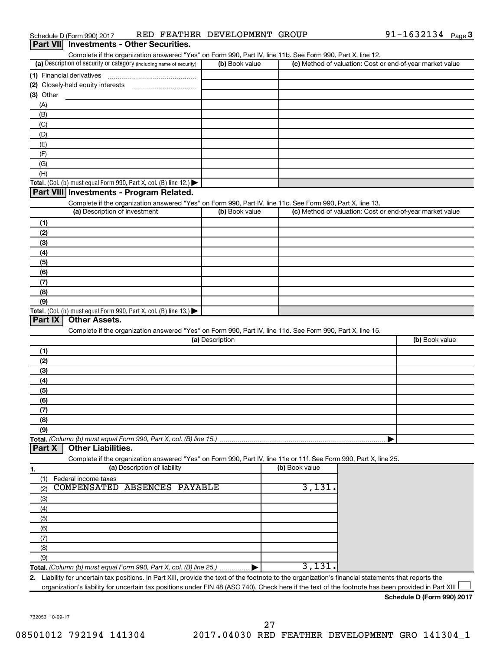|  | Schedule D (Form 990) 2017                      |  | RED FEATHER DEVELOPMENT GROUP | 91-1632134 $_{Page}$ 3 |  |
|--|-------------------------------------------------|--|-------------------------------|------------------------|--|
|  | <b>Part VII</b> Investments - Other Securities. |  |                               |                        |  |

| Complete if the organization answered "Yes" on Form 990, Part IV, line 11b. See Form 990, Part X, line 12.                                              |                 |                |                                                           |
|---------------------------------------------------------------------------------------------------------------------------------------------------------|-----------------|----------------|-----------------------------------------------------------|
| (a) Description of security or category (including name of security)                                                                                    | (b) Book value  |                | (c) Method of valuation: Cost or end-of-year market value |
|                                                                                                                                                         |                 |                |                                                           |
|                                                                                                                                                         |                 |                |                                                           |
| (3) Other                                                                                                                                               |                 |                |                                                           |
| (A)                                                                                                                                                     |                 |                |                                                           |
|                                                                                                                                                         |                 |                |                                                           |
| (B)                                                                                                                                                     |                 |                |                                                           |
| (C)                                                                                                                                                     |                 |                |                                                           |
| (D)                                                                                                                                                     |                 |                |                                                           |
| (E)                                                                                                                                                     |                 |                |                                                           |
| (F)                                                                                                                                                     |                 |                |                                                           |
| (G)                                                                                                                                                     |                 |                |                                                           |
| (H)                                                                                                                                                     |                 |                |                                                           |
| Total. (Col. (b) must equal Form 990, Part X, col. (B) line 12.) $\blacktriangleright$                                                                  |                 |                |                                                           |
| Part VIII Investments - Program Related.                                                                                                                |                 |                |                                                           |
| Complete if the organization answered "Yes" on Form 990, Part IV, line 11c. See Form 990, Part X, line 13.                                              |                 |                |                                                           |
| (a) Description of investment                                                                                                                           | (b) Book value  |                | (c) Method of valuation: Cost or end-of-year market value |
|                                                                                                                                                         |                 |                |                                                           |
| (1)                                                                                                                                                     |                 |                |                                                           |
| (2)                                                                                                                                                     |                 |                |                                                           |
| (3)                                                                                                                                                     |                 |                |                                                           |
| (4)                                                                                                                                                     |                 |                |                                                           |
| (5)                                                                                                                                                     |                 |                |                                                           |
| (6)                                                                                                                                                     |                 |                |                                                           |
| (7)                                                                                                                                                     |                 |                |                                                           |
|                                                                                                                                                         |                 |                |                                                           |
| (8)                                                                                                                                                     |                 |                |                                                           |
| (9)                                                                                                                                                     |                 |                |                                                           |
| Total. (Col. (b) must equal Form 990, Part X, col. (B) line 13.) $\blacktriangleright$                                                                  |                 |                |                                                           |
| <b>Part IX</b><br>Other Assets.                                                                                                                         |                 |                |                                                           |
| Complete if the organization answered "Yes" on Form 990, Part IV, line 11d. See Form 990, Part X, line 15.                                              |                 |                |                                                           |
|                                                                                                                                                         | (a) Description |                | (b) Book value                                            |
| (1)                                                                                                                                                     |                 |                |                                                           |
| (2)                                                                                                                                                     |                 |                |                                                           |
| (3)                                                                                                                                                     |                 |                |                                                           |
| (4)                                                                                                                                                     |                 |                |                                                           |
| (5)                                                                                                                                                     |                 |                |                                                           |
| (6)                                                                                                                                                     |                 |                |                                                           |
|                                                                                                                                                         |                 |                |                                                           |
| (7)                                                                                                                                                     |                 |                |                                                           |
| (8)                                                                                                                                                     |                 |                |                                                           |
| (9)                                                                                                                                                     |                 |                |                                                           |
| Total. (Column (b) must equal Form 990, Part X, col. (B) line 15.)                                                                                      |                 |                |                                                           |
| <b>Other Liabilities.</b><br>Part X                                                                                                                     |                 |                |                                                           |
| Complete if the organization answered "Yes" on Form 990, Part IV, line 11e or 11f. See Form 990, Part X, line 25.                                       |                 |                |                                                           |
| (a) Description of liability<br>1.                                                                                                                      |                 | (b) Book value |                                                           |
| Federal income taxes<br>(1)                                                                                                                             |                 |                |                                                           |
| COMPENSATED<br><b>ABSENCES PAYABLE</b><br>(2)                                                                                                           |                 | 3,131.         |                                                           |
|                                                                                                                                                         |                 |                |                                                           |
| (3)                                                                                                                                                     |                 |                |                                                           |
| (4)                                                                                                                                                     |                 |                |                                                           |
| (5)                                                                                                                                                     |                 |                |                                                           |
| (6)                                                                                                                                                     |                 |                |                                                           |
| (7)                                                                                                                                                     |                 |                |                                                           |
| (8)                                                                                                                                                     |                 |                |                                                           |
| (9)                                                                                                                                                     |                 |                |                                                           |
| Total. (Column (b) must equal Form 990, Part X, col. (B) line 25.).                                                                                     |                 | 3,131.         |                                                           |
| Liability for uncertain tax positions. In Part XIII, provide the text of the footnote to the organization's financial statements that reports the<br>2. |                 |                |                                                           |
| organization's liability for uncertain tax positions under FIN 48 (ASC 740). Check here if the text of the footnote has been provided in Part XIII      |                 |                |                                                           |
|                                                                                                                                                         |                 |                |                                                           |

**Schedule D (Form 990) 2017**

732053 10-09-17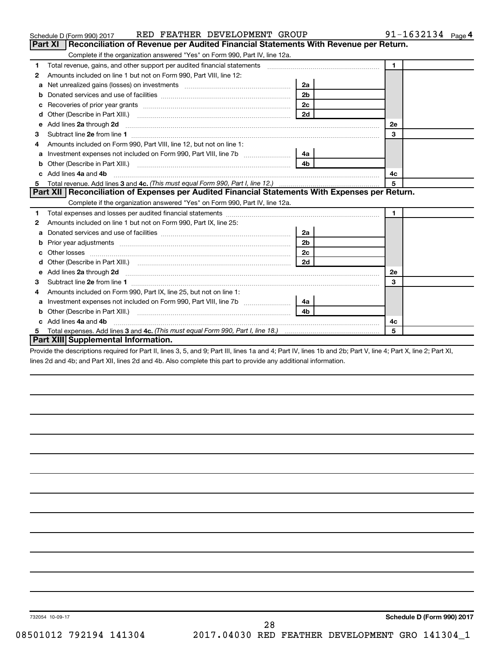|   | RED FEATHER DEVELOPMENT GROUP<br>Schedule D (Form 990) 2017                                    |                | 91-1632134 $_{Page 4}$ |
|---|------------------------------------------------------------------------------------------------|----------------|------------------------|
|   | Reconciliation of Revenue per Audited Financial Statements With Revenue per Return.<br>Part XI |                |                        |
|   | Complete if the organization answered "Yes" on Form 990, Part IV, line 12a.                    |                |                        |
| 1 |                                                                                                |                | $\mathbf{1}$           |
| 2 | Amounts included on line 1 but not on Form 990, Part VIII, line 12:                            |                |                        |
| a |                                                                                                | 2a             |                        |
|   |                                                                                                | 2 <sub>b</sub> |                        |
|   |                                                                                                | 2c             |                        |
| d |                                                                                                | 2d             |                        |
| e |                                                                                                |                | <b>2e</b>              |
| 3 |                                                                                                |                | 3                      |
| 4 | Amounts included on Form 990, Part VIII, line 12, but not on line 1:                           |                |                        |
|   |                                                                                                | 4a l           |                        |
| b |                                                                                                | 4 <sub>b</sub> |                        |
|   | Add lines 4a and 4b                                                                            |                | 4с                     |
| 5 |                                                                                                |                | 5                      |
|   | Part XII Reconciliation of Expenses per Audited Financial Statements With Expenses per Return. |                |                        |
|   | Complete if the organization answered "Yes" on Form 990, Part IV, line 12a.                    |                |                        |
| 1 |                                                                                                |                | $\blacksquare$         |
| 2 | Amounts included on line 1 but not on Form 990, Part IX, line 25:                              |                |                        |
| a |                                                                                                | 2a             |                        |
|   |                                                                                                | 2 <sub>b</sub> |                        |
| с |                                                                                                | 2 <sub>c</sub> |                        |
| d |                                                                                                | 2d             |                        |
| е |                                                                                                |                | <b>2e</b>              |
| З |                                                                                                |                | 3                      |
| 4 | Amounts included on Form 990, Part IX, line 25, but not on line 1:                             |                |                        |
|   |                                                                                                |                |                        |
| b |                                                                                                | 4b             |                        |
|   | Add lines 4a and 4b                                                                            |                | 4c                     |
|   |                                                                                                |                | 5                      |
|   | Part XIII Supplemental Information.                                                            |                |                        |

Provide the descriptions required for Part II, lines 3, 5, and 9; Part III, lines 1a and 4; Part IV, lines 1b and 2b; Part V, line 4; Part X, line 2; Part XI, lines 2d and 4b; and Part XII, lines 2d and 4b. Also complete this part to provide any additional information.

28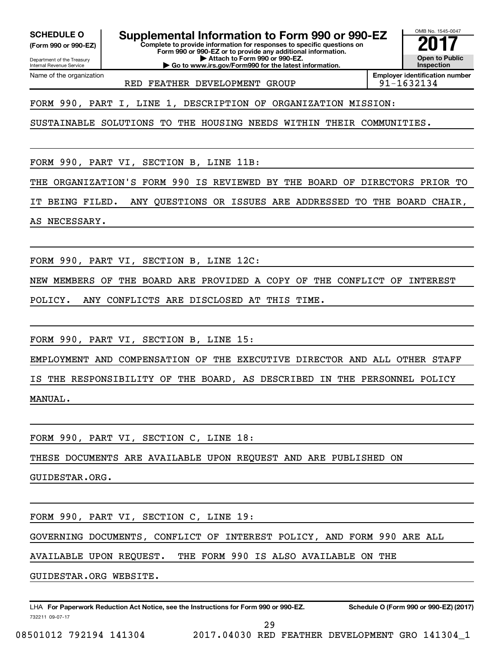**(Form 990 or 990-EZ)**

**SCHEDULE O Supplemental Information to Form 990 or 990-EZ 2017**<br>(Form 990 or 990-EZ) Complete to provide information for responses to specific questions on

Department of the Treasury Internal Revenue Service

Name of the organization

**Complete to provide information for responses to specific questions on Form 990 or 990-EZ or to provide any additional information. | Attach to Form 990 or 990-EZ. | Go to www.irs.gov/Form990 for the latest information.**

OMB No. 1545-0047 **Open to Public Inspection**

RED FEATHER DEVELOPMENT GROUP  $191-1632134$ 

**Employer identification number**

FORM 990, PART I, LINE 1, DESCRIPTION OF ORGANIZATION MISSION:

SUSTAINABLE SOLUTIONS TO THE HOUSING NEEDS WITHIN THEIR COMMUNITIES.

FORM 990, PART VI, SECTION B, LINE 11B:

THE ORGANIZATION'S FORM 990 IS REVIEWED BY THE BOARD OF DIRECTORS PRIOR TO

IT BEING FILED. ANY QUESTIONS OR ISSUES ARE ADDRESSED TO THE BOARD CHAIR,

AS NECESSARY.

FORM 990, PART VI, SECTION B, LINE 12C:

NEW MEMBERS OF THE BOARD ARE PROVIDED A COPY OF THE CONFLICT OF INTEREST

POLICY. ANY CONFLICTS ARE DISCLOSED AT THIS TIME.

FORM 990, PART VI, SECTION B, LINE 15:

EMPLOYMENT AND COMPENSATION OF THE EXECUTIVE DIRECTOR AND ALL OTHER STAFF

IS THE RESPONSIBILITY OF THE BOARD, AS DESCRIBED IN THE PERSONNEL POLICY MANUAL.

FORM 990, PART VI, SECTION C, LINE 18:

THESE DOCUMENTS ARE AVAILABLE UPON REQUEST AND ARE PUBLISHED ON

GUIDESTAR.ORG.

FORM 990, PART VI, SECTION C, LINE 19:

GOVERNING DOCUMENTS, CONFLICT OF INTEREST POLICY, AND FORM 990 ARE ALL

AVAILABLE UPON REQUEST. THE FORM 990 IS ALSO AVAILABLE ON THE

GUIDESTAR.ORG WEBSITE.

732211 09-07-17 LHA For Paperwork Reduction Act Notice, see the Instructions for Form 990 or 990-EZ. Schedule O (Form 990 or 990-EZ) (2017)

29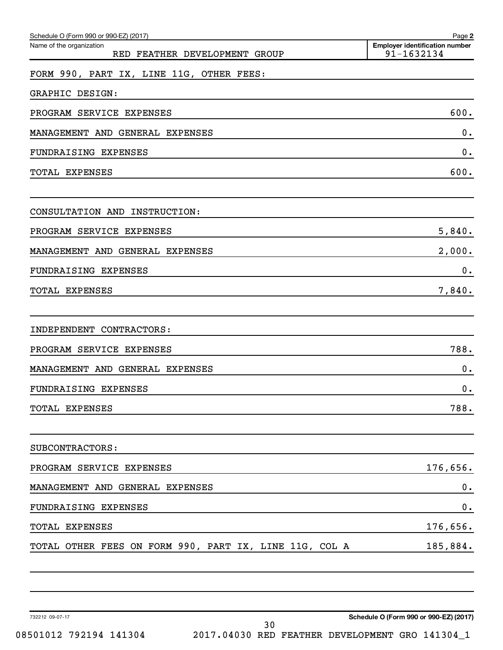| Schedule O (Form 990 or 990-EZ) (2017)                    | Page 2                                              |
|-----------------------------------------------------------|-----------------------------------------------------|
| Name of the organization<br>RED FEATHER DEVELOPMENT GROUP | <b>Employer identification number</b><br>91-1632134 |
| FORM 990, PART IX, LINE 11G, OTHER FEES:                  |                                                     |
| GRAPHIC DESIGN:                                           |                                                     |
| PROGRAM SERVICE EXPENSES                                  | 600.                                                |
| MANAGEMENT AND GENERAL EXPENSES                           | 0.                                                  |
| FUNDRAISING EXPENSES                                      | 0.                                                  |
| TOTAL EXPENSES                                            | 600.                                                |
| CONSULTATION AND INSTRUCTION:                             |                                                     |
| PROGRAM SERVICE EXPENSES                                  | 5,840.                                              |
| MANAGEMENT AND GENERAL EXPENSES                           | 2,000.                                              |
| FUNDRAISING EXPENSES                                      | 0.                                                  |
| TOTAL EXPENSES                                            | 7,840.                                              |
| INDEPENDENT CONTRACTORS:                                  |                                                     |
| PROGRAM SERVICE EXPENSES                                  | 788.                                                |
| MANAGEMENT AND GENERAL EXPENSES                           | 0.                                                  |
| FUNDRAISING EXPENSES                                      | 0.                                                  |
| TOTAL EXPENSES                                            | 788.                                                |
| SUBCONTRACTORS:                                           |                                                     |
| PROGRAM SERVICE EXPENSES                                  | 176,656.                                            |
| MANAGEMENT AND GENERAL EXPENSES                           | 0.                                                  |
| FUNDRAISING EXPENSES                                      | 0.                                                  |
| TOTAL EXPENSES                                            | 176,656.                                            |
| TOTAL OTHER FEES ON FORM 990, PART IX, LINE 11G, COL A    | 185,884.                                            |
|                                                           |                                                     |

732212 09-07-17

**Schedule O (Form 990 or 990-EZ) (2017)**